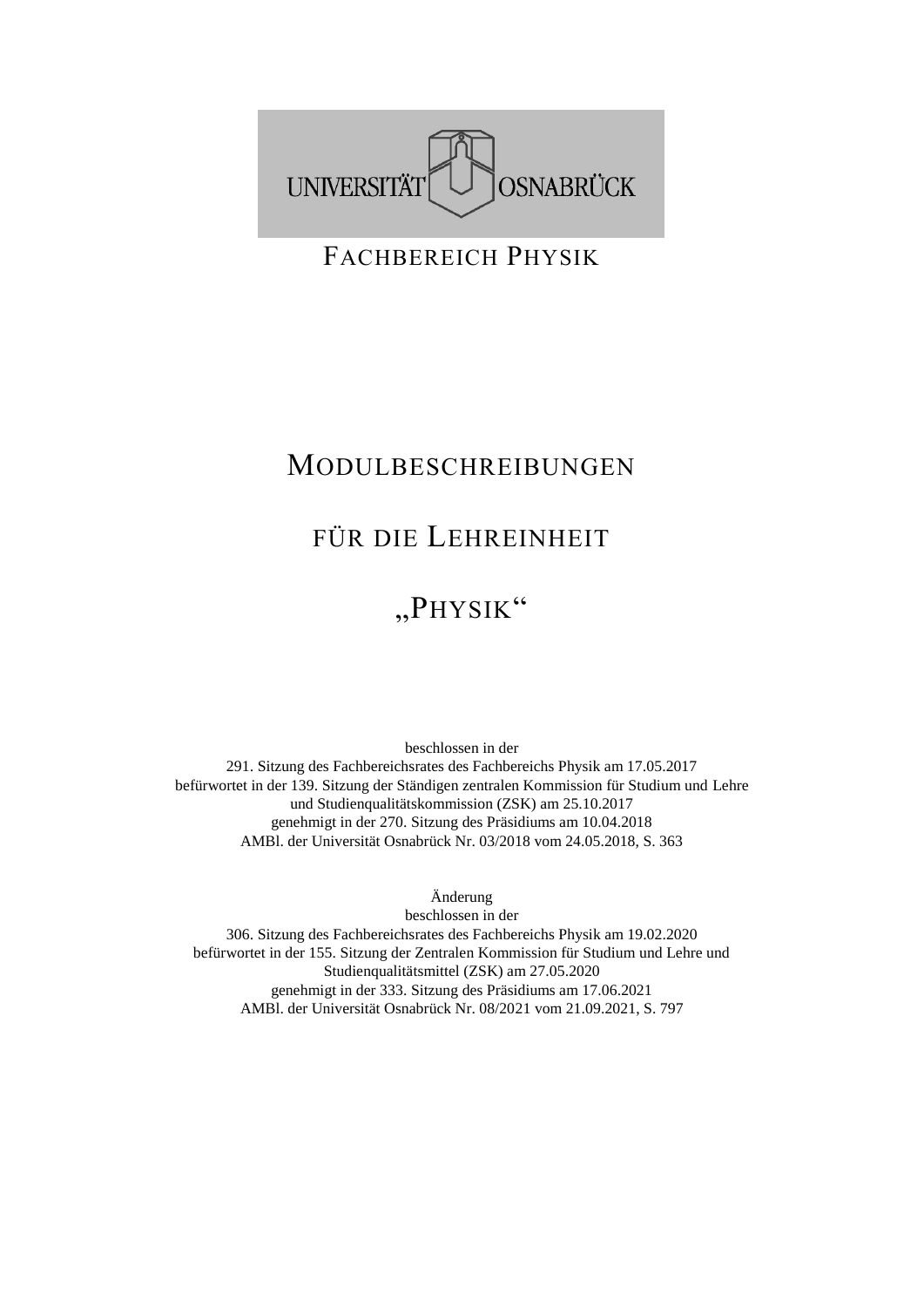

FACHBEREICH PHYSIK

## MODULBESCHREIBUNGEN

## FÜR DIE LEHREINHEIT

## "PHYSIK"

beschlossen in der 291. Sitzung des Fachbereichsrates des Fachbereichs Physik am 17.05.2017 befürwortet in der 139. Sitzung der Ständigen zentralen Kommission für Studium und Lehre und Studienqualitätskommission (ZSK) am 25.10.2017 genehmigt in der 270. Sitzung des Präsidiums am 10.04.2018 AMBl. der Universität Osnabrück Nr. 03/2018 vom 24.05.2018, S. 363

Änderung

beschlossen in der 306. Sitzung des Fachbereichsrates des Fachbereichs Physik am 19.02.2020 befürwortet in der 155. Sitzung der Zentralen Kommission für Studium und Lehre und Studienqualitätsmittel (ZSK) am 27.05.2020 genehmigt in der 333. Sitzung des Präsidiums am 17.06.2021 AMBl. der Universität Osnabrück Nr. 08/2021 vom 21.09.2021, S. 797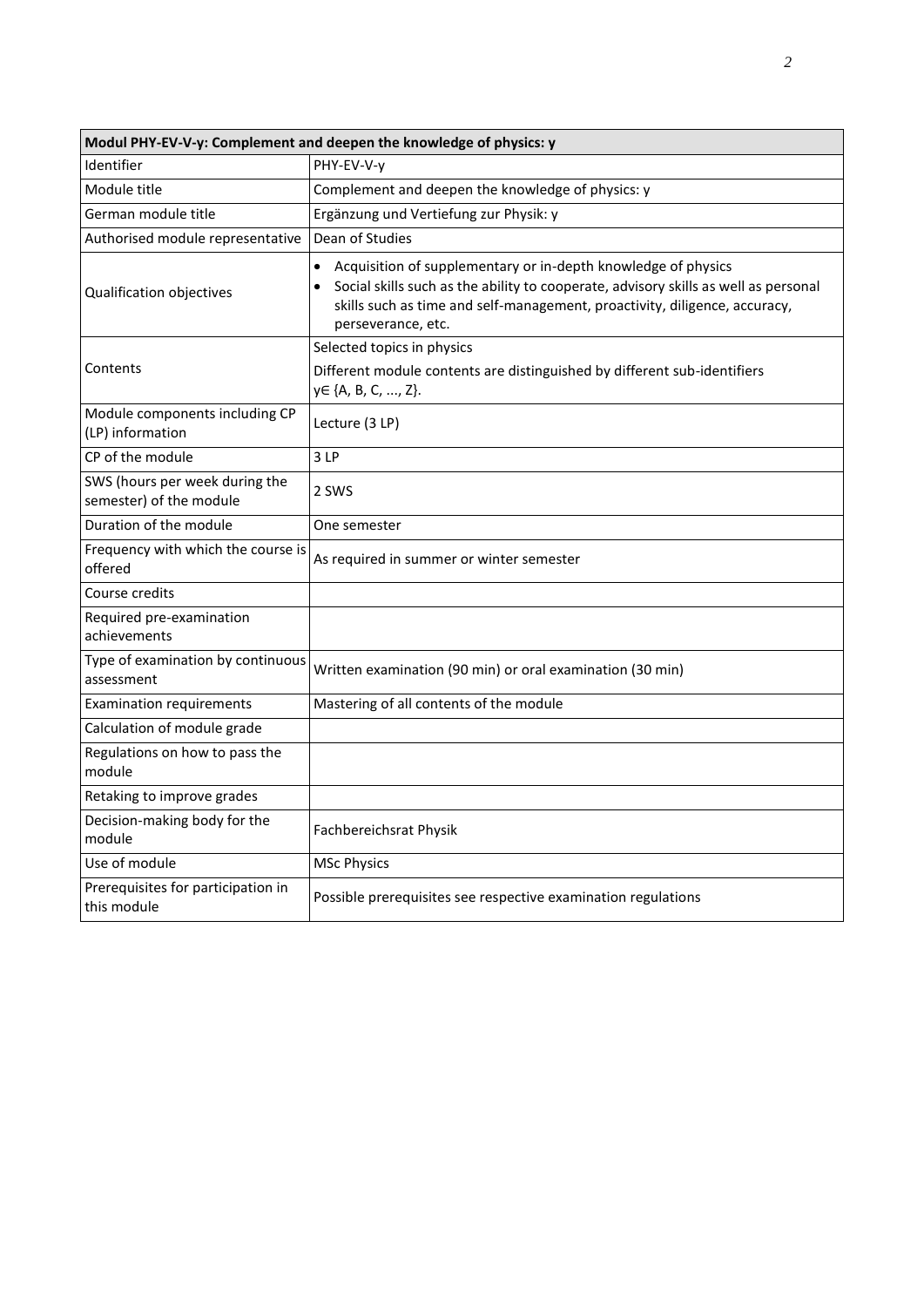| Modul PHY-EV-V-y: Complement and deepen the knowledge of physics: y |                                                                                                                                                                                                                                                                       |  |
|---------------------------------------------------------------------|-----------------------------------------------------------------------------------------------------------------------------------------------------------------------------------------------------------------------------------------------------------------------|--|
| Identifier                                                          | PHY-EV-V-v                                                                                                                                                                                                                                                            |  |
| Module title                                                        | Complement and deepen the knowledge of physics: y                                                                                                                                                                                                                     |  |
| German module title                                                 | Ergänzung und Vertiefung zur Physik: y                                                                                                                                                                                                                                |  |
| Authorised module representative                                    | Dean of Studies                                                                                                                                                                                                                                                       |  |
| Qualification objectives                                            | Acquisition of supplementary or in-depth knowledge of physics<br>$\bullet$<br>Social skills such as the ability to cooperate, advisory skills as well as personal<br>skills such as time and self-management, proactivity, diligence, accuracy,<br>perseverance, etc. |  |
|                                                                     | Selected topics in physics                                                                                                                                                                                                                                            |  |
| Contents                                                            | Different module contents are distinguished by different sub-identifiers<br>y∈ {A, B, C, , Z}.                                                                                                                                                                        |  |
| Module components including CP<br>(LP) information                  | Lecture (3 LP)                                                                                                                                                                                                                                                        |  |
| CP of the module                                                    | 3LP                                                                                                                                                                                                                                                                   |  |
| SWS (hours per week during the<br>semester) of the module           | 2 SWS                                                                                                                                                                                                                                                                 |  |
| Duration of the module                                              | One semester                                                                                                                                                                                                                                                          |  |
| Frequency with which the course is<br>offered                       | As required in summer or winter semester                                                                                                                                                                                                                              |  |
| Course credits                                                      |                                                                                                                                                                                                                                                                       |  |
| Required pre-examination<br>achievements                            |                                                                                                                                                                                                                                                                       |  |
| Type of examination by continuous<br>assessment                     | Written examination (90 min) or oral examination (30 min)                                                                                                                                                                                                             |  |
| <b>Examination requirements</b>                                     | Mastering of all contents of the module                                                                                                                                                                                                                               |  |
| Calculation of module grade                                         |                                                                                                                                                                                                                                                                       |  |
| Regulations on how to pass the<br>module                            |                                                                                                                                                                                                                                                                       |  |
| Retaking to improve grades                                          |                                                                                                                                                                                                                                                                       |  |
| Decision-making body for the<br>module                              | Fachbereichsrat Physik                                                                                                                                                                                                                                                |  |
| Use of module                                                       | <b>MSc Physics</b>                                                                                                                                                                                                                                                    |  |
| Prerequisites for participation in<br>this module                   | Possible prerequisites see respective examination regulations                                                                                                                                                                                                         |  |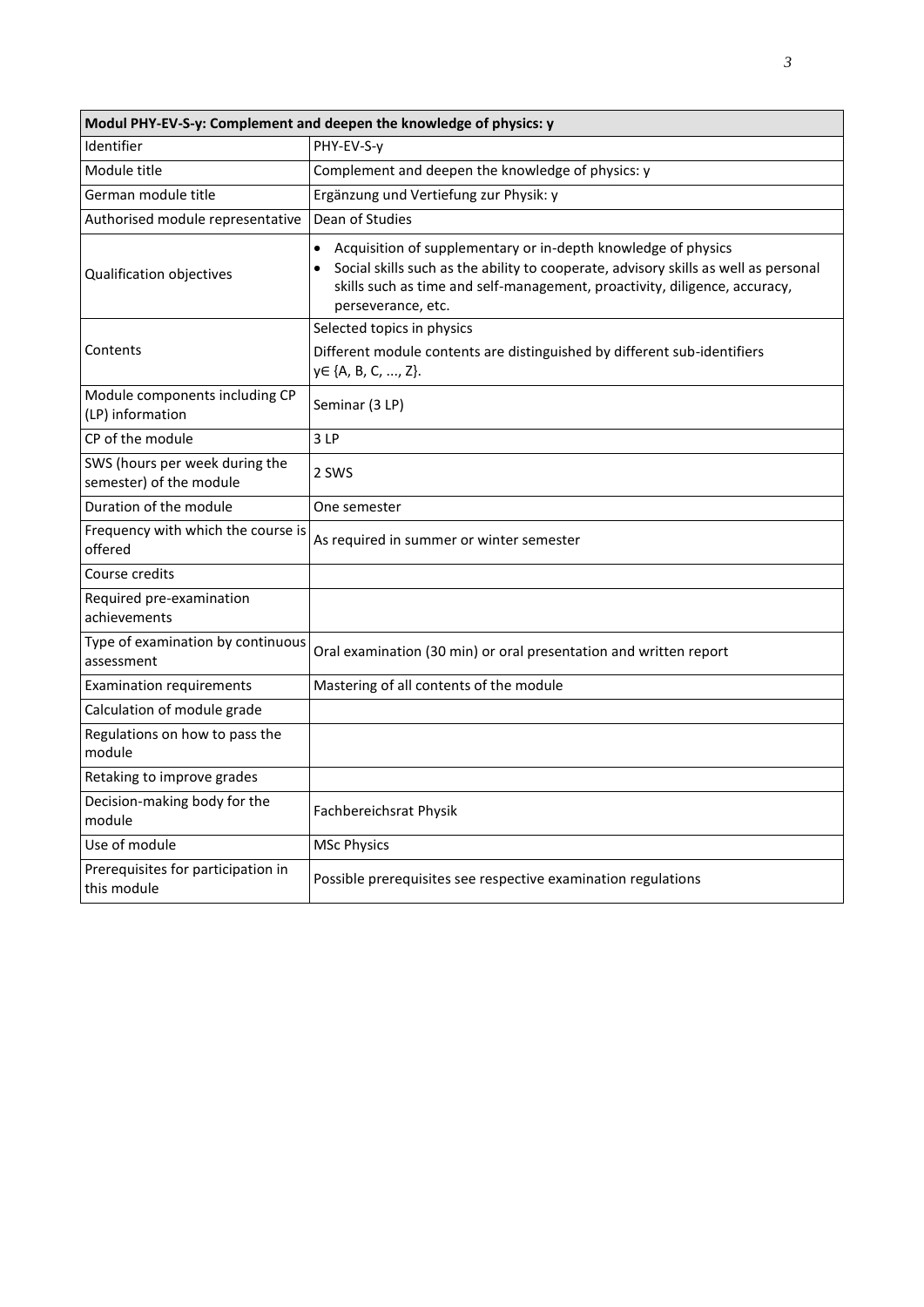| Modul PHY-EV-S-y: Complement and deepen the knowledge of physics: y |                                                                                                                                                                                                                                                                                    |  |
|---------------------------------------------------------------------|------------------------------------------------------------------------------------------------------------------------------------------------------------------------------------------------------------------------------------------------------------------------------------|--|
| Identifier                                                          | PHY-EV-S-y                                                                                                                                                                                                                                                                         |  |
| Module title                                                        | Complement and deepen the knowledge of physics: y                                                                                                                                                                                                                                  |  |
| German module title                                                 | Ergänzung und Vertiefung zur Physik: y                                                                                                                                                                                                                                             |  |
| Authorised module representative                                    | Dean of Studies                                                                                                                                                                                                                                                                    |  |
| Qualification objectives                                            | Acquisition of supplementary or in-depth knowledge of physics<br>$\bullet$<br>Social skills such as the ability to cooperate, advisory skills as well as personal<br>$\bullet$<br>skills such as time and self-management, proactivity, diligence, accuracy,<br>perseverance, etc. |  |
|                                                                     | Selected topics in physics                                                                                                                                                                                                                                                         |  |
| Contents                                                            | Different module contents are distinguished by different sub-identifiers<br>y∈ {A, B, C, , Z}.                                                                                                                                                                                     |  |
| Module components including CP<br>(LP) information                  | Seminar (3 LP)                                                                                                                                                                                                                                                                     |  |
| CP of the module                                                    | 3LP                                                                                                                                                                                                                                                                                |  |
| SWS (hours per week during the<br>semester) of the module           | 2 SWS                                                                                                                                                                                                                                                                              |  |
| Duration of the module                                              | One semester                                                                                                                                                                                                                                                                       |  |
| Frequency with which the course is<br>offered                       | As required in summer or winter semester                                                                                                                                                                                                                                           |  |
| Course credits                                                      |                                                                                                                                                                                                                                                                                    |  |
| Required pre-examination<br>achievements                            |                                                                                                                                                                                                                                                                                    |  |
| Type of examination by continuous<br>assessment                     | Oral examination (30 min) or oral presentation and written report                                                                                                                                                                                                                  |  |
| <b>Examination requirements</b>                                     | Mastering of all contents of the module                                                                                                                                                                                                                                            |  |
| Calculation of module grade                                         |                                                                                                                                                                                                                                                                                    |  |
| Regulations on how to pass the<br>module                            |                                                                                                                                                                                                                                                                                    |  |
| Retaking to improve grades                                          |                                                                                                                                                                                                                                                                                    |  |
| Decision-making body for the<br>module                              | Fachbereichsrat Physik                                                                                                                                                                                                                                                             |  |
| Use of module                                                       | <b>MSc Physics</b>                                                                                                                                                                                                                                                                 |  |
| Prerequisites for participation in<br>this module                   | Possible prerequisites see respective examination regulations                                                                                                                                                                                                                      |  |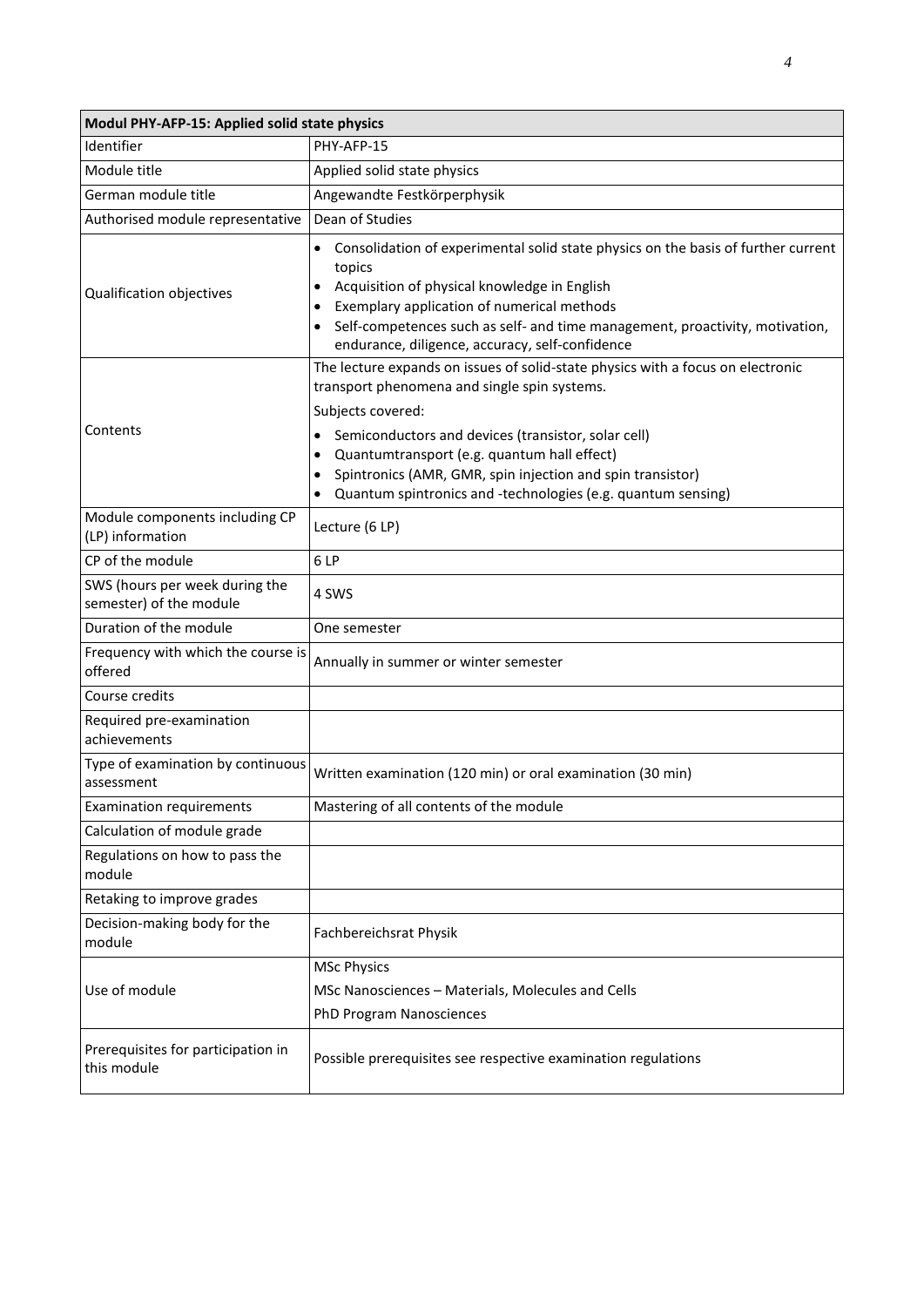| Modul PHY-AFP-15: Applied solid state physics             |                                                                                                                                                                                                                                                                                                                                                                                                                      |  |
|-----------------------------------------------------------|----------------------------------------------------------------------------------------------------------------------------------------------------------------------------------------------------------------------------------------------------------------------------------------------------------------------------------------------------------------------------------------------------------------------|--|
| Identifier                                                | PHY-AFP-15                                                                                                                                                                                                                                                                                                                                                                                                           |  |
| Module title                                              | Applied solid state physics                                                                                                                                                                                                                                                                                                                                                                                          |  |
| German module title                                       | Angewandte Festkörperphysik                                                                                                                                                                                                                                                                                                                                                                                          |  |
| Authorised module representative                          | Dean of Studies                                                                                                                                                                                                                                                                                                                                                                                                      |  |
| Qualification objectives                                  | Consolidation of experimental solid state physics on the basis of further current<br>$\bullet$<br>topics<br>Acquisition of physical knowledge in English<br>Exemplary application of numerical methods<br>٠<br>Self-competences such as self- and time management, proactivity, motivation,<br>endurance, diligence, accuracy, self-confidence                                                                       |  |
| Contents                                                  | The lecture expands on issues of solid-state physics with a focus on electronic<br>transport phenomena and single spin systems.<br>Subjects covered:<br>Semiconductors and devices (transistor, solar cell)<br>٠<br>Quantumtransport (e.g. quantum hall effect)<br>$\bullet$<br>Spintronics (AMR, GMR, spin injection and spin transistor)<br>٠<br>Quantum spintronics and -technologies (e.g. quantum sensing)<br>٠ |  |
| Module components including CP<br>(LP) information        | Lecture (6 LP)                                                                                                                                                                                                                                                                                                                                                                                                       |  |
| CP of the module                                          | 6 LP                                                                                                                                                                                                                                                                                                                                                                                                                 |  |
| SWS (hours per week during the<br>semester) of the module | 4 SWS                                                                                                                                                                                                                                                                                                                                                                                                                |  |
| Duration of the module                                    | One semester                                                                                                                                                                                                                                                                                                                                                                                                         |  |
| Frequency with which the course is<br>offered             | Annually in summer or winter semester                                                                                                                                                                                                                                                                                                                                                                                |  |
| Course credits                                            |                                                                                                                                                                                                                                                                                                                                                                                                                      |  |
| Required pre-examination<br>achievements                  |                                                                                                                                                                                                                                                                                                                                                                                                                      |  |
| Type of examination by continuous<br>assessment           | Written examination (120 min) or oral examination (30 min)                                                                                                                                                                                                                                                                                                                                                           |  |
| <b>Examination requirements</b>                           | Mastering of all contents of the module                                                                                                                                                                                                                                                                                                                                                                              |  |
| Calculation of module grade                               |                                                                                                                                                                                                                                                                                                                                                                                                                      |  |
| Regulations on how to pass the<br>module                  |                                                                                                                                                                                                                                                                                                                                                                                                                      |  |
| Retaking to improve grades                                |                                                                                                                                                                                                                                                                                                                                                                                                                      |  |
| Decision-making body for the<br>module                    | Fachbereichsrat Physik                                                                                                                                                                                                                                                                                                                                                                                               |  |
| Use of module                                             | <b>MSc Physics</b><br>MSc Nanosciences - Materials, Molecules and Cells<br>PhD Program Nanosciences                                                                                                                                                                                                                                                                                                                  |  |
| Prerequisites for participation in<br>this module         | Possible prerequisites see respective examination regulations                                                                                                                                                                                                                                                                                                                                                        |  |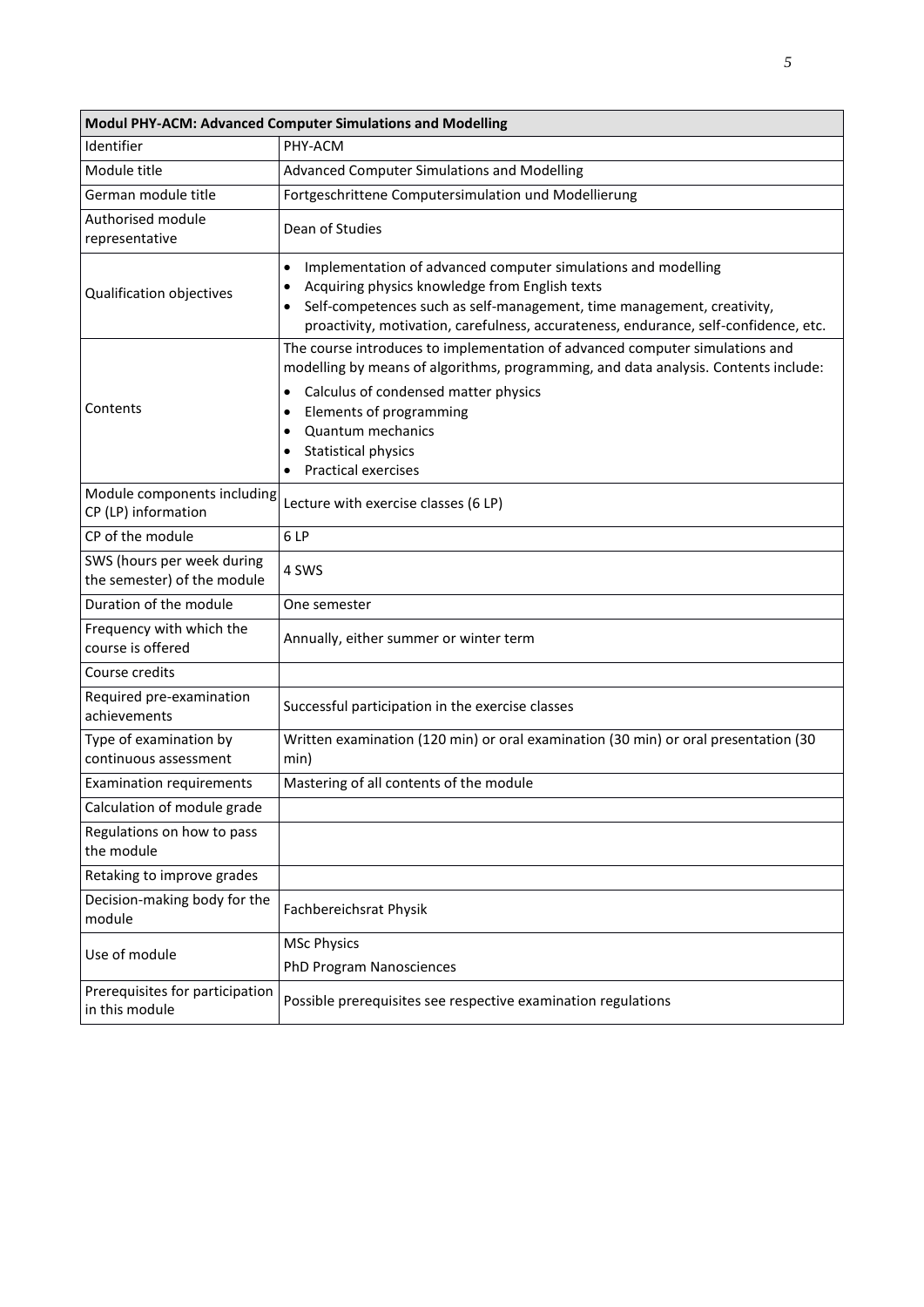| Modul PHY-ACM: Advanced Computer Simulations and Modelling |                                                                                                                                                                                                                                                                                                                                                                         |  |
|------------------------------------------------------------|-------------------------------------------------------------------------------------------------------------------------------------------------------------------------------------------------------------------------------------------------------------------------------------------------------------------------------------------------------------------------|--|
| Identifier                                                 | PHY-ACM                                                                                                                                                                                                                                                                                                                                                                 |  |
| Module title                                               | Advanced Computer Simulations and Modelling                                                                                                                                                                                                                                                                                                                             |  |
| German module title                                        | Fortgeschrittene Computersimulation und Modellierung                                                                                                                                                                                                                                                                                                                    |  |
| Authorised module<br>representative                        | Dean of Studies                                                                                                                                                                                                                                                                                                                                                         |  |
| Qualification objectives                                   | Implementation of advanced computer simulations and modelling<br>٠<br>Acquiring physics knowledge from English texts<br>٠<br>Self-competences such as self-management, time management, creativity,<br>٠<br>proactivity, motivation, carefulness, accurateness, endurance, self-confidence, etc.                                                                        |  |
| Contents                                                   | The course introduces to implementation of advanced computer simulations and<br>modelling by means of algorithms, programming, and data analysis. Contents include:<br>Calculus of condensed matter physics<br>٠<br>Elements of programming<br>٠<br><b>Quantum mechanics</b><br>$\bullet$<br><b>Statistical physics</b><br>٠<br><b>Practical exercises</b><br>$\bullet$ |  |
| Module components including<br>CP (LP) information         | Lecture with exercise classes (6 LP)                                                                                                                                                                                                                                                                                                                                    |  |
| CP of the module                                           | 6LP                                                                                                                                                                                                                                                                                                                                                                     |  |
| SWS (hours per week during<br>the semester) of the module  | 4 SWS                                                                                                                                                                                                                                                                                                                                                                   |  |
| Duration of the module                                     | One semester                                                                                                                                                                                                                                                                                                                                                            |  |
| Frequency with which the<br>course is offered              | Annually, either summer or winter term                                                                                                                                                                                                                                                                                                                                  |  |
| Course credits                                             |                                                                                                                                                                                                                                                                                                                                                                         |  |
| Required pre-examination<br>achievements                   | Successful participation in the exercise classes                                                                                                                                                                                                                                                                                                                        |  |
| Type of examination by<br>continuous assessment            | Written examination (120 min) or oral examination (30 min) or oral presentation (30<br>min)                                                                                                                                                                                                                                                                             |  |
| <b>Examination requirements</b>                            | Mastering of all contents of the module                                                                                                                                                                                                                                                                                                                                 |  |
| Calculation of module grade                                |                                                                                                                                                                                                                                                                                                                                                                         |  |
| Regulations on how to pass<br>the module                   |                                                                                                                                                                                                                                                                                                                                                                         |  |
| Retaking to improve grades                                 |                                                                                                                                                                                                                                                                                                                                                                         |  |
| Decision-making body for the<br>module                     | Fachbereichsrat Physik                                                                                                                                                                                                                                                                                                                                                  |  |
| Use of module                                              | <b>MSc Physics</b>                                                                                                                                                                                                                                                                                                                                                      |  |
|                                                            | PhD Program Nanosciences                                                                                                                                                                                                                                                                                                                                                |  |
| Prerequisites for participation<br>in this module          | Possible prerequisites see respective examination regulations                                                                                                                                                                                                                                                                                                           |  |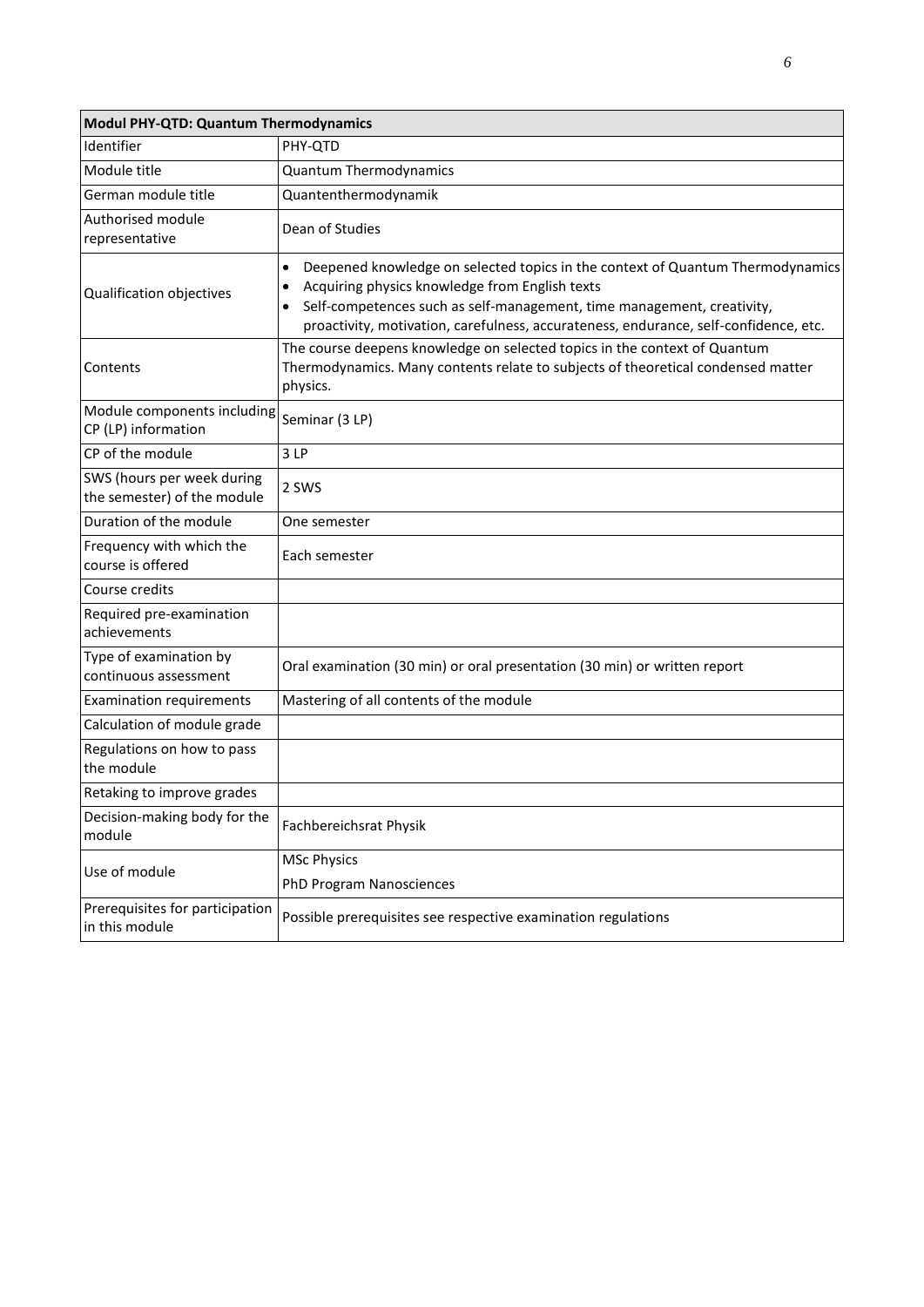| Modul PHY-QTD: Quantum Thermodynamics                     |                                                                                                                                                                                                                                                                                                                                   |  |
|-----------------------------------------------------------|-----------------------------------------------------------------------------------------------------------------------------------------------------------------------------------------------------------------------------------------------------------------------------------------------------------------------------------|--|
| Identifier                                                | PHY-QTD                                                                                                                                                                                                                                                                                                                           |  |
| Module title                                              | <b>Quantum Thermodynamics</b>                                                                                                                                                                                                                                                                                                     |  |
| German module title                                       | Quantenthermodynamik                                                                                                                                                                                                                                                                                                              |  |
| Authorised module<br>representative                       | Dean of Studies                                                                                                                                                                                                                                                                                                                   |  |
| Qualification objectives                                  | Deepened knowledge on selected topics in the context of Quantum Thermodynamics<br>$\bullet$<br>Acquiring physics knowledge from English texts<br>٠<br>Self-competences such as self-management, time management, creativity,<br>$\bullet$<br>proactivity, motivation, carefulness, accurateness, endurance, self-confidence, etc. |  |
| Contents                                                  | The course deepens knowledge on selected topics in the context of Quantum<br>Thermodynamics. Many contents relate to subjects of theoretical condensed matter<br>physics.                                                                                                                                                         |  |
| Module components including<br>CP (LP) information        | Seminar (3 LP)                                                                                                                                                                                                                                                                                                                    |  |
| CP of the module                                          | 3LP                                                                                                                                                                                                                                                                                                                               |  |
| SWS (hours per week during<br>the semester) of the module | 2 SWS                                                                                                                                                                                                                                                                                                                             |  |
| Duration of the module                                    | One semester                                                                                                                                                                                                                                                                                                                      |  |
| Frequency with which the<br>course is offered             | Each semester                                                                                                                                                                                                                                                                                                                     |  |
| Course credits                                            |                                                                                                                                                                                                                                                                                                                                   |  |
| Required pre-examination<br>achievements                  |                                                                                                                                                                                                                                                                                                                                   |  |
| Type of examination by<br>continuous assessment           | Oral examination (30 min) or oral presentation (30 min) or written report                                                                                                                                                                                                                                                         |  |
| Examination requirements                                  | Mastering of all contents of the module                                                                                                                                                                                                                                                                                           |  |
| Calculation of module grade                               |                                                                                                                                                                                                                                                                                                                                   |  |
| Regulations on how to pass<br>the module                  |                                                                                                                                                                                                                                                                                                                                   |  |
| Retaking to improve grades                                |                                                                                                                                                                                                                                                                                                                                   |  |
| Decision-making body for the<br>module                    | Fachbereichsrat Physik                                                                                                                                                                                                                                                                                                            |  |
| Use of module                                             | <b>MSc Physics</b>                                                                                                                                                                                                                                                                                                                |  |
|                                                           | <b>PhD Program Nanosciences</b>                                                                                                                                                                                                                                                                                                   |  |
| Prerequisites for participation<br>in this module         | Possible prerequisites see respective examination regulations                                                                                                                                                                                                                                                                     |  |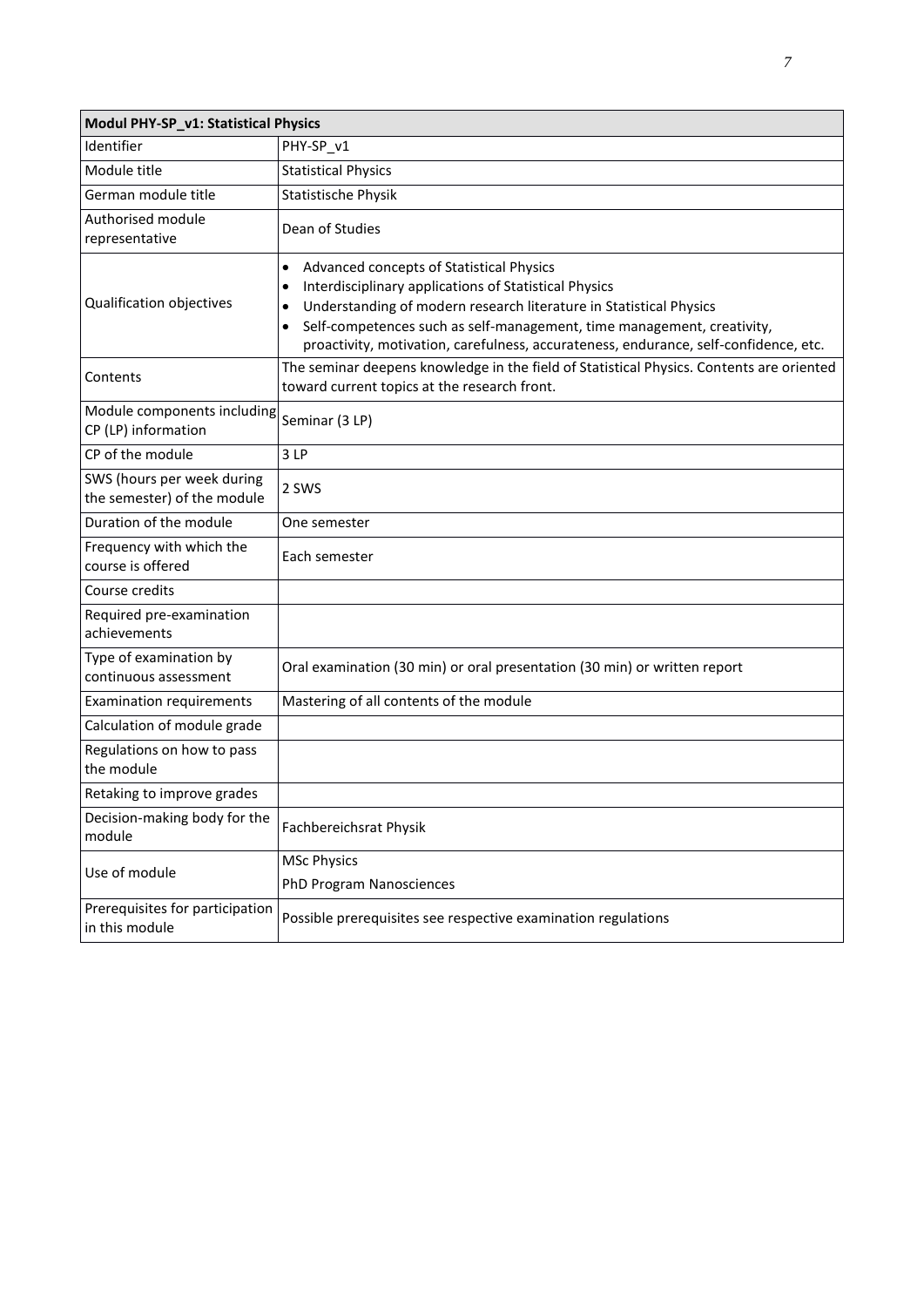| Modul PHY-SP_v1: Statistical Physics                      |                                                                                                                                                                                                                                                                                                                                                                               |  |
|-----------------------------------------------------------|-------------------------------------------------------------------------------------------------------------------------------------------------------------------------------------------------------------------------------------------------------------------------------------------------------------------------------------------------------------------------------|--|
| Identifier                                                | PHY-SP_v1                                                                                                                                                                                                                                                                                                                                                                     |  |
| Module title                                              | <b>Statistical Physics</b>                                                                                                                                                                                                                                                                                                                                                    |  |
| German module title                                       | <b>Statistische Physik</b>                                                                                                                                                                                                                                                                                                                                                    |  |
| Authorised module<br>representative                       | Dean of Studies                                                                                                                                                                                                                                                                                                                                                               |  |
| Qualification objectives                                  | Advanced concepts of Statistical Physics<br>٠<br>Interdisciplinary applications of Statistical Physics<br>$\bullet$<br>Understanding of modern research literature in Statistical Physics<br>$\bullet$<br>Self-competences such as self-management, time management, creativity,<br>٠<br>proactivity, motivation, carefulness, accurateness, endurance, self-confidence, etc. |  |
| Contents                                                  | The seminar deepens knowledge in the field of Statistical Physics. Contents are oriented<br>toward current topics at the research front.                                                                                                                                                                                                                                      |  |
| Module components including<br>CP (LP) information        | Seminar (3 LP)                                                                                                                                                                                                                                                                                                                                                                |  |
| CP of the module                                          | 3LP                                                                                                                                                                                                                                                                                                                                                                           |  |
| SWS (hours per week during<br>the semester) of the module | 2 SWS                                                                                                                                                                                                                                                                                                                                                                         |  |
| Duration of the module                                    | One semester                                                                                                                                                                                                                                                                                                                                                                  |  |
| Frequency with which the<br>course is offered             | Each semester                                                                                                                                                                                                                                                                                                                                                                 |  |
| Course credits                                            |                                                                                                                                                                                                                                                                                                                                                                               |  |
| Required pre-examination<br>achievements                  |                                                                                                                                                                                                                                                                                                                                                                               |  |
| Type of examination by<br>continuous assessment           | Oral examination (30 min) or oral presentation (30 min) or written report                                                                                                                                                                                                                                                                                                     |  |
| <b>Examination requirements</b>                           | Mastering of all contents of the module                                                                                                                                                                                                                                                                                                                                       |  |
| Calculation of module grade                               |                                                                                                                                                                                                                                                                                                                                                                               |  |
| Regulations on how to pass<br>the module                  |                                                                                                                                                                                                                                                                                                                                                                               |  |
| Retaking to improve grades                                |                                                                                                                                                                                                                                                                                                                                                                               |  |
| Decision-making body for the<br>module                    | Fachbereichsrat Physik                                                                                                                                                                                                                                                                                                                                                        |  |
| Use of module                                             | <b>MSc Physics</b>                                                                                                                                                                                                                                                                                                                                                            |  |
|                                                           | PhD Program Nanosciences                                                                                                                                                                                                                                                                                                                                                      |  |
| Prerequisites for participation<br>in this module         | Possible prerequisites see respective examination regulations                                                                                                                                                                                                                                                                                                                 |  |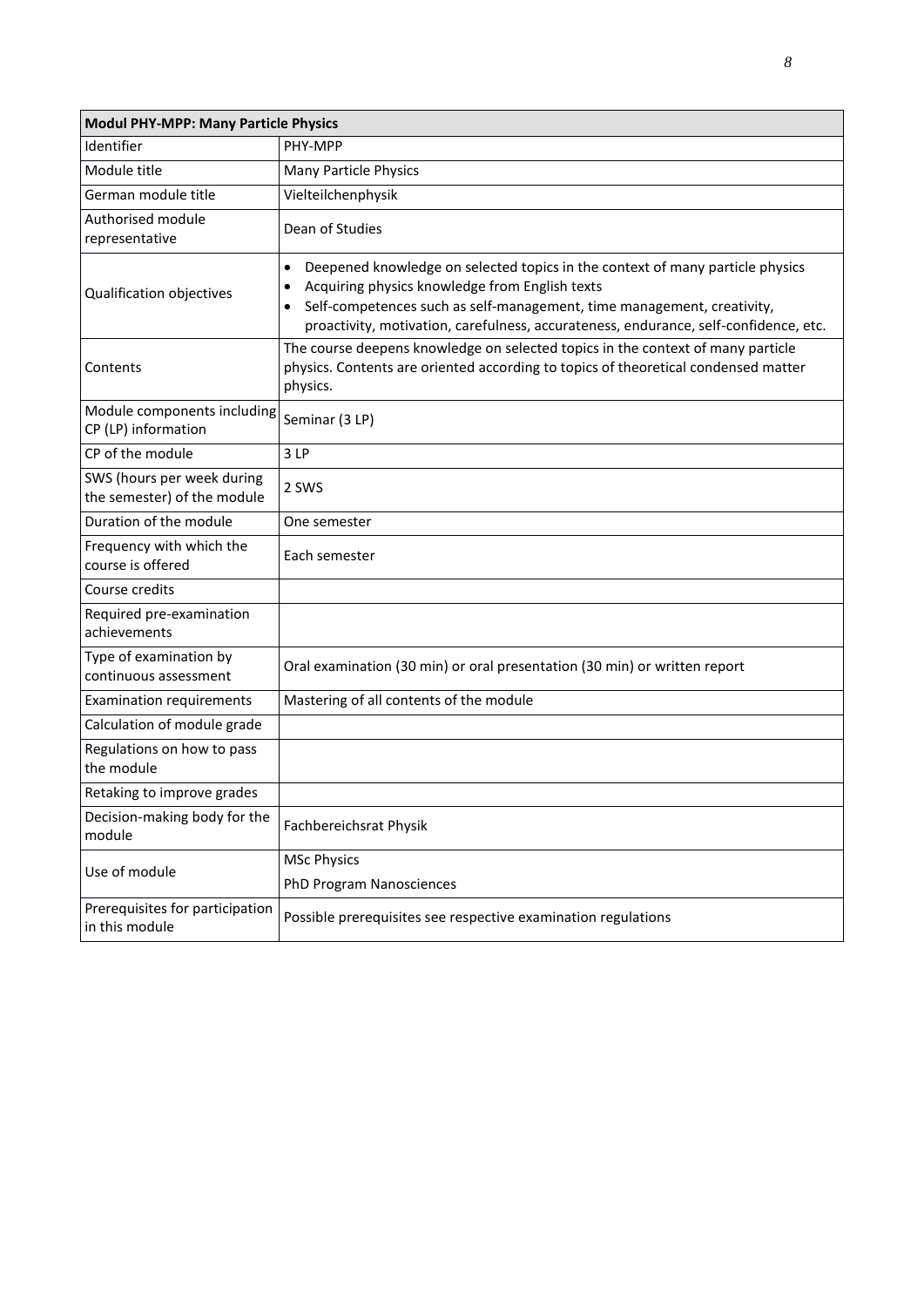| <b>Modul PHY-MPP: Many Particle Physics</b>               |                                                                                                                                                                                                                                                                                                        |  |
|-----------------------------------------------------------|--------------------------------------------------------------------------------------------------------------------------------------------------------------------------------------------------------------------------------------------------------------------------------------------------------|--|
| Identifier                                                | PHY-MPP                                                                                                                                                                                                                                                                                                |  |
| Module title                                              | Many Particle Physics                                                                                                                                                                                                                                                                                  |  |
| German module title                                       | Vielteilchenphysik                                                                                                                                                                                                                                                                                     |  |
| Authorised module<br>representative                       | Dean of Studies                                                                                                                                                                                                                                                                                        |  |
| Qualification objectives                                  | Deepened knowledge on selected topics in the context of many particle physics<br>Acquiring physics knowledge from English texts<br>٠<br>Self-competences such as self-management, time management, creativity,<br>proactivity, motivation, carefulness, accurateness, endurance, self-confidence, etc. |  |
| Contents                                                  | The course deepens knowledge on selected topics in the context of many particle<br>physics. Contents are oriented according to topics of theoretical condensed matter<br>physics.                                                                                                                      |  |
| Module components including<br>CP (LP) information        | Seminar (3 LP)                                                                                                                                                                                                                                                                                         |  |
| CP of the module                                          | 3LP                                                                                                                                                                                                                                                                                                    |  |
| SWS (hours per week during<br>the semester) of the module | 2 SWS                                                                                                                                                                                                                                                                                                  |  |
| Duration of the module                                    | One semester                                                                                                                                                                                                                                                                                           |  |
| Frequency with which the<br>course is offered             | Each semester                                                                                                                                                                                                                                                                                          |  |
| Course credits                                            |                                                                                                                                                                                                                                                                                                        |  |
| Required pre-examination<br>achievements                  |                                                                                                                                                                                                                                                                                                        |  |
| Type of examination by<br>continuous assessment           | Oral examination (30 min) or oral presentation (30 min) or written report                                                                                                                                                                                                                              |  |
| <b>Examination requirements</b>                           | Mastering of all contents of the module                                                                                                                                                                                                                                                                |  |
| Calculation of module grade                               |                                                                                                                                                                                                                                                                                                        |  |
| Regulations on how to pass<br>the module                  |                                                                                                                                                                                                                                                                                                        |  |
| Retaking to improve grades                                |                                                                                                                                                                                                                                                                                                        |  |
| Decision-making body for the<br>module                    | Fachbereichsrat Physik                                                                                                                                                                                                                                                                                 |  |
| Use of module                                             | <b>MSc Physics</b>                                                                                                                                                                                                                                                                                     |  |
|                                                           | PhD Program Nanosciences                                                                                                                                                                                                                                                                               |  |
| Prerequisites for participation<br>in this module         | Possible prerequisites see respective examination regulations                                                                                                                                                                                                                                          |  |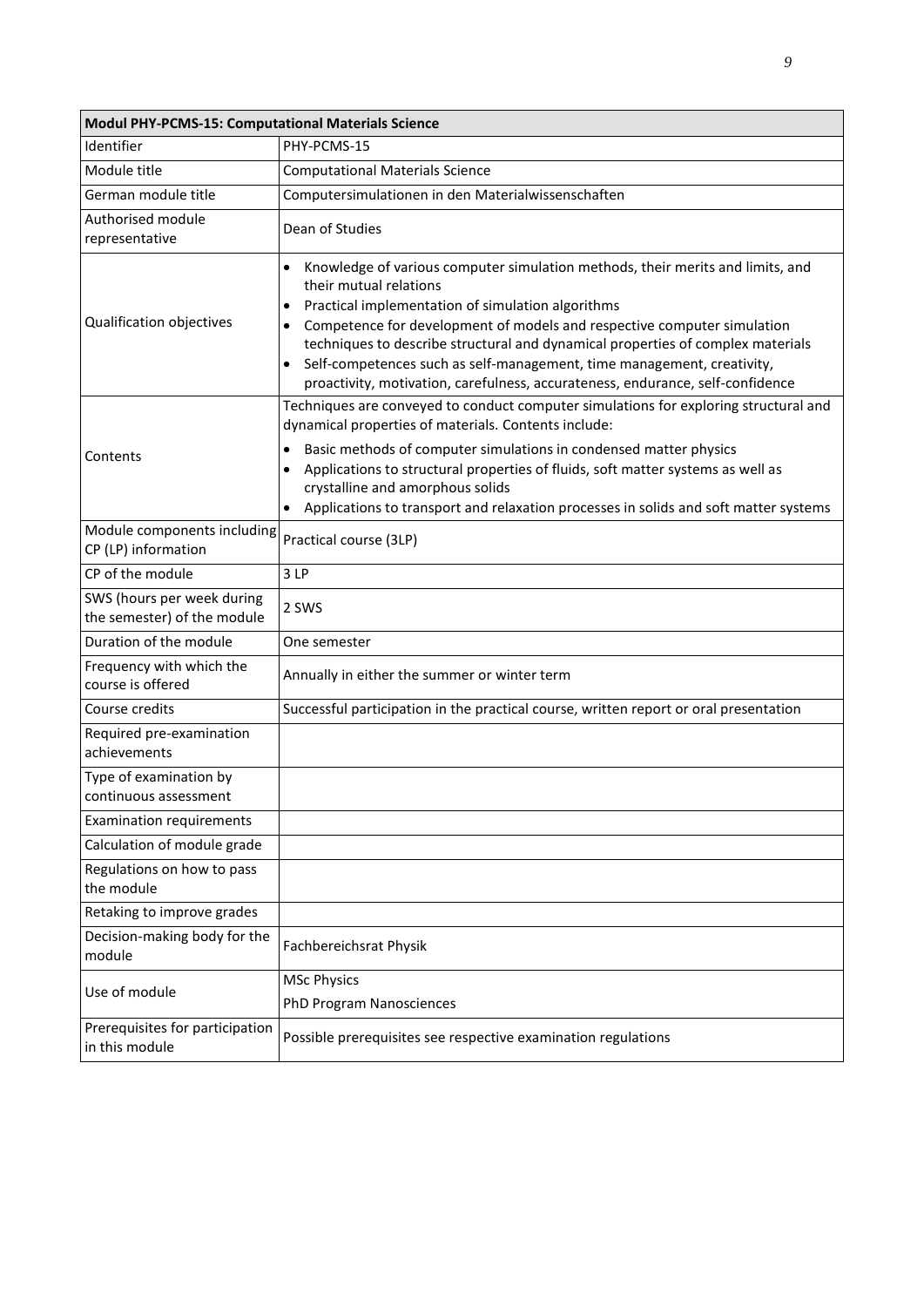| <b>Modul PHY-PCMS-15: Computational Materials Science</b> |                                                                                                                                                                                                                                                                                                                                                                                                                                                                                                             |  |
|-----------------------------------------------------------|-------------------------------------------------------------------------------------------------------------------------------------------------------------------------------------------------------------------------------------------------------------------------------------------------------------------------------------------------------------------------------------------------------------------------------------------------------------------------------------------------------------|--|
| Identifier                                                | PHY-PCMS-15                                                                                                                                                                                                                                                                                                                                                                                                                                                                                                 |  |
| Module title                                              | <b>Computational Materials Science</b>                                                                                                                                                                                                                                                                                                                                                                                                                                                                      |  |
| German module title                                       | Computersimulationen in den Materialwissenschaften                                                                                                                                                                                                                                                                                                                                                                                                                                                          |  |
| Authorised module<br>representative                       | Dean of Studies                                                                                                                                                                                                                                                                                                                                                                                                                                                                                             |  |
| Qualification objectives                                  | Knowledge of various computer simulation methods, their merits and limits, and<br>٠<br>their mutual relations<br>Practical implementation of simulation algorithms<br>٠<br>Competence for development of models and respective computer simulation<br>٠<br>techniques to describe structural and dynamical properties of complex materials<br>Self-competences such as self-management, time management, creativity,<br>٠<br>proactivity, motivation, carefulness, accurateness, endurance, self-confidence |  |
| Contents                                                  | Techniques are conveyed to conduct computer simulations for exploring structural and<br>dynamical properties of materials. Contents include:<br>Basic methods of computer simulations in condensed matter physics<br>٠<br>Applications to structural properties of fluids, soft matter systems as well as<br>٠<br>crystalline and amorphous solids<br>Applications to transport and relaxation processes in solids and soft matter systems<br>$\bullet$                                                     |  |
| Module components including<br>CP (LP) information        | Practical course (3LP)                                                                                                                                                                                                                                                                                                                                                                                                                                                                                      |  |
| CP of the module                                          | 3LP                                                                                                                                                                                                                                                                                                                                                                                                                                                                                                         |  |
| SWS (hours per week during<br>the semester) of the module | 2 SWS                                                                                                                                                                                                                                                                                                                                                                                                                                                                                                       |  |
| Duration of the module                                    | One semester                                                                                                                                                                                                                                                                                                                                                                                                                                                                                                |  |
| Frequency with which the<br>course is offered             | Annually in either the summer or winter term                                                                                                                                                                                                                                                                                                                                                                                                                                                                |  |
| Course credits                                            | Successful participation in the practical course, written report or oral presentation                                                                                                                                                                                                                                                                                                                                                                                                                       |  |
| Required pre-examination<br>achievements                  |                                                                                                                                                                                                                                                                                                                                                                                                                                                                                                             |  |
| Type of examination by<br>continuous assessment           |                                                                                                                                                                                                                                                                                                                                                                                                                                                                                                             |  |
| <b>Examination requirements</b>                           |                                                                                                                                                                                                                                                                                                                                                                                                                                                                                                             |  |
| Calculation of module grade                               |                                                                                                                                                                                                                                                                                                                                                                                                                                                                                                             |  |
| Regulations on how to pass<br>the module                  |                                                                                                                                                                                                                                                                                                                                                                                                                                                                                                             |  |
| Retaking to improve grades                                |                                                                                                                                                                                                                                                                                                                                                                                                                                                                                                             |  |
| Decision-making body for the<br>module                    | Fachbereichsrat Physik                                                                                                                                                                                                                                                                                                                                                                                                                                                                                      |  |
| Use of module                                             | <b>MSc Physics</b>                                                                                                                                                                                                                                                                                                                                                                                                                                                                                          |  |
|                                                           | <b>PhD Program Nanosciences</b>                                                                                                                                                                                                                                                                                                                                                                                                                                                                             |  |
| Prerequisites for participation<br>in this module         | Possible prerequisites see respective examination regulations                                                                                                                                                                                                                                                                                                                                                                                                                                               |  |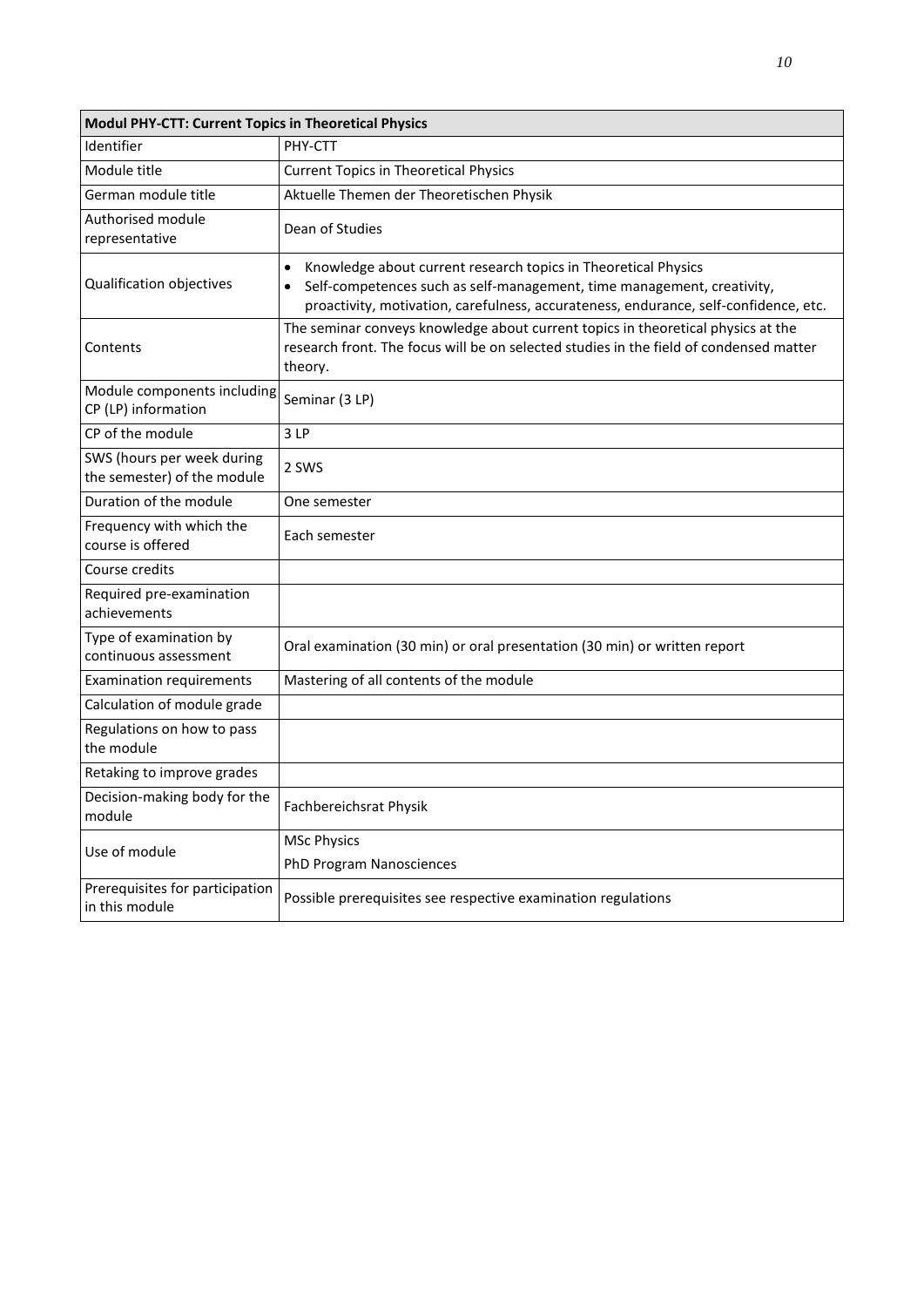| Modul PHY-CTT: Current Topics in Theoretical Physics      |                                                                                                                                                                                                                                               |  |
|-----------------------------------------------------------|-----------------------------------------------------------------------------------------------------------------------------------------------------------------------------------------------------------------------------------------------|--|
| Identifier                                                | PHY-CTT                                                                                                                                                                                                                                       |  |
| Module title                                              | <b>Current Topics in Theoretical Physics</b>                                                                                                                                                                                                  |  |
| German module title                                       | Aktuelle Themen der Theoretischen Physik                                                                                                                                                                                                      |  |
| Authorised module<br>representative                       | Dean of Studies                                                                                                                                                                                                                               |  |
| Qualification objectives                                  | Knowledge about current research topics in Theoretical Physics<br>$\bullet$<br>Self-competences such as self-management, time management, creativity,<br>proactivity, motivation, carefulness, accurateness, endurance, self-confidence, etc. |  |
| Contents                                                  | The seminar conveys knowledge about current topics in theoretical physics at the<br>research front. The focus will be on selected studies in the field of condensed matter<br>theory.                                                         |  |
| Module components including<br>CP (LP) information        | Seminar (3 LP)                                                                                                                                                                                                                                |  |
| CP of the module                                          | 3LP                                                                                                                                                                                                                                           |  |
| SWS (hours per week during<br>the semester) of the module | 2 SWS                                                                                                                                                                                                                                         |  |
| Duration of the module                                    | One semester                                                                                                                                                                                                                                  |  |
| Frequency with which the<br>course is offered             | Each semester                                                                                                                                                                                                                                 |  |
| Course credits                                            |                                                                                                                                                                                                                                               |  |
| Required pre-examination<br>achievements                  |                                                                                                                                                                                                                                               |  |
| Type of examination by<br>continuous assessment           | Oral examination (30 min) or oral presentation (30 min) or written report                                                                                                                                                                     |  |
| <b>Examination requirements</b>                           | Mastering of all contents of the module                                                                                                                                                                                                       |  |
| Calculation of module grade                               |                                                                                                                                                                                                                                               |  |
| Regulations on how to pass<br>the module                  |                                                                                                                                                                                                                                               |  |
| Retaking to improve grades                                |                                                                                                                                                                                                                                               |  |
| Decision-making body for the<br>module                    | Fachbereichsrat Physik                                                                                                                                                                                                                        |  |
| Use of module                                             | <b>MSc Physics</b><br>PhD Program Nanosciences                                                                                                                                                                                                |  |
| Prerequisites for participation<br>in this module         | Possible prerequisites see respective examination regulations                                                                                                                                                                                 |  |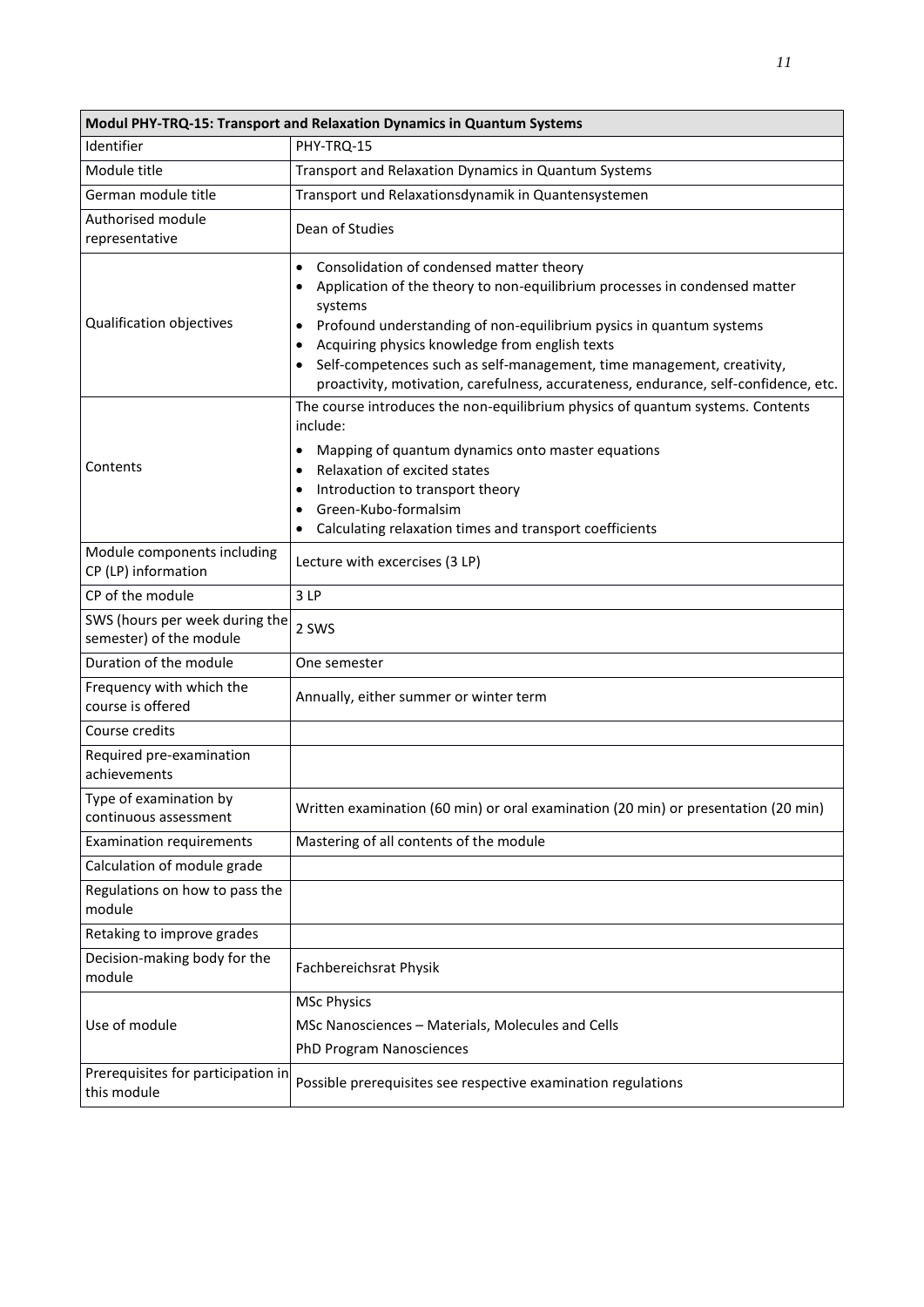| Modul PHY-TRQ-15: Transport and Relaxation Dynamics in Quantum Systems |                                                                                                                                                                                                                                                                                                                                                                                                                                                                     |  |
|------------------------------------------------------------------------|---------------------------------------------------------------------------------------------------------------------------------------------------------------------------------------------------------------------------------------------------------------------------------------------------------------------------------------------------------------------------------------------------------------------------------------------------------------------|--|
| Identifier                                                             | PHY-TRQ-15                                                                                                                                                                                                                                                                                                                                                                                                                                                          |  |
| Module title                                                           | Transport and Relaxation Dynamics in Quantum Systems                                                                                                                                                                                                                                                                                                                                                                                                                |  |
| German module title                                                    | Transport und Relaxationsdynamik in Quantensystemen                                                                                                                                                                                                                                                                                                                                                                                                                 |  |
| Authorised module<br>representative                                    | Dean of Studies                                                                                                                                                                                                                                                                                                                                                                                                                                                     |  |
| Qualification objectives                                               | Consolidation of condensed matter theory<br>$\bullet$<br>Application of the theory to non-equilibrium processes in condensed matter<br>$\bullet$<br>systems<br>Profound understanding of non-equilibrium pysics in quantum systems<br>Acquiring physics knowledge from english texts<br>$\bullet$<br>Self-competences such as self-management, time management, creativity,<br>proactivity, motivation, carefulness, accurateness, endurance, self-confidence, etc. |  |
| Contents                                                               | The course introduces the non-equilibrium physics of quantum systems. Contents<br>include:<br>Mapping of quantum dynamics onto master equations<br>$\bullet$<br>Relaxation of excited states<br>$\bullet$<br>Introduction to transport theory<br>$\bullet$<br>Green-Kubo-formalsim<br>$\bullet$<br>Calculating relaxation times and transport coefficients<br>$\bullet$                                                                                             |  |
| Module components including<br>CP (LP) information                     | Lecture with excercises (3 LP)                                                                                                                                                                                                                                                                                                                                                                                                                                      |  |
| CP of the module                                                       | 3LP                                                                                                                                                                                                                                                                                                                                                                                                                                                                 |  |
| SWS (hours per week during the<br>semester) of the module              | 2 SWS                                                                                                                                                                                                                                                                                                                                                                                                                                                               |  |
| Duration of the module                                                 | One semester                                                                                                                                                                                                                                                                                                                                                                                                                                                        |  |
| Frequency with which the<br>course is offered                          | Annually, either summer or winter term                                                                                                                                                                                                                                                                                                                                                                                                                              |  |
| Course credits                                                         |                                                                                                                                                                                                                                                                                                                                                                                                                                                                     |  |
| Required pre-examination<br>achievements                               |                                                                                                                                                                                                                                                                                                                                                                                                                                                                     |  |
| Type of examination by<br>continuous assessment                        | Written examination (60 min) or oral examination (20 min) or presentation (20 min)                                                                                                                                                                                                                                                                                                                                                                                  |  |
| <b>Examination requirements</b>                                        | Mastering of all contents of the module                                                                                                                                                                                                                                                                                                                                                                                                                             |  |
| Calculation of module grade                                            |                                                                                                                                                                                                                                                                                                                                                                                                                                                                     |  |
| Regulations on how to pass the<br>module                               |                                                                                                                                                                                                                                                                                                                                                                                                                                                                     |  |
| Retaking to improve grades                                             |                                                                                                                                                                                                                                                                                                                                                                                                                                                                     |  |
| Decision-making body for the<br>module                                 | Fachbereichsrat Physik                                                                                                                                                                                                                                                                                                                                                                                                                                              |  |
|                                                                        | <b>MSc Physics</b>                                                                                                                                                                                                                                                                                                                                                                                                                                                  |  |
| Use of module                                                          | MSc Nanosciences - Materials, Molecules and Cells                                                                                                                                                                                                                                                                                                                                                                                                                   |  |
|                                                                        | PhD Program Nanosciences                                                                                                                                                                                                                                                                                                                                                                                                                                            |  |
| Prerequisites for participation in<br>this module                      | Possible prerequisites see respective examination regulations                                                                                                                                                                                                                                                                                                                                                                                                       |  |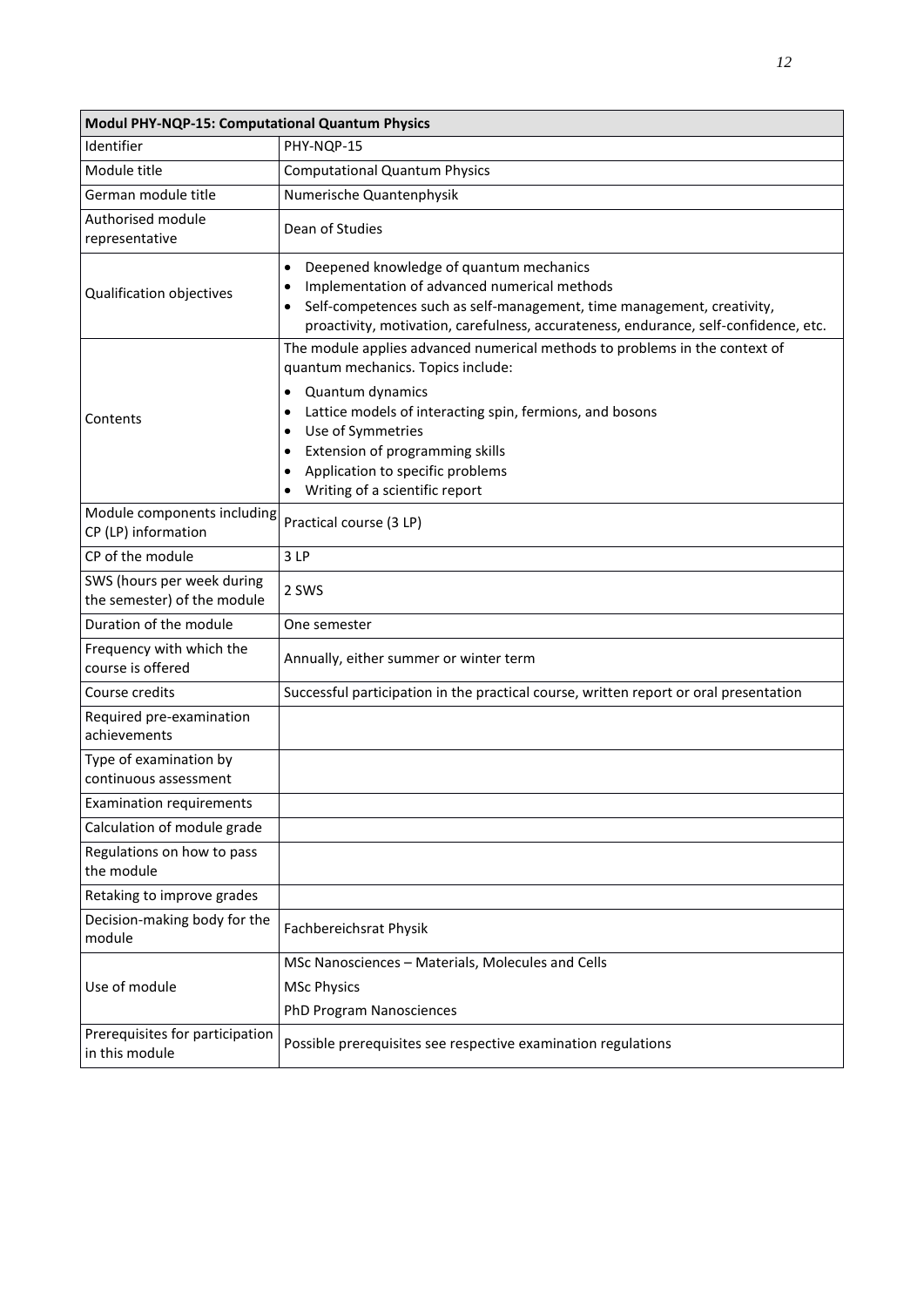| Modul PHY-NQP-15: Computational Quantum Physics           |                                                                                                                                                                                                                                                                                                                                                                                          |  |
|-----------------------------------------------------------|------------------------------------------------------------------------------------------------------------------------------------------------------------------------------------------------------------------------------------------------------------------------------------------------------------------------------------------------------------------------------------------|--|
| Identifier                                                | PHY-NOP-15                                                                                                                                                                                                                                                                                                                                                                               |  |
| Module title                                              | <b>Computational Quantum Physics</b>                                                                                                                                                                                                                                                                                                                                                     |  |
| German module title                                       | Numerische Quantenphysik                                                                                                                                                                                                                                                                                                                                                                 |  |
| Authorised module<br>representative                       | Dean of Studies                                                                                                                                                                                                                                                                                                                                                                          |  |
| Qualification objectives                                  | Deepened knowledge of quantum mechanics<br>$\bullet$<br>Implementation of advanced numerical methods<br>$\bullet$<br>Self-competences such as self-management, time management, creativity,<br>$\bullet$<br>proactivity, motivation, carefulness, accurateness, endurance, self-confidence, etc.                                                                                         |  |
| Contents                                                  | The module applies advanced numerical methods to problems in the context of<br>quantum mechanics. Topics include:<br>Quantum dynamics<br>Lattice models of interacting spin, fermions, and bosons<br>$\bullet$<br>Use of Symmetries<br>$\bullet$<br>Extension of programming skills<br>٠<br>Application to specific problems<br>$\bullet$<br>Writing of a scientific report<br>$\bullet$ |  |
| Module components including<br>CP (LP) information        | Practical course (3 LP)                                                                                                                                                                                                                                                                                                                                                                  |  |
| CP of the module                                          | 3LP                                                                                                                                                                                                                                                                                                                                                                                      |  |
| SWS (hours per week during<br>the semester) of the module | 2 SWS                                                                                                                                                                                                                                                                                                                                                                                    |  |
| Duration of the module                                    | One semester                                                                                                                                                                                                                                                                                                                                                                             |  |
| Frequency with which the<br>course is offered             | Annually, either summer or winter term                                                                                                                                                                                                                                                                                                                                                   |  |
| Course credits                                            | Successful participation in the practical course, written report or oral presentation                                                                                                                                                                                                                                                                                                    |  |
| Required pre-examination<br>achievements                  |                                                                                                                                                                                                                                                                                                                                                                                          |  |
| Type of examination by<br>continuous assessment           |                                                                                                                                                                                                                                                                                                                                                                                          |  |
| <b>Examination requirements</b>                           |                                                                                                                                                                                                                                                                                                                                                                                          |  |
| Calculation of module grade                               |                                                                                                                                                                                                                                                                                                                                                                                          |  |
| Regulations on how to pass<br>the module                  |                                                                                                                                                                                                                                                                                                                                                                                          |  |
| Retaking to improve grades                                |                                                                                                                                                                                                                                                                                                                                                                                          |  |
| Decision-making body for the<br>module                    | Fachbereichsrat Physik                                                                                                                                                                                                                                                                                                                                                                   |  |
|                                                           | MSc Nanosciences - Materials, Molecules and Cells                                                                                                                                                                                                                                                                                                                                        |  |
| Use of module                                             | <b>MSc Physics</b>                                                                                                                                                                                                                                                                                                                                                                       |  |
|                                                           | PhD Program Nanosciences                                                                                                                                                                                                                                                                                                                                                                 |  |
| Prerequisites for participation<br>in this module         | Possible prerequisites see respective examination regulations                                                                                                                                                                                                                                                                                                                            |  |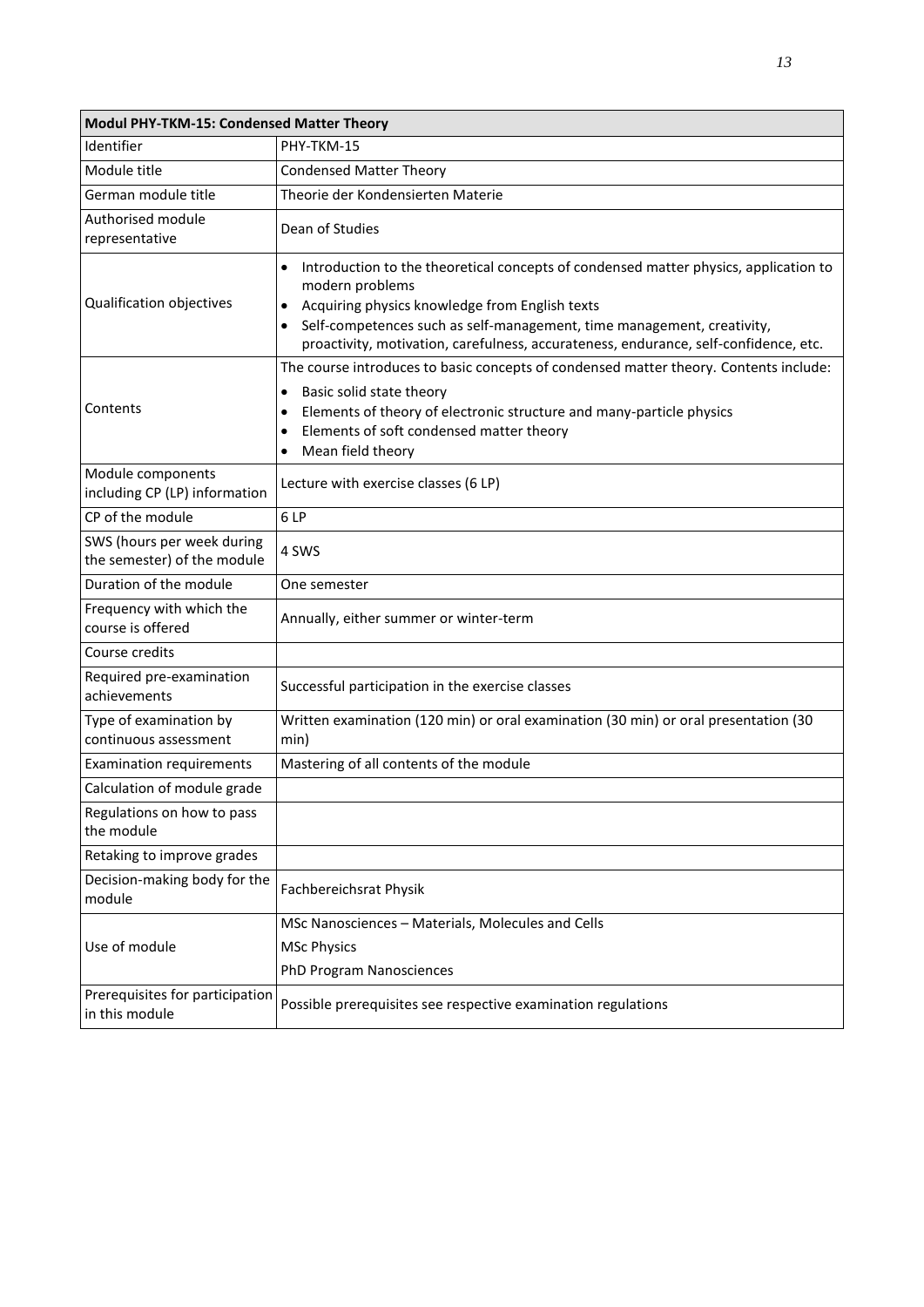| <b>Modul PHY-TKM-15: Condensed Matter Theory</b>          |                                                                                                                                                                                                                                                                                                                                          |  |
|-----------------------------------------------------------|------------------------------------------------------------------------------------------------------------------------------------------------------------------------------------------------------------------------------------------------------------------------------------------------------------------------------------------|--|
| Identifier                                                | PHY-TKM-15                                                                                                                                                                                                                                                                                                                               |  |
| Module title                                              | <b>Condensed Matter Theory</b>                                                                                                                                                                                                                                                                                                           |  |
| German module title                                       | Theorie der Kondensierten Materie                                                                                                                                                                                                                                                                                                        |  |
| Authorised module<br>representative                       | Dean of Studies                                                                                                                                                                                                                                                                                                                          |  |
| Qualification objectives                                  | Introduction to the theoretical concepts of condensed matter physics, application to<br>modern problems<br>Acquiring physics knowledge from English texts<br>$\bullet$<br>Self-competences such as self-management, time management, creativity,<br>proactivity, motivation, carefulness, accurateness, endurance, self-confidence, etc. |  |
| Contents                                                  | The course introduces to basic concepts of condensed matter theory. Contents include:<br>Basic solid state theory<br>Elements of theory of electronic structure and many-particle physics<br>Elements of soft condensed matter theory<br>Mean field theory                                                                               |  |
| Module components<br>including CP (LP) information        | Lecture with exercise classes (6 LP)                                                                                                                                                                                                                                                                                                     |  |
| CP of the module                                          | 6LP                                                                                                                                                                                                                                                                                                                                      |  |
| SWS (hours per week during<br>the semester) of the module | 4 SWS                                                                                                                                                                                                                                                                                                                                    |  |
| Duration of the module                                    | One semester                                                                                                                                                                                                                                                                                                                             |  |
| Frequency with which the<br>course is offered             | Annually, either summer or winter-term                                                                                                                                                                                                                                                                                                   |  |
| Course credits                                            |                                                                                                                                                                                                                                                                                                                                          |  |
| Required pre-examination<br>achievements                  | Successful participation in the exercise classes                                                                                                                                                                                                                                                                                         |  |
| Type of examination by<br>continuous assessment           | Written examination (120 min) or oral examination (30 min) or oral presentation (30<br>min)                                                                                                                                                                                                                                              |  |
| <b>Examination requirements</b>                           | Mastering of all contents of the module                                                                                                                                                                                                                                                                                                  |  |
| Calculation of module grade                               |                                                                                                                                                                                                                                                                                                                                          |  |
| Regulations on how to pass<br>the module                  |                                                                                                                                                                                                                                                                                                                                          |  |
| Retaking to improve grades                                |                                                                                                                                                                                                                                                                                                                                          |  |
| Decision-making body for the<br>module                    | Fachbereichsrat Physik                                                                                                                                                                                                                                                                                                                   |  |
|                                                           | MSc Nanosciences - Materials, Molecules and Cells                                                                                                                                                                                                                                                                                        |  |
| Use of module                                             | <b>MSc Physics</b>                                                                                                                                                                                                                                                                                                                       |  |
|                                                           | PhD Program Nanosciences                                                                                                                                                                                                                                                                                                                 |  |
| Prerequisites for participation<br>in this module         | Possible prerequisites see respective examination regulations                                                                                                                                                                                                                                                                            |  |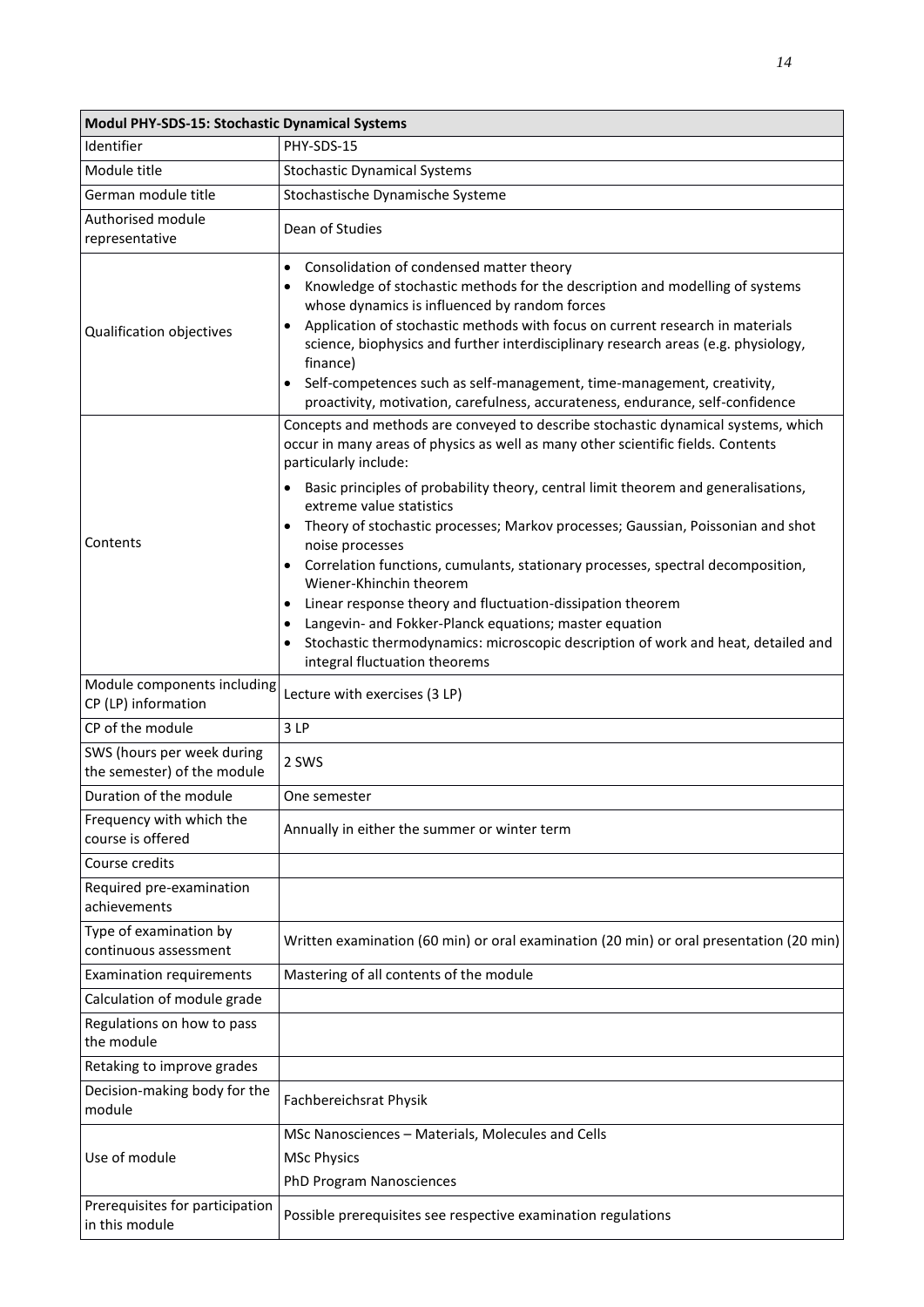| Modul PHY-SDS-15: Stochastic Dynamical Systems            |                                                                                                                                                                                                                                                                                                                                                                                                                                                                                                                                                              |  |
|-----------------------------------------------------------|--------------------------------------------------------------------------------------------------------------------------------------------------------------------------------------------------------------------------------------------------------------------------------------------------------------------------------------------------------------------------------------------------------------------------------------------------------------------------------------------------------------------------------------------------------------|--|
| Identifier                                                | PHY-SDS-15                                                                                                                                                                                                                                                                                                                                                                                                                                                                                                                                                   |  |
| Module title                                              | <b>Stochastic Dynamical Systems</b>                                                                                                                                                                                                                                                                                                                                                                                                                                                                                                                          |  |
| German module title                                       | Stochastische Dynamische Systeme                                                                                                                                                                                                                                                                                                                                                                                                                                                                                                                             |  |
| Authorised module<br>representative                       | Dean of Studies                                                                                                                                                                                                                                                                                                                                                                                                                                                                                                                                              |  |
| Qualification objectives                                  | Consolidation of condensed matter theory<br>$\bullet$<br>Knowledge of stochastic methods for the description and modelling of systems<br>$\bullet$<br>whose dynamics is influenced by random forces<br>Application of stochastic methods with focus on current research in materials<br>٠<br>science, biophysics and further interdisciplinary research areas (e.g. physiology,<br>finance)<br>Self-competences such as self-management, time-management, creativity,<br>٠<br>proactivity, motivation, carefulness, accurateness, endurance, self-confidence |  |
|                                                           | Concepts and methods are conveyed to describe stochastic dynamical systems, which<br>occur in many areas of physics as well as many other scientific fields. Contents<br>particularly include:<br>Basic principles of probability theory, central limit theorem and generalisations,                                                                                                                                                                                                                                                                         |  |
| Contents                                                  | extreme value statistics<br>Theory of stochastic processes; Markov processes; Gaussian, Poissonian and shot<br>$\bullet$<br>noise processes<br>Correlation functions, cumulants, stationary processes, spectral decomposition,<br>Wiener-Khinchin theorem<br>Linear response theory and fluctuation-dissipation theorem<br>Langevin- and Fokker-Planck equations; master equation<br>٠                                                                                                                                                                       |  |
| Module components including                               | Stochastic thermodynamics: microscopic description of work and heat, detailed and<br>integral fluctuation theorems                                                                                                                                                                                                                                                                                                                                                                                                                                           |  |
| CP (LP) information                                       | Lecture with exercises (3 LP)                                                                                                                                                                                                                                                                                                                                                                                                                                                                                                                                |  |
| CP of the module                                          | 3 LP                                                                                                                                                                                                                                                                                                                                                                                                                                                                                                                                                         |  |
| SWS (hours per week during<br>the semester) of the module | 2 SWS                                                                                                                                                                                                                                                                                                                                                                                                                                                                                                                                                        |  |
| Duration of the module                                    | One semester                                                                                                                                                                                                                                                                                                                                                                                                                                                                                                                                                 |  |
| Frequency with which the<br>course is offered             | Annually in either the summer or winter term                                                                                                                                                                                                                                                                                                                                                                                                                                                                                                                 |  |
| Course credits                                            |                                                                                                                                                                                                                                                                                                                                                                                                                                                                                                                                                              |  |
| Required pre-examination<br>achievements                  |                                                                                                                                                                                                                                                                                                                                                                                                                                                                                                                                                              |  |
| Type of examination by<br>continuous assessment           | Written examination (60 min) or oral examination (20 min) or oral presentation (20 min)                                                                                                                                                                                                                                                                                                                                                                                                                                                                      |  |
| <b>Examination requirements</b>                           | Mastering of all contents of the module                                                                                                                                                                                                                                                                                                                                                                                                                                                                                                                      |  |
| Calculation of module grade                               |                                                                                                                                                                                                                                                                                                                                                                                                                                                                                                                                                              |  |
| Regulations on how to pass<br>the module                  |                                                                                                                                                                                                                                                                                                                                                                                                                                                                                                                                                              |  |
| Retaking to improve grades                                |                                                                                                                                                                                                                                                                                                                                                                                                                                                                                                                                                              |  |
| Decision-making body for the<br>module                    | Fachbereichsrat Physik                                                                                                                                                                                                                                                                                                                                                                                                                                                                                                                                       |  |
| Use of module                                             | MSc Nanosciences - Materials, Molecules and Cells<br><b>MSc Physics</b><br>PhD Program Nanosciences                                                                                                                                                                                                                                                                                                                                                                                                                                                          |  |
| Prerequisites for participation<br>in this module         | Possible prerequisites see respective examination regulations                                                                                                                                                                                                                                                                                                                                                                                                                                                                                                |  |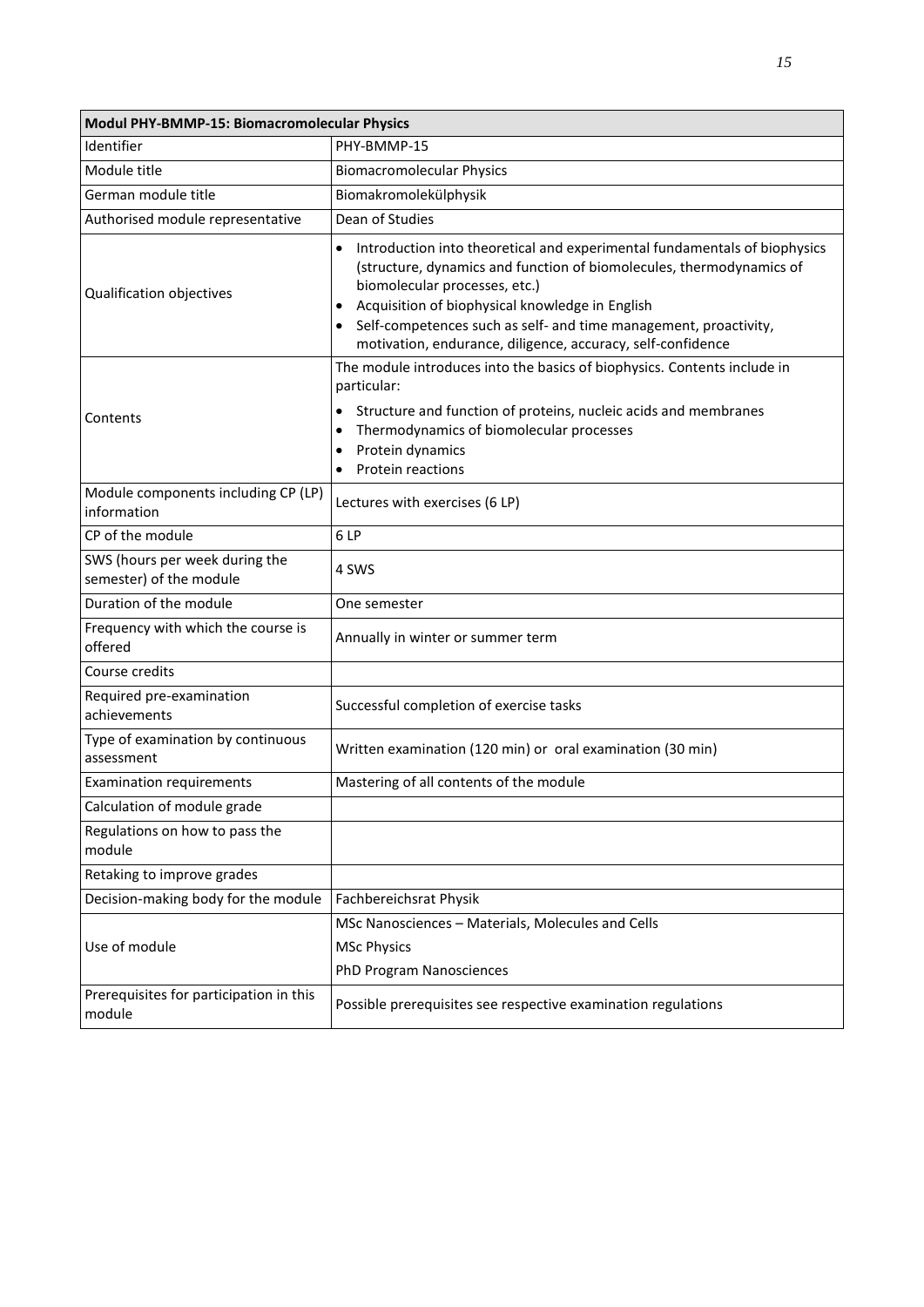| Modul PHY-BMMP-15: Biomacromolecular Physics              |                                                                                                                                                                                                                                                                                                                                                                                                                 |  |
|-----------------------------------------------------------|-----------------------------------------------------------------------------------------------------------------------------------------------------------------------------------------------------------------------------------------------------------------------------------------------------------------------------------------------------------------------------------------------------------------|--|
| Identifier                                                | PHY-BMMP-15                                                                                                                                                                                                                                                                                                                                                                                                     |  |
| Module title                                              | <b>Biomacromolecular Physics</b>                                                                                                                                                                                                                                                                                                                                                                                |  |
| German module title                                       | Biomakromolekülphysik                                                                                                                                                                                                                                                                                                                                                                                           |  |
| Authorised module representative                          | Dean of Studies                                                                                                                                                                                                                                                                                                                                                                                                 |  |
| Qualification objectives                                  | Introduction into theoretical and experimental fundamentals of biophysics<br>$\bullet$<br>(structure, dynamics and function of biomolecules, thermodynamics of<br>biomolecular processes, etc.)<br>Acquisition of biophysical knowledge in English<br>$\bullet$<br>Self-competences such as self- and time management, proactivity,<br>$\bullet$<br>motivation, endurance, diligence, accuracy, self-confidence |  |
| Contents                                                  | The module introduces into the basics of biophysics. Contents include in<br>particular:<br>Structure and function of proteins, nucleic acids and membranes<br>Thermodynamics of biomolecular processes<br>$\bullet$<br>Protein dynamics<br>٠<br>Protein reactions                                                                                                                                               |  |
| Module components including CP (LP)<br>information        | Lectures with exercises (6 LP)                                                                                                                                                                                                                                                                                                                                                                                  |  |
| CP of the module                                          | 6 LP                                                                                                                                                                                                                                                                                                                                                                                                            |  |
| SWS (hours per week during the<br>semester) of the module | 4 SWS                                                                                                                                                                                                                                                                                                                                                                                                           |  |
| Duration of the module                                    | One semester                                                                                                                                                                                                                                                                                                                                                                                                    |  |
| Frequency with which the course is<br>offered             | Annually in winter or summer term                                                                                                                                                                                                                                                                                                                                                                               |  |
| Course credits                                            |                                                                                                                                                                                                                                                                                                                                                                                                                 |  |
| Required pre-examination<br>achievements                  | Successful completion of exercise tasks                                                                                                                                                                                                                                                                                                                                                                         |  |
| Type of examination by continuous<br>assessment           | Written examination (120 min) or oral examination (30 min)                                                                                                                                                                                                                                                                                                                                                      |  |
| <b>Examination requirements</b>                           | Mastering of all contents of the module                                                                                                                                                                                                                                                                                                                                                                         |  |
| Calculation of module grade                               |                                                                                                                                                                                                                                                                                                                                                                                                                 |  |
| Regulations on how to pass the<br>module                  |                                                                                                                                                                                                                                                                                                                                                                                                                 |  |
| Retaking to improve grades                                |                                                                                                                                                                                                                                                                                                                                                                                                                 |  |
| Decision-making body for the module                       | Fachbereichsrat Physik                                                                                                                                                                                                                                                                                                                                                                                          |  |
| Use of module                                             | MSc Nanosciences - Materials, Molecules and Cells<br><b>MSc Physics</b><br><b>PhD Program Nanosciences</b>                                                                                                                                                                                                                                                                                                      |  |
| Prerequisites for participation in this<br>module         | Possible prerequisites see respective examination regulations                                                                                                                                                                                                                                                                                                                                                   |  |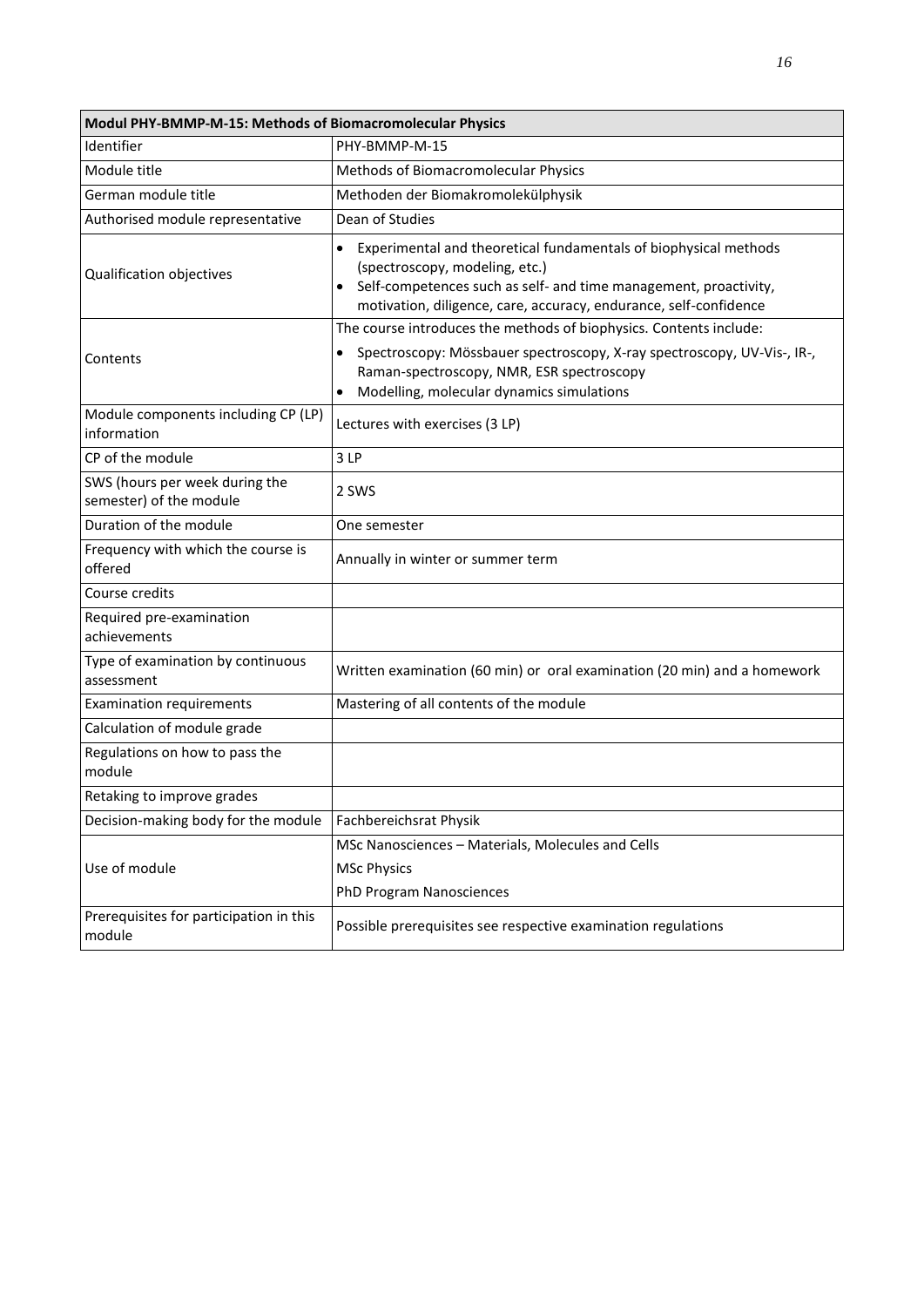| Modul PHY-BMMP-M-15: Methods of Biomacromolecular Physics |                                                                                                                                                                                                                                                          |  |
|-----------------------------------------------------------|----------------------------------------------------------------------------------------------------------------------------------------------------------------------------------------------------------------------------------------------------------|--|
| Identifier                                                | PHY-BMMP-M-15                                                                                                                                                                                                                                            |  |
| Module title                                              | Methods of Biomacromolecular Physics                                                                                                                                                                                                                     |  |
| German module title                                       | Methoden der Biomakromolekülphysik                                                                                                                                                                                                                       |  |
| Authorised module representative                          | Dean of Studies                                                                                                                                                                                                                                          |  |
| Qualification objectives                                  | Experimental and theoretical fundamentals of biophysical methods<br>$\bullet$<br>(spectroscopy, modeling, etc.)<br>Self-competences such as self- and time management, proactivity,<br>motivation, diligence, care, accuracy, endurance, self-confidence |  |
| Contents                                                  | The course introduces the methods of biophysics. Contents include:<br>Spectroscopy: Mössbauer spectroscopy, X-ray spectroscopy, UV-Vis-, IR-,<br>$\bullet$<br>Raman-spectroscopy, NMR, ESR spectroscopy<br>Modelling, molecular dynamics simulations     |  |
| Module components including CP (LP)<br>information        | Lectures with exercises (3 LP)                                                                                                                                                                                                                           |  |
| CP of the module                                          | 3LP                                                                                                                                                                                                                                                      |  |
| SWS (hours per week during the<br>semester) of the module | 2 SWS                                                                                                                                                                                                                                                    |  |
| Duration of the module                                    | One semester                                                                                                                                                                                                                                             |  |
| Frequency with which the course is<br>offered             | Annually in winter or summer term                                                                                                                                                                                                                        |  |
| Course credits                                            |                                                                                                                                                                                                                                                          |  |
| Required pre-examination<br>achievements                  |                                                                                                                                                                                                                                                          |  |
| Type of examination by continuous<br>assessment           | Written examination (60 min) or oral examination (20 min) and a homework                                                                                                                                                                                 |  |
| <b>Examination requirements</b>                           | Mastering of all contents of the module                                                                                                                                                                                                                  |  |
| Calculation of module grade                               |                                                                                                                                                                                                                                                          |  |
| Regulations on how to pass the<br>module                  |                                                                                                                                                                                                                                                          |  |
| Retaking to improve grades                                |                                                                                                                                                                                                                                                          |  |
| Decision-making body for the module                       | Fachbereichsrat Physik                                                                                                                                                                                                                                   |  |
| Use of module                                             | MSc Nanosciences - Materials, Molecules and Cells<br><b>MSc Physics</b><br>PhD Program Nanosciences                                                                                                                                                      |  |
| Prerequisites for participation in this<br>module         | Possible prerequisites see respective examination regulations                                                                                                                                                                                            |  |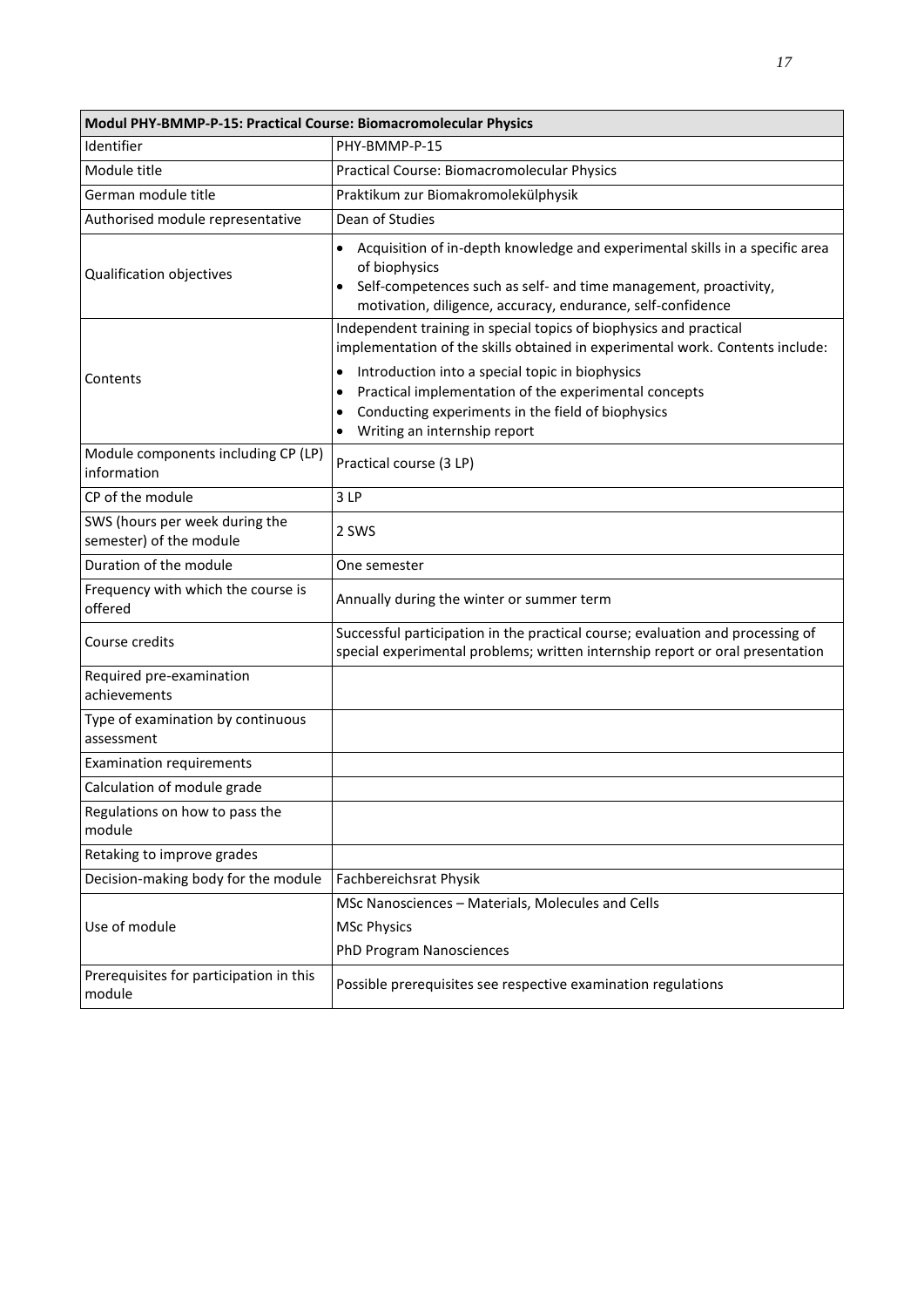| Modul PHY-BMMP-P-15: Practical Course: Biomacromolecular Physics |                                                                                                                                                                                                                                                                                                                                                                                |  |
|------------------------------------------------------------------|--------------------------------------------------------------------------------------------------------------------------------------------------------------------------------------------------------------------------------------------------------------------------------------------------------------------------------------------------------------------------------|--|
| Identifier                                                       | PHY-BMMP-P-15                                                                                                                                                                                                                                                                                                                                                                  |  |
| Module title                                                     | Practical Course: Biomacromolecular Physics                                                                                                                                                                                                                                                                                                                                    |  |
| German module title                                              | Praktikum zur Biomakromolekülphysik                                                                                                                                                                                                                                                                                                                                            |  |
| Authorised module representative                                 | Dean of Studies                                                                                                                                                                                                                                                                                                                                                                |  |
| Qualification objectives                                         | Acquisition of in-depth knowledge and experimental skills in a specific area<br>$\bullet$<br>of biophysics<br>Self-competences such as self- and time management, proactivity,<br>motivation, diligence, accuracy, endurance, self-confidence                                                                                                                                  |  |
| Contents                                                         | Independent training in special topics of biophysics and practical<br>implementation of the skills obtained in experimental work. Contents include:<br>Introduction into a special topic in biophysics<br>$\bullet$<br>Practical implementation of the experimental concepts<br>Conducting experiments in the field of biophysics<br>$\bullet$<br>Writing an internship report |  |
| Module components including CP (LP)<br>information               | Practical course (3 LP)                                                                                                                                                                                                                                                                                                                                                        |  |
| CP of the module                                                 | 3LP                                                                                                                                                                                                                                                                                                                                                                            |  |
| SWS (hours per week during the<br>semester) of the module        | 2 SWS                                                                                                                                                                                                                                                                                                                                                                          |  |
| Duration of the module                                           | One semester                                                                                                                                                                                                                                                                                                                                                                   |  |
| Frequency with which the course is<br>offered                    | Annually during the winter or summer term                                                                                                                                                                                                                                                                                                                                      |  |
| Course credits                                                   | Successful participation in the practical course; evaluation and processing of<br>special experimental problems; written internship report or oral presentation                                                                                                                                                                                                                |  |
| Required pre-examination<br>achievements                         |                                                                                                                                                                                                                                                                                                                                                                                |  |
| Type of examination by continuous<br>assessment                  |                                                                                                                                                                                                                                                                                                                                                                                |  |
| <b>Examination requirements</b>                                  |                                                                                                                                                                                                                                                                                                                                                                                |  |
| Calculation of module grade                                      |                                                                                                                                                                                                                                                                                                                                                                                |  |
| Regulations on how to pass the<br>module                         |                                                                                                                                                                                                                                                                                                                                                                                |  |
| Retaking to improve grades                                       |                                                                                                                                                                                                                                                                                                                                                                                |  |
| Decision-making body for the module                              | Fachbereichsrat Physik                                                                                                                                                                                                                                                                                                                                                         |  |
| Use of module                                                    | MSc Nanosciences - Materials, Molecules and Cells<br><b>MSc Physics</b>                                                                                                                                                                                                                                                                                                        |  |
|                                                                  | <b>PhD Program Nanosciences</b>                                                                                                                                                                                                                                                                                                                                                |  |
| Prerequisites for participation in this<br>module                | Possible prerequisites see respective examination regulations                                                                                                                                                                                                                                                                                                                  |  |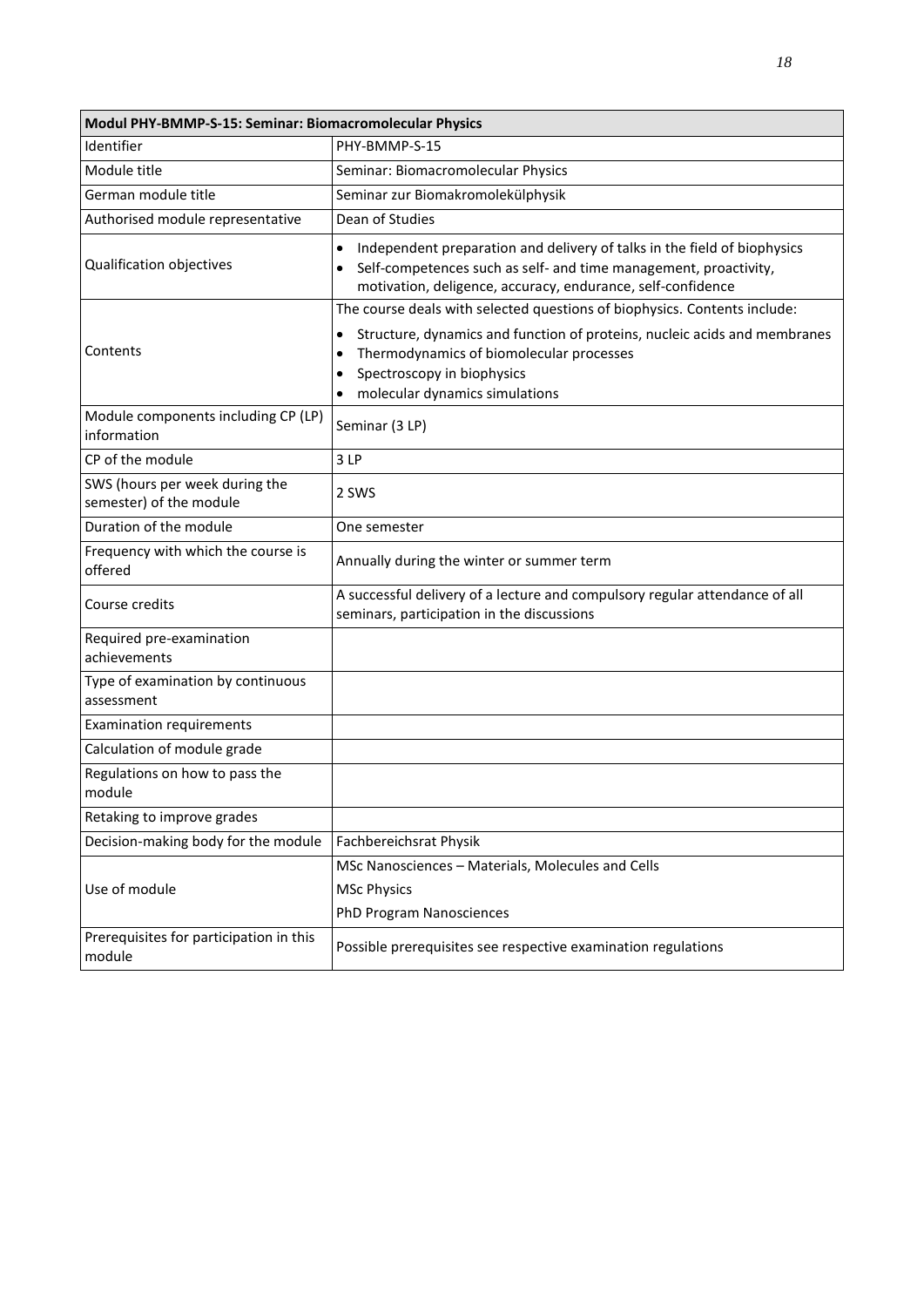| Modul PHY-BMMP-S-15: Seminar: Biomacromolecular Physics   |                                                                                                                                                                                                                                       |  |
|-----------------------------------------------------------|---------------------------------------------------------------------------------------------------------------------------------------------------------------------------------------------------------------------------------------|--|
| Identifier                                                | PHY-BMMP-S-15                                                                                                                                                                                                                         |  |
| Module title                                              | Seminar: Biomacromolecular Physics                                                                                                                                                                                                    |  |
| German module title                                       | Seminar zur Biomakromolekülphysik                                                                                                                                                                                                     |  |
| Authorised module representative                          | Dean of Studies                                                                                                                                                                                                                       |  |
| Qualification objectives                                  | Independent preparation and delivery of talks in the field of biophysics<br>$\bullet$<br>Self-competences such as self- and time management, proactivity,<br>$\bullet$<br>motivation, deligence, accuracy, endurance, self-confidence |  |
|                                                           | The course deals with selected questions of biophysics. Contents include:                                                                                                                                                             |  |
| Contents                                                  | Structure, dynamics and function of proteins, nucleic acids and membranes<br>$\bullet$<br>Thermodynamics of biomolecular processes<br>$\bullet$<br>Spectroscopy in biophysics<br>$\bullet$<br>molecular dynamics simulations          |  |
| Module components including CP (LP)<br>information        | Seminar (3 LP)                                                                                                                                                                                                                        |  |
| CP of the module                                          | 3LP                                                                                                                                                                                                                                   |  |
| SWS (hours per week during the<br>semester) of the module | 2 SWS                                                                                                                                                                                                                                 |  |
| Duration of the module                                    | One semester                                                                                                                                                                                                                          |  |
| Frequency with which the course is<br>offered             | Annually during the winter or summer term                                                                                                                                                                                             |  |
| Course credits                                            | A successful delivery of a lecture and compulsory regular attendance of all<br>seminars, participation in the discussions                                                                                                             |  |
| Required pre-examination<br>achievements                  |                                                                                                                                                                                                                                       |  |
| Type of examination by continuous<br>assessment           |                                                                                                                                                                                                                                       |  |
| <b>Examination requirements</b>                           |                                                                                                                                                                                                                                       |  |
| Calculation of module grade                               |                                                                                                                                                                                                                                       |  |
| Regulations on how to pass the<br>module                  |                                                                                                                                                                                                                                       |  |
| Retaking to improve grades                                |                                                                                                                                                                                                                                       |  |
| Decision-making body for the module                       | Fachbereichsrat Physik                                                                                                                                                                                                                |  |
| Use of module                                             | MSc Nanosciences - Materials, Molecules and Cells<br><b>MSc Physics</b><br>PhD Program Nanosciences                                                                                                                                   |  |
| Prerequisites for participation in this<br>module         | Possible prerequisites see respective examination regulations                                                                                                                                                                         |  |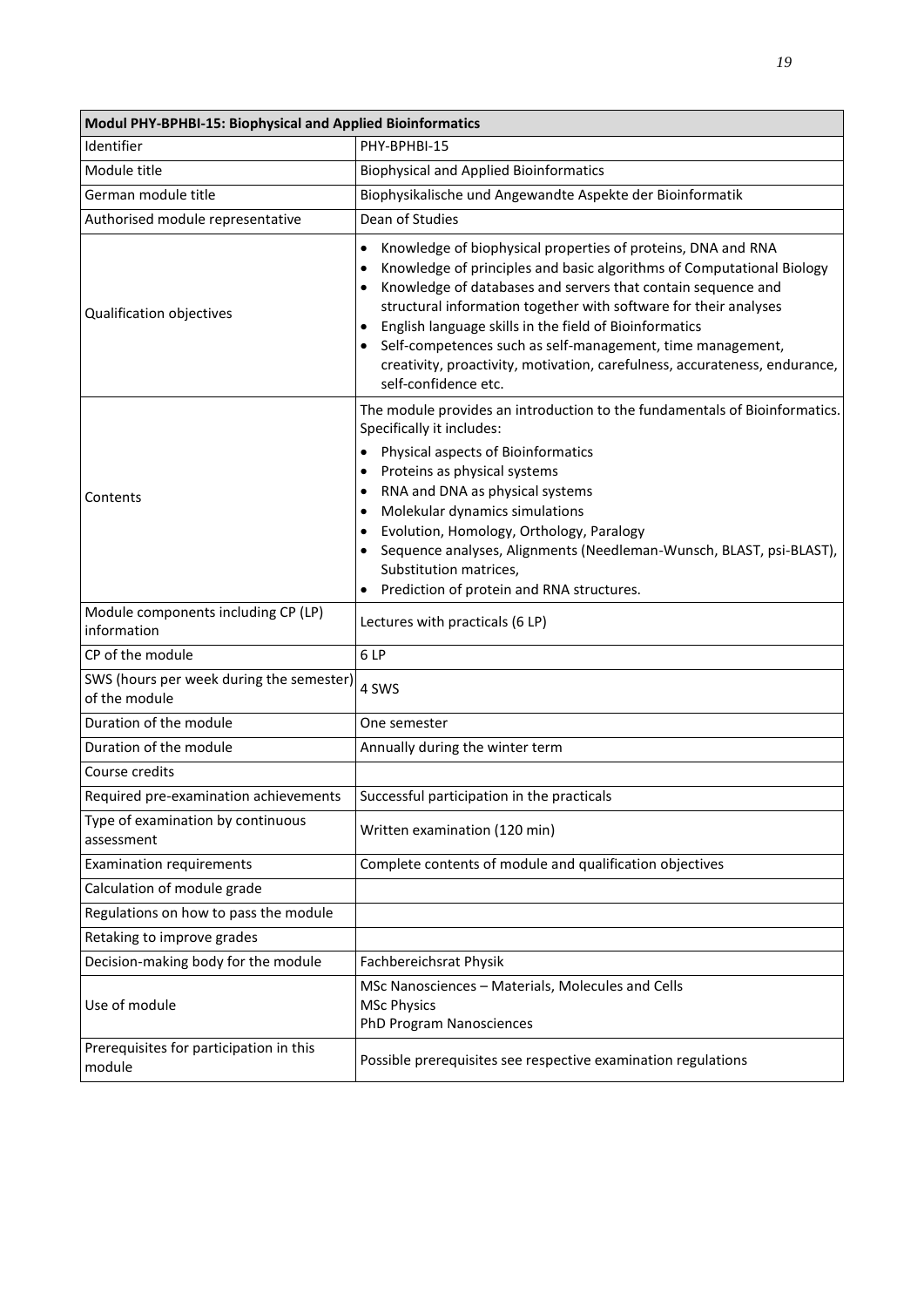| Modul PHY-BPHBI-15: Biophysical and Applied Bioinformatics |                                                                                                                                                                                                                                                                                                                                                                                                                                                                                                                                                |  |
|------------------------------------------------------------|------------------------------------------------------------------------------------------------------------------------------------------------------------------------------------------------------------------------------------------------------------------------------------------------------------------------------------------------------------------------------------------------------------------------------------------------------------------------------------------------------------------------------------------------|--|
| Identifier                                                 | PHY-BPHBI-15                                                                                                                                                                                                                                                                                                                                                                                                                                                                                                                                   |  |
| Module title                                               | <b>Biophysical and Applied Bioinformatics</b>                                                                                                                                                                                                                                                                                                                                                                                                                                                                                                  |  |
| German module title                                        | Biophysikalische und Angewandte Aspekte der Bioinformatik                                                                                                                                                                                                                                                                                                                                                                                                                                                                                      |  |
| Authorised module representative                           | Dean of Studies                                                                                                                                                                                                                                                                                                                                                                                                                                                                                                                                |  |
| Qualification objectives                                   | $\bullet$<br>Knowledge of biophysical properties of proteins, DNA and RNA<br>Knowledge of principles and basic algorithms of Computational Biology<br>$\bullet$<br>Knowledge of databases and servers that contain sequence and<br>$\bullet$<br>structural information together with software for their analyses<br>English language skills in the field of Bioinformatics<br>Self-competences such as self-management, time management,<br>creativity, proactivity, motivation, carefulness, accurateness, endurance,<br>self-confidence etc. |  |
| Contents                                                   | The module provides an introduction to the fundamentals of Bioinformatics.<br>Specifically it includes:<br>Physical aspects of Bioinformatics<br>$\bullet$<br>Proteins as physical systems<br>$\bullet$<br>RNA and DNA as physical systems<br>$\bullet$<br>Molekular dynamics simulations<br>$\bullet$<br>Evolution, Homology, Orthology, Paralogy<br>Sequence analyses, Alignments (Needleman-Wunsch, BLAST, psi-BLAST),<br>Substitution matrices,<br>Prediction of protein and RNA structures.<br>$\bullet$                                  |  |
| Module components including CP (LP)<br>information         | Lectures with practicals (6 LP)                                                                                                                                                                                                                                                                                                                                                                                                                                                                                                                |  |
| CP of the module                                           | 6LP                                                                                                                                                                                                                                                                                                                                                                                                                                                                                                                                            |  |
| SWS (hours per week during the semester)<br>of the module  | 4 SWS                                                                                                                                                                                                                                                                                                                                                                                                                                                                                                                                          |  |
| Duration of the module                                     | One semester                                                                                                                                                                                                                                                                                                                                                                                                                                                                                                                                   |  |
| Duration of the module                                     | Annually during the winter term                                                                                                                                                                                                                                                                                                                                                                                                                                                                                                                |  |
| Course credits                                             |                                                                                                                                                                                                                                                                                                                                                                                                                                                                                                                                                |  |
| Required pre-examination achievements                      | Successful participation in the practicals                                                                                                                                                                                                                                                                                                                                                                                                                                                                                                     |  |
| Type of examination by continuous<br>assessment            | Written examination (120 min)                                                                                                                                                                                                                                                                                                                                                                                                                                                                                                                  |  |
| <b>Examination requirements</b>                            | Complete contents of module and qualification objectives                                                                                                                                                                                                                                                                                                                                                                                                                                                                                       |  |
| Calculation of module grade                                |                                                                                                                                                                                                                                                                                                                                                                                                                                                                                                                                                |  |
| Regulations on how to pass the module                      |                                                                                                                                                                                                                                                                                                                                                                                                                                                                                                                                                |  |
| Retaking to improve grades                                 |                                                                                                                                                                                                                                                                                                                                                                                                                                                                                                                                                |  |
| Decision-making body for the module                        | Fachbereichsrat Physik                                                                                                                                                                                                                                                                                                                                                                                                                                                                                                                         |  |
| Use of module                                              | MSc Nanosciences - Materials, Molecules and Cells<br><b>MSc Physics</b><br>PhD Program Nanosciences                                                                                                                                                                                                                                                                                                                                                                                                                                            |  |
| Prerequisites for participation in this<br>module          | Possible prerequisites see respective examination regulations                                                                                                                                                                                                                                                                                                                                                                                                                                                                                  |  |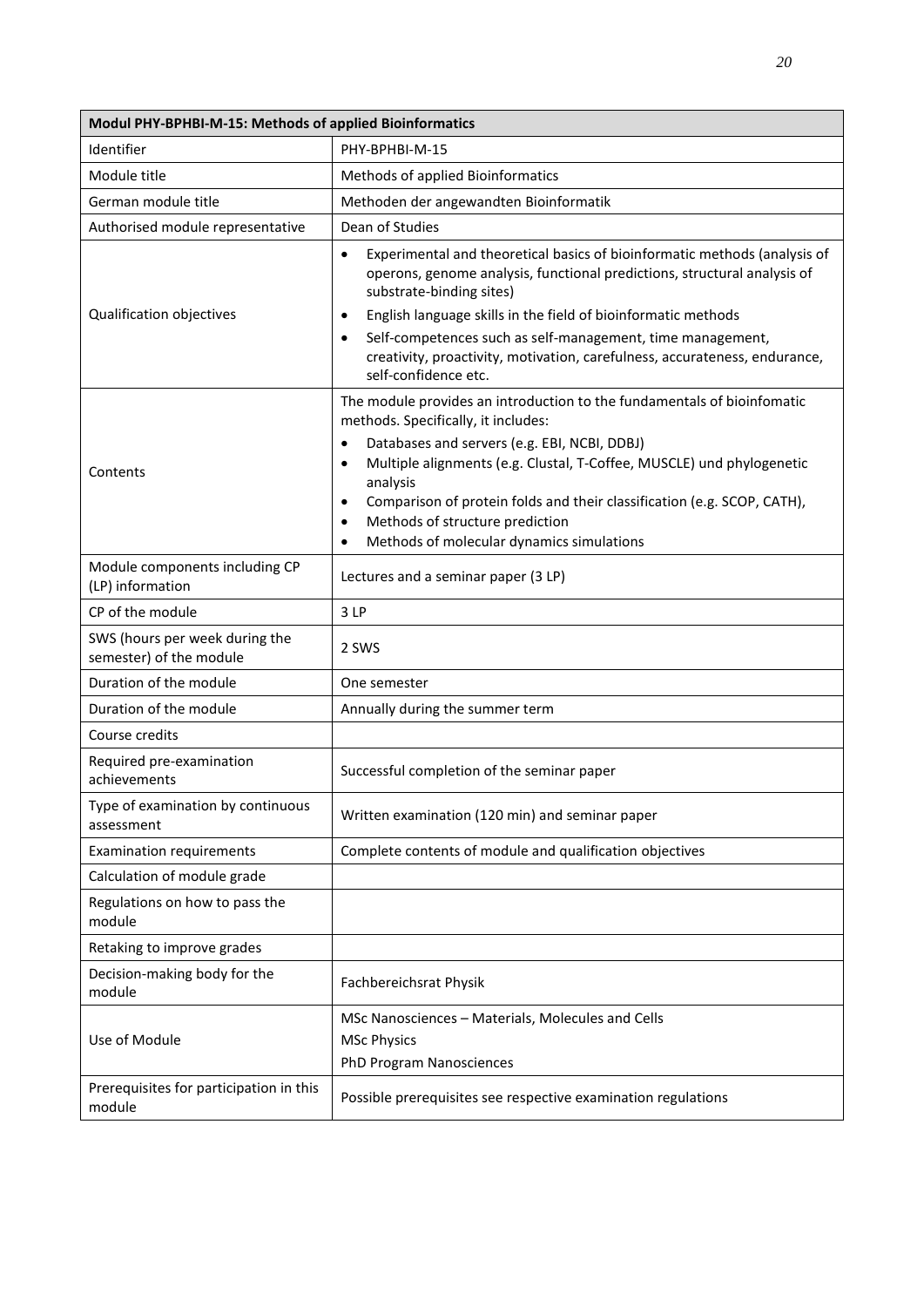| Modul PHY-BPHBI-M-15: Methods of applied Bioinformatics   |                                                                                                                                                                                                                                                                                                                                                                                                                                                               |  |
|-----------------------------------------------------------|---------------------------------------------------------------------------------------------------------------------------------------------------------------------------------------------------------------------------------------------------------------------------------------------------------------------------------------------------------------------------------------------------------------------------------------------------------------|--|
| Identifier                                                | PHY-BPHBI-M-15                                                                                                                                                                                                                                                                                                                                                                                                                                                |  |
| Module title                                              | Methods of applied Bioinformatics                                                                                                                                                                                                                                                                                                                                                                                                                             |  |
| German module title                                       | Methoden der angewandten Bioinformatik                                                                                                                                                                                                                                                                                                                                                                                                                        |  |
| Authorised module representative                          | Dean of Studies                                                                                                                                                                                                                                                                                                                                                                                                                                               |  |
| Qualification objectives                                  | Experimental and theoretical basics of bioinformatic methods (analysis of<br>$\bullet$<br>operons, genome analysis, functional predictions, structural analysis of<br>substrate-binding sites)<br>English language skills in the field of bioinformatic methods<br>$\bullet$<br>Self-competences such as self-management, time management,<br>$\bullet$<br>creativity, proactivity, motivation, carefulness, accurateness, endurance,<br>self-confidence etc. |  |
| Contents                                                  | The module provides an introduction to the fundamentals of bioinfomatic<br>methods. Specifically, it includes:<br>Databases and servers (e.g. EBI, NCBI, DDBJ)<br>$\bullet$<br>Multiple alignments (e.g. Clustal, T-Coffee, MUSCLE) und phylogenetic<br>$\bullet$<br>analysis<br>Comparison of protein folds and their classification (e.g. SCOP, CATH),<br>Methods of structure prediction<br>$\bullet$<br>Methods of molecular dynamics simulations         |  |
| Module components including CP<br>(LP) information        | Lectures and a seminar paper (3 LP)                                                                                                                                                                                                                                                                                                                                                                                                                           |  |
| CP of the module                                          | 3LP                                                                                                                                                                                                                                                                                                                                                                                                                                                           |  |
| SWS (hours per week during the<br>semester) of the module | 2 SWS                                                                                                                                                                                                                                                                                                                                                                                                                                                         |  |
| Duration of the module                                    | One semester                                                                                                                                                                                                                                                                                                                                                                                                                                                  |  |
| Duration of the module                                    | Annually during the summer term                                                                                                                                                                                                                                                                                                                                                                                                                               |  |
| Course credits                                            |                                                                                                                                                                                                                                                                                                                                                                                                                                                               |  |
| Required pre-examination<br>achievements                  | Successful completion of the seminar paper                                                                                                                                                                                                                                                                                                                                                                                                                    |  |
| Type of examination by continuous<br>assessment           | Written examination (120 min) and seminar paper                                                                                                                                                                                                                                                                                                                                                                                                               |  |
| <b>Examination requirements</b>                           | Complete contents of module and qualification objectives                                                                                                                                                                                                                                                                                                                                                                                                      |  |
| Calculation of module grade                               |                                                                                                                                                                                                                                                                                                                                                                                                                                                               |  |
| Regulations on how to pass the<br>module                  |                                                                                                                                                                                                                                                                                                                                                                                                                                                               |  |
| Retaking to improve grades                                |                                                                                                                                                                                                                                                                                                                                                                                                                                                               |  |
| Decision-making body for the<br>module                    | Fachbereichsrat Physik                                                                                                                                                                                                                                                                                                                                                                                                                                        |  |
| Use of Module                                             | MSc Nanosciences - Materials, Molecules and Cells<br><b>MSc Physics</b><br><b>PhD Program Nanosciences</b>                                                                                                                                                                                                                                                                                                                                                    |  |
| Prerequisites for participation in this<br>module         | Possible prerequisites see respective examination regulations                                                                                                                                                                                                                                                                                                                                                                                                 |  |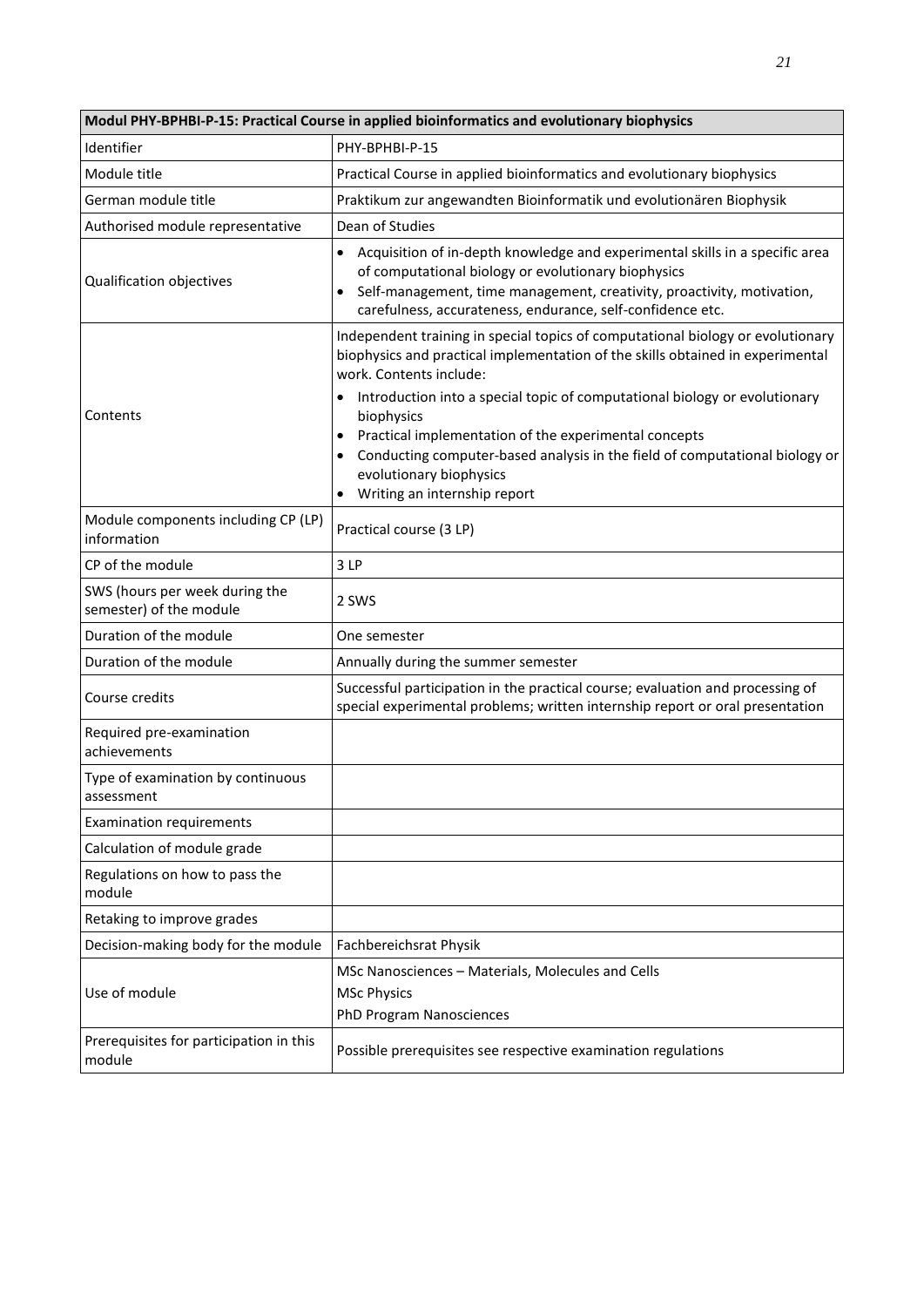| Modul PHY-BPHBI-P-15: Practical Course in applied bioinformatics and evolutionary biophysics |                                                                                                                                                                                                                                                                                                                                                                                                                                                                          |  |
|----------------------------------------------------------------------------------------------|--------------------------------------------------------------------------------------------------------------------------------------------------------------------------------------------------------------------------------------------------------------------------------------------------------------------------------------------------------------------------------------------------------------------------------------------------------------------------|--|
| Identifier                                                                                   | PHY-BPHBI-P-15                                                                                                                                                                                                                                                                                                                                                                                                                                                           |  |
| Module title                                                                                 | Practical Course in applied bioinformatics and evolutionary biophysics                                                                                                                                                                                                                                                                                                                                                                                                   |  |
| German module title                                                                          | Praktikum zur angewandten Bioinformatik und evolutionären Biophysik                                                                                                                                                                                                                                                                                                                                                                                                      |  |
| Authorised module representative                                                             | Dean of Studies                                                                                                                                                                                                                                                                                                                                                                                                                                                          |  |
| Qualification objectives                                                                     | Acquisition of in-depth knowledge and experimental skills in a specific area<br>of computational biology or evolutionary biophysics<br>Self-management, time management, creativity, proactivity, motivation,<br>carefulness, accurateness, endurance, self-confidence etc.                                                                                                                                                                                              |  |
| Contents                                                                                     | Independent training in special topics of computational biology or evolutionary<br>biophysics and practical implementation of the skills obtained in experimental<br>work. Contents include:<br>Introduction into a special topic of computational biology or evolutionary<br>$\bullet$<br>biophysics<br>Practical implementation of the experimental concepts<br>Conducting computer-based analysis in the field of computational biology or<br>evolutionary biophysics |  |
|                                                                                              | Writing an internship report                                                                                                                                                                                                                                                                                                                                                                                                                                             |  |
| Module components including CP (LP)<br>information                                           | Practical course (3 LP)                                                                                                                                                                                                                                                                                                                                                                                                                                                  |  |
| CP of the module                                                                             | 3LP                                                                                                                                                                                                                                                                                                                                                                                                                                                                      |  |
| SWS (hours per week during the<br>semester) of the module                                    | 2 SWS                                                                                                                                                                                                                                                                                                                                                                                                                                                                    |  |
| Duration of the module                                                                       | One semester                                                                                                                                                                                                                                                                                                                                                                                                                                                             |  |
| Duration of the module                                                                       | Annually during the summer semester                                                                                                                                                                                                                                                                                                                                                                                                                                      |  |
| Course credits                                                                               | Successful participation in the practical course; evaluation and processing of<br>special experimental problems; written internship report or oral presentation                                                                                                                                                                                                                                                                                                          |  |
| Required pre-examination<br>achievements                                                     |                                                                                                                                                                                                                                                                                                                                                                                                                                                                          |  |
| Type of examination by continuous<br>assessment                                              |                                                                                                                                                                                                                                                                                                                                                                                                                                                                          |  |
| <b>Examination requirements</b>                                                              |                                                                                                                                                                                                                                                                                                                                                                                                                                                                          |  |
| Calculation of module grade                                                                  |                                                                                                                                                                                                                                                                                                                                                                                                                                                                          |  |
| Regulations on how to pass the<br>module                                                     |                                                                                                                                                                                                                                                                                                                                                                                                                                                                          |  |
| Retaking to improve grades                                                                   |                                                                                                                                                                                                                                                                                                                                                                                                                                                                          |  |
| Decision-making body for the module                                                          | Fachbereichsrat Physik                                                                                                                                                                                                                                                                                                                                                                                                                                                   |  |
| Use of module                                                                                | MSc Nanosciences - Materials, Molecules and Cells<br><b>MSc Physics</b><br>PhD Program Nanosciences                                                                                                                                                                                                                                                                                                                                                                      |  |
| Prerequisites for participation in this<br>module                                            | Possible prerequisites see respective examination regulations                                                                                                                                                                                                                                                                                                                                                                                                            |  |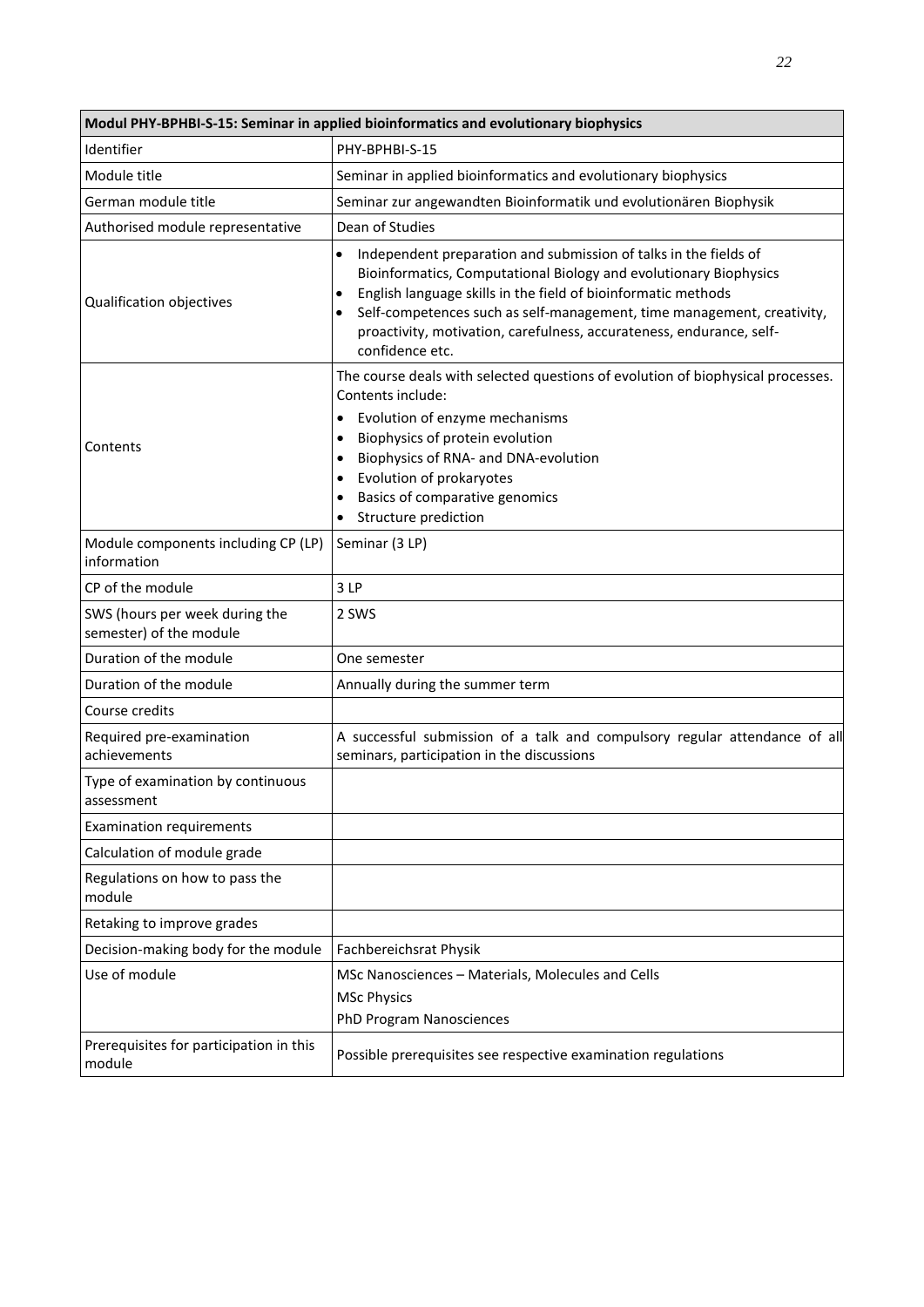| Modul PHY-BPHBI-S-15: Seminar in applied bioinformatics and evolutionary biophysics |                                                                                                                                                                                                                                                                                                                                                                                                                    |  |
|-------------------------------------------------------------------------------------|--------------------------------------------------------------------------------------------------------------------------------------------------------------------------------------------------------------------------------------------------------------------------------------------------------------------------------------------------------------------------------------------------------------------|--|
| Identifier                                                                          | PHY-BPHBI-S-15                                                                                                                                                                                                                                                                                                                                                                                                     |  |
| Module title                                                                        | Seminar in applied bioinformatics and evolutionary biophysics                                                                                                                                                                                                                                                                                                                                                      |  |
| German module title                                                                 | Seminar zur angewandten Bioinformatik und evolutionären Biophysik                                                                                                                                                                                                                                                                                                                                                  |  |
| Authorised module representative                                                    | Dean of Studies                                                                                                                                                                                                                                                                                                                                                                                                    |  |
| Qualification objectives                                                            | Independent preparation and submission of talks in the fields of<br>$\bullet$<br>Bioinformatics, Computational Biology and evolutionary Biophysics<br>English language skills in the field of bioinformatic methods<br>$\bullet$<br>Self-competences such as self-management, time management, creativity,<br>$\bullet$<br>proactivity, motivation, carefulness, accurateness, endurance, self-<br>confidence etc. |  |
| Contents                                                                            | The course deals with selected questions of evolution of biophysical processes.<br>Contents include:<br>Evolution of enzyme mechanisms<br>$\bullet$<br>Biophysics of protein evolution<br>٠<br>Biophysics of RNA- and DNA-evolution<br>$\bullet$<br>Evolution of prokaryotes<br>٠<br>Basics of comparative genomics<br>$\bullet$<br>Structure prediction<br>$\bullet$                                              |  |
| Module components including CP (LP)<br>information                                  | Seminar (3 LP)                                                                                                                                                                                                                                                                                                                                                                                                     |  |
| CP of the module                                                                    | 3LP                                                                                                                                                                                                                                                                                                                                                                                                                |  |
| SWS (hours per week during the<br>semester) of the module                           | 2 SWS                                                                                                                                                                                                                                                                                                                                                                                                              |  |
| Duration of the module                                                              | One semester                                                                                                                                                                                                                                                                                                                                                                                                       |  |
| Duration of the module                                                              | Annually during the summer term                                                                                                                                                                                                                                                                                                                                                                                    |  |
| Course credits                                                                      |                                                                                                                                                                                                                                                                                                                                                                                                                    |  |
| Required pre-examination<br>achievements                                            | A successful submission of a talk and compulsory regular attendance of all<br>seminars, participation in the discussions                                                                                                                                                                                                                                                                                           |  |
| Type of examination by continuous<br>assessment                                     |                                                                                                                                                                                                                                                                                                                                                                                                                    |  |
| <b>Examination requirements</b>                                                     |                                                                                                                                                                                                                                                                                                                                                                                                                    |  |
| Calculation of module grade                                                         |                                                                                                                                                                                                                                                                                                                                                                                                                    |  |
| Regulations on how to pass the<br>module                                            |                                                                                                                                                                                                                                                                                                                                                                                                                    |  |
| Retaking to improve grades                                                          |                                                                                                                                                                                                                                                                                                                                                                                                                    |  |
| Decision-making body for the module                                                 | Fachbereichsrat Physik                                                                                                                                                                                                                                                                                                                                                                                             |  |
| Use of module                                                                       | MSc Nanosciences - Materials, Molecules and Cells<br><b>MSc Physics</b><br>PhD Program Nanosciences                                                                                                                                                                                                                                                                                                                |  |
| Prerequisites for participation in this<br>module                                   | Possible prerequisites see respective examination regulations                                                                                                                                                                                                                                                                                                                                                      |  |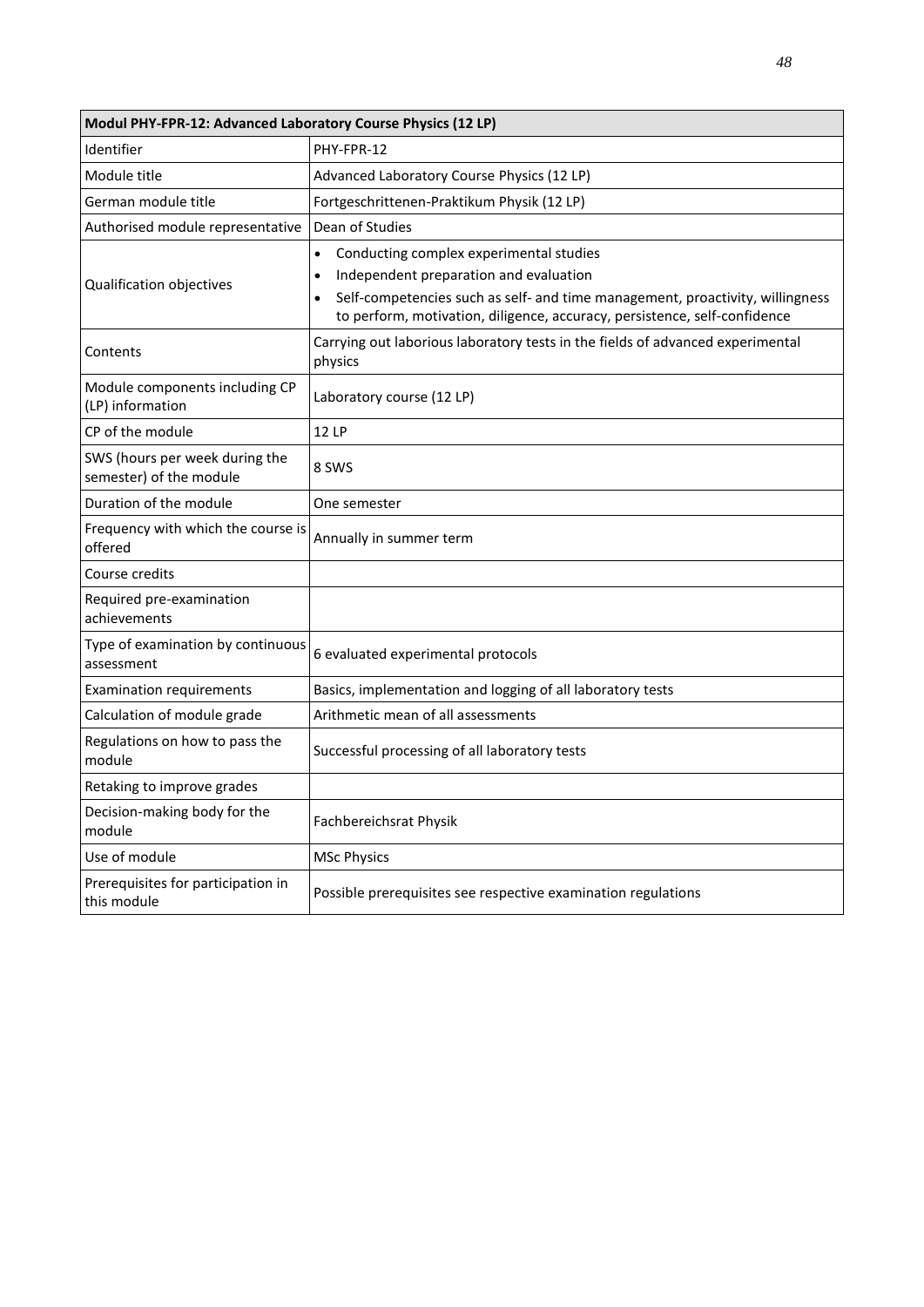| Modul PHY-FPR-12: Advanced Laboratory Course Physics (12 LP) |                                                                                                                                                                                                                                                 |  |
|--------------------------------------------------------------|-------------------------------------------------------------------------------------------------------------------------------------------------------------------------------------------------------------------------------------------------|--|
| Identifier                                                   | PHY-FPR-12                                                                                                                                                                                                                                      |  |
| Module title                                                 | Advanced Laboratory Course Physics (12 LP)                                                                                                                                                                                                      |  |
| German module title                                          | Fortgeschrittenen-Praktikum Physik (12 LP)                                                                                                                                                                                                      |  |
| Authorised module representative                             | Dean of Studies                                                                                                                                                                                                                                 |  |
| Qualification objectives                                     | Conducting complex experimental studies<br>Independent preparation and evaluation<br>Self-competencies such as self- and time management, proactivity, willingness<br>to perform, motivation, diligence, accuracy, persistence, self-confidence |  |
| Contents                                                     | Carrying out laborious laboratory tests in the fields of advanced experimental<br>physics                                                                                                                                                       |  |
| Module components including CP<br>(LP) information           | Laboratory course (12 LP)                                                                                                                                                                                                                       |  |
| CP of the module                                             | <b>12 LP</b>                                                                                                                                                                                                                                    |  |
| SWS (hours per week during the<br>semester) of the module    | 8 SWS                                                                                                                                                                                                                                           |  |
| Duration of the module                                       | One semester                                                                                                                                                                                                                                    |  |
| Frequency with which the course is<br>offered                | Annually in summer term                                                                                                                                                                                                                         |  |
| Course credits                                               |                                                                                                                                                                                                                                                 |  |
| Required pre-examination<br>achievements                     |                                                                                                                                                                                                                                                 |  |
| Type of examination by continuous<br>assessment              | 6 evaluated experimental protocols                                                                                                                                                                                                              |  |
| <b>Examination requirements</b>                              | Basics, implementation and logging of all laboratory tests                                                                                                                                                                                      |  |
| Calculation of module grade                                  | Arithmetic mean of all assessments                                                                                                                                                                                                              |  |
| Regulations on how to pass the<br>module                     | Successful processing of all laboratory tests                                                                                                                                                                                                   |  |
| Retaking to improve grades                                   |                                                                                                                                                                                                                                                 |  |
| Decision-making body for the<br>module                       | Fachbereichsrat Physik                                                                                                                                                                                                                          |  |
| Use of module                                                | <b>MSc Physics</b>                                                                                                                                                                                                                              |  |
| Prerequisites for participation in<br>this module            | Possible prerequisites see respective examination regulations                                                                                                                                                                                   |  |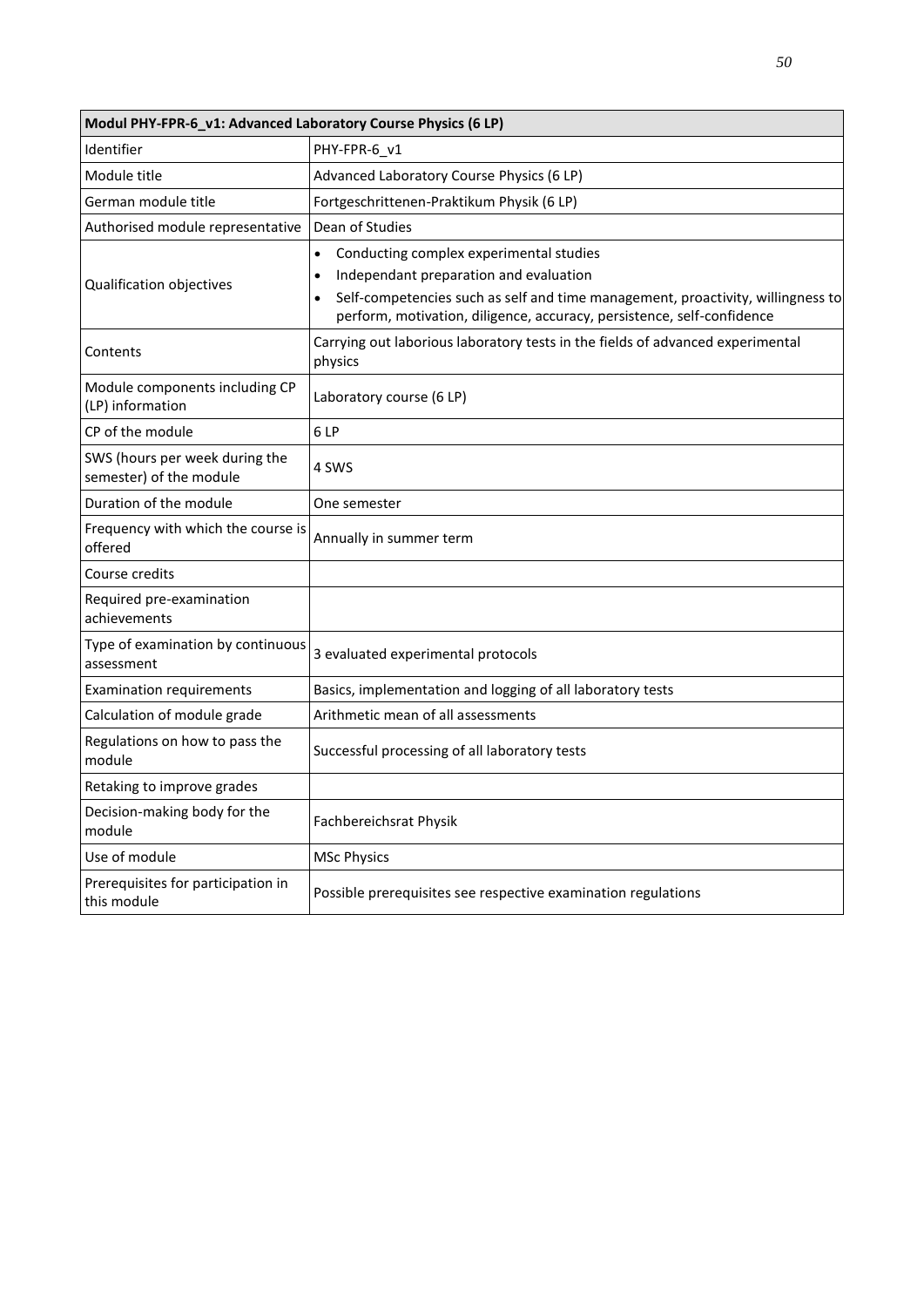| Modul PHY-FPR-6_v1: Advanced Laboratory Course Physics (6 LP) |                                                                                                                                                                                                                                                |
|---------------------------------------------------------------|------------------------------------------------------------------------------------------------------------------------------------------------------------------------------------------------------------------------------------------------|
| Identifier                                                    | PHY-FPR-6 v1                                                                                                                                                                                                                                   |
| Module title                                                  | Advanced Laboratory Course Physics (6 LP)                                                                                                                                                                                                      |
| German module title                                           | Fortgeschrittenen-Praktikum Physik (6 LP)                                                                                                                                                                                                      |
| Authorised module representative                              | Dean of Studies                                                                                                                                                                                                                                |
| Qualification objectives                                      | Conducting complex experimental studies<br>Independant preparation and evaluation<br>Self-competencies such as self and time management, proactivity, willingness to<br>perform, motivation, diligence, accuracy, persistence, self-confidence |
| Contents                                                      | Carrying out laborious laboratory tests in the fields of advanced experimental<br>physics                                                                                                                                                      |
| Module components including CP<br>(LP) information            | Laboratory course (6 LP)                                                                                                                                                                                                                       |
| CP of the module                                              | 6LP                                                                                                                                                                                                                                            |
| SWS (hours per week during the<br>semester) of the module     | 4 SWS                                                                                                                                                                                                                                          |
| Duration of the module                                        | One semester                                                                                                                                                                                                                                   |
| Frequency with which the course is<br>offered                 | Annually in summer term                                                                                                                                                                                                                        |
| Course credits                                                |                                                                                                                                                                                                                                                |
| Required pre-examination<br>achievements                      |                                                                                                                                                                                                                                                |
| Type of examination by continuous<br>assessment               | 3 evaluated experimental protocols                                                                                                                                                                                                             |
| <b>Examination requirements</b>                               | Basics, implementation and logging of all laboratory tests                                                                                                                                                                                     |
| Calculation of module grade                                   | Arithmetic mean of all assessments                                                                                                                                                                                                             |
| Regulations on how to pass the<br>module                      | Successful processing of all laboratory tests                                                                                                                                                                                                  |
| Retaking to improve grades                                    |                                                                                                                                                                                                                                                |
| Decision-making body for the<br>module                        | Fachbereichsrat Physik                                                                                                                                                                                                                         |
| Use of module                                                 | <b>MSc Physics</b>                                                                                                                                                                                                                             |
| Prerequisites for participation in<br>this module             | Possible prerequisites see respective examination regulations                                                                                                                                                                                  |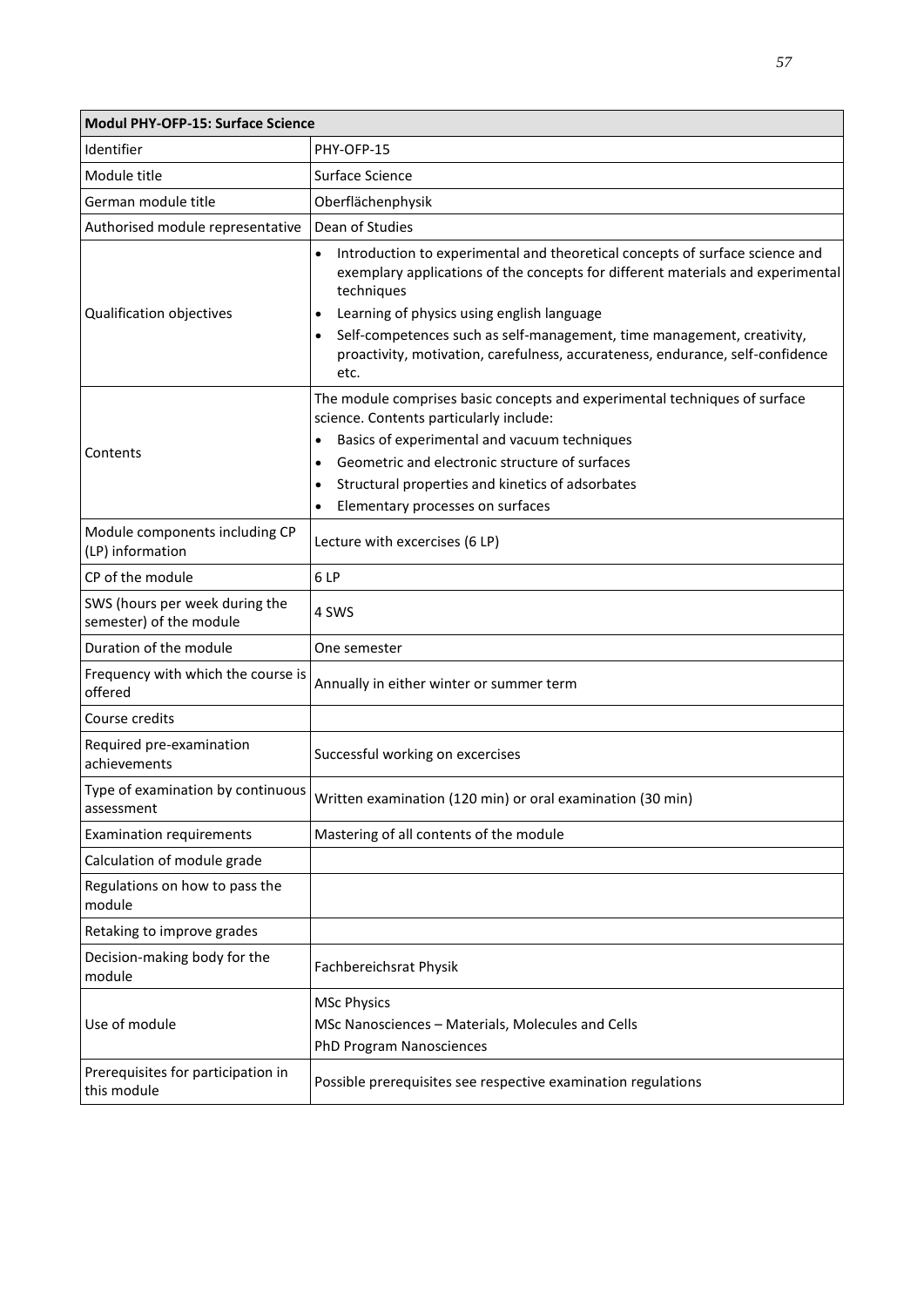| Modul PHY-OFP-15: Surface Science                         |                                                                                                                                                                                                                                                                                                                                                                                                                                        |  |
|-----------------------------------------------------------|----------------------------------------------------------------------------------------------------------------------------------------------------------------------------------------------------------------------------------------------------------------------------------------------------------------------------------------------------------------------------------------------------------------------------------------|--|
| Identifier                                                | PHY-OFP-15                                                                                                                                                                                                                                                                                                                                                                                                                             |  |
| Module title                                              | Surface Science                                                                                                                                                                                                                                                                                                                                                                                                                        |  |
| German module title                                       | Oberflächenphysik                                                                                                                                                                                                                                                                                                                                                                                                                      |  |
| Authorised module representative                          | Dean of Studies                                                                                                                                                                                                                                                                                                                                                                                                                        |  |
| Qualification objectives                                  | Introduction to experimental and theoretical concepts of surface science and<br>$\bullet$<br>exemplary applications of the concepts for different materials and experimental<br>techniques<br>Learning of physics using english language<br>$\bullet$<br>Self-competences such as self-management, time management, creativity,<br>$\bullet$<br>proactivity, motivation, carefulness, accurateness, endurance, self-confidence<br>etc. |  |
| Contents                                                  | The module comprises basic concepts and experimental techniques of surface<br>science. Contents particularly include:<br>Basics of experimental and vacuum techniques<br>٠<br>Geometric and electronic structure of surfaces<br>$\bullet$<br>Structural properties and kinetics of adsorbates<br>$\bullet$<br>Elementary processes on surfaces<br>$\bullet$                                                                            |  |
| Module components including CP<br>(LP) information        | Lecture with excercises (6 LP)                                                                                                                                                                                                                                                                                                                                                                                                         |  |
| CP of the module                                          | 6LP                                                                                                                                                                                                                                                                                                                                                                                                                                    |  |
| SWS (hours per week during the<br>semester) of the module | 4 SWS                                                                                                                                                                                                                                                                                                                                                                                                                                  |  |
| Duration of the module                                    | One semester                                                                                                                                                                                                                                                                                                                                                                                                                           |  |
| Frequency with which the course is<br>offered             | Annually in either winter or summer term                                                                                                                                                                                                                                                                                                                                                                                               |  |
| Course credits                                            |                                                                                                                                                                                                                                                                                                                                                                                                                                        |  |
| Required pre-examination<br>achievements                  | Successful working on excercises                                                                                                                                                                                                                                                                                                                                                                                                       |  |
| Type of examination by continuous<br>assessment           | Written examination (120 min) or oral examination (30 min)                                                                                                                                                                                                                                                                                                                                                                             |  |
| <b>Examination requirements</b>                           | Mastering of all contents of the module                                                                                                                                                                                                                                                                                                                                                                                                |  |
| Calculation of module grade                               |                                                                                                                                                                                                                                                                                                                                                                                                                                        |  |
| Regulations on how to pass the<br>module                  |                                                                                                                                                                                                                                                                                                                                                                                                                                        |  |
| Retaking to improve grades                                |                                                                                                                                                                                                                                                                                                                                                                                                                                        |  |
| Decision-making body for the<br>module                    | Fachbereichsrat Physik                                                                                                                                                                                                                                                                                                                                                                                                                 |  |
| Use of module                                             | <b>MSc Physics</b><br>MSc Nanosciences - Materials, Molecules and Cells<br>PhD Program Nanosciences                                                                                                                                                                                                                                                                                                                                    |  |
| Prerequisites for participation in<br>this module         | Possible prerequisites see respective examination regulations                                                                                                                                                                                                                                                                                                                                                                          |  |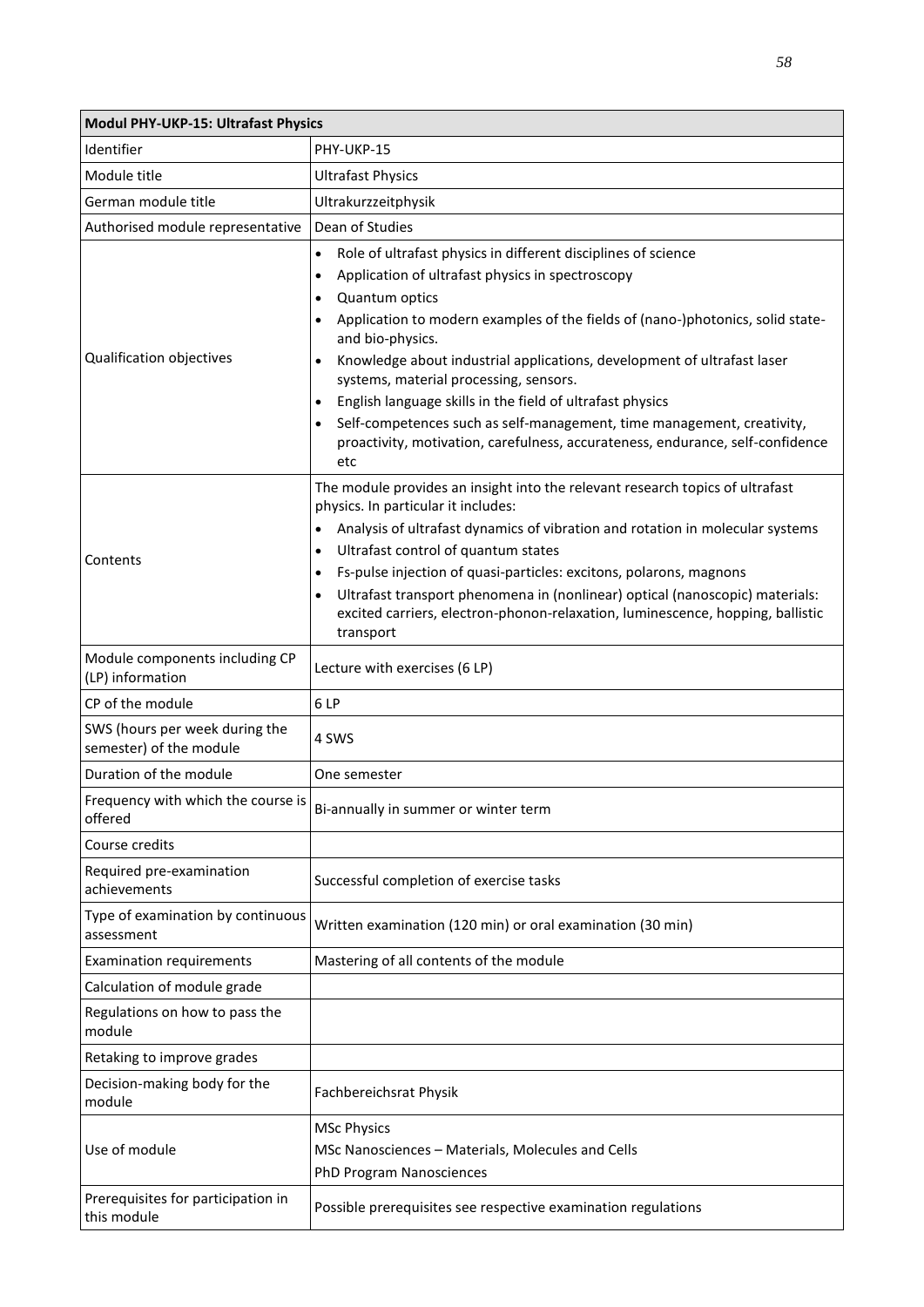| Modul PHY-UKP-15: Ultrafast Physics                       |                                                                                                                                                                                          |  |
|-----------------------------------------------------------|------------------------------------------------------------------------------------------------------------------------------------------------------------------------------------------|--|
| Identifier                                                | PHY-UKP-15                                                                                                                                                                               |  |
| Module title                                              | <b>Ultrafast Physics</b>                                                                                                                                                                 |  |
| German module title                                       | Ultrakurzzeitphysik                                                                                                                                                                      |  |
| Authorised module representative                          | Dean of Studies                                                                                                                                                                          |  |
|                                                           | Role of ultrafast physics in different disciplines of science<br>$\bullet$                                                                                                               |  |
|                                                           | Application of ultrafast physics in spectroscopy<br>$\bullet$                                                                                                                            |  |
|                                                           | Quantum optics<br>$\bullet$                                                                                                                                                              |  |
|                                                           | Application to modern examples of the fields of (nano-)photonics, solid state-<br>$\bullet$<br>and bio-physics.                                                                          |  |
| Qualification objectives                                  | Knowledge about industrial applications, development of ultrafast laser<br>systems, material processing, sensors.                                                                        |  |
|                                                           | English language skills in the field of ultrafast physics                                                                                                                                |  |
|                                                           | Self-competences such as self-management, time management, creativity,<br>$\bullet$<br>proactivity, motivation, carefulness, accurateness, endurance, self-confidence<br>etc             |  |
|                                                           | The module provides an insight into the relevant research topics of ultrafast<br>physics. In particular it includes:                                                                     |  |
|                                                           | Analysis of ultrafast dynamics of vibration and rotation in molecular systems<br>$\bullet$                                                                                               |  |
| Contents                                                  | Ultrafast control of quantum states                                                                                                                                                      |  |
|                                                           | Fs-pulse injection of quasi-particles: excitons, polarons, magnons<br>$\bullet$                                                                                                          |  |
|                                                           | Ultrafast transport phenomena in (nonlinear) optical (nanoscopic) materials:<br>$\bullet$<br>excited carriers, electron-phonon-relaxation, luminescence, hopping, ballistic<br>transport |  |
| Module components including CP<br>(LP) information        | Lecture with exercises (6 LP)                                                                                                                                                            |  |
| CP of the module                                          | 6LP                                                                                                                                                                                      |  |
| SWS (hours per week during the<br>semester) of the module | 4 SWS                                                                                                                                                                                    |  |
| Duration of the module                                    | One semester                                                                                                                                                                             |  |
| Frequency with which the course is<br>offered             | Bi-annually in summer or winter term                                                                                                                                                     |  |
| Course credits                                            |                                                                                                                                                                                          |  |
| Required pre-examination<br>achievements                  | Successful completion of exercise tasks                                                                                                                                                  |  |
| Type of examination by continuous<br>assessment           | Written examination (120 min) or oral examination (30 min)                                                                                                                               |  |
| <b>Examination requirements</b>                           | Mastering of all contents of the module                                                                                                                                                  |  |
| Calculation of module grade                               |                                                                                                                                                                                          |  |
| Regulations on how to pass the<br>module                  |                                                                                                                                                                                          |  |
| Retaking to improve grades                                |                                                                                                                                                                                          |  |
| Decision-making body for the<br>module                    | Fachbereichsrat Physik                                                                                                                                                                   |  |
| Use of module                                             | <b>MSc Physics</b><br>MSc Nanosciences - Materials, Molecules and Cells<br>PhD Program Nanosciences                                                                                      |  |
| Prerequisites for participation in<br>this module         | Possible prerequisites see respective examination regulations                                                                                                                            |  |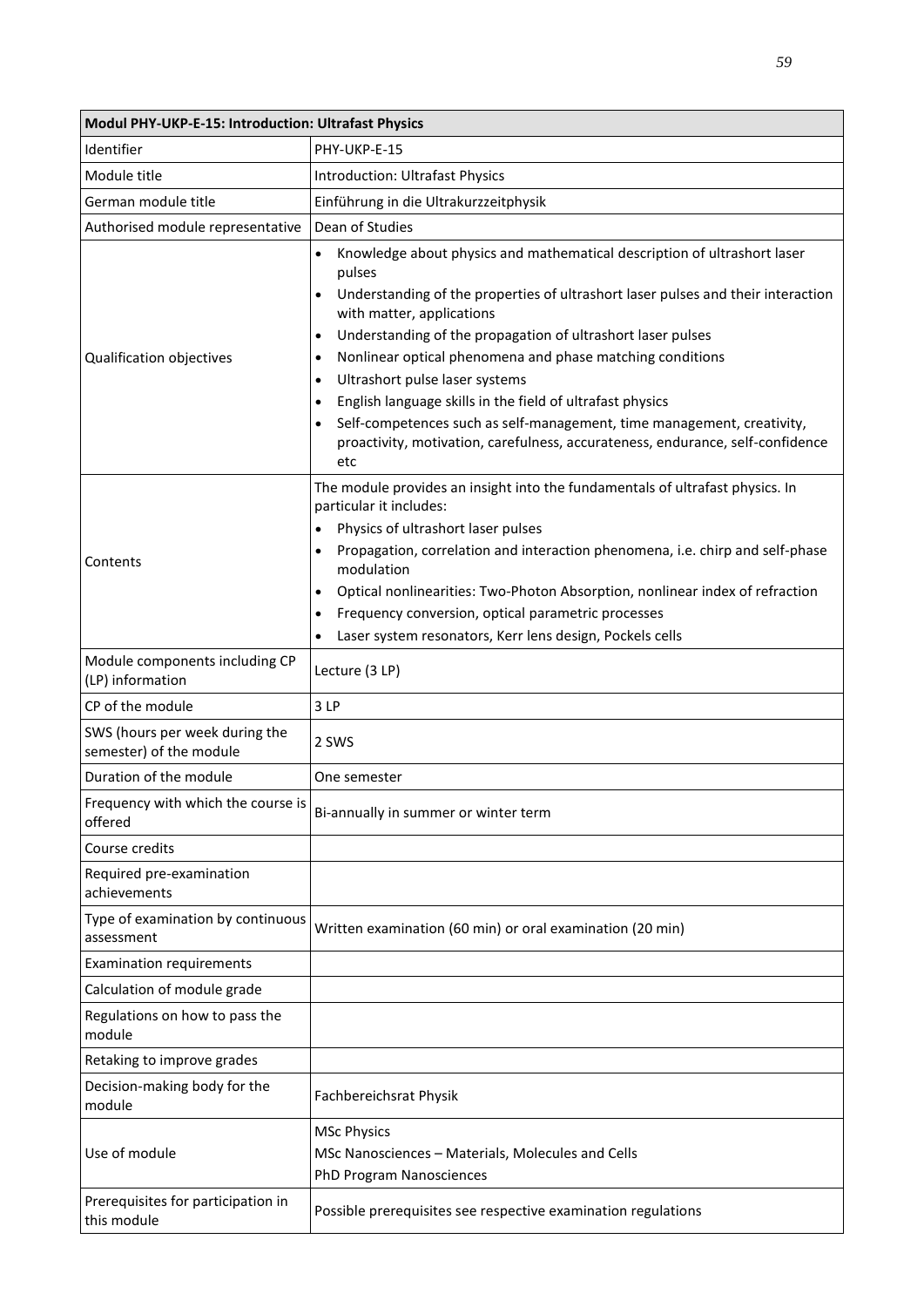| Modul PHY-UKP-E-15: Introduction: Ultrafast Physics       |                                                                                                                                                                                                                                                                                                                                                                                                                                                                                                                                                                                                                                                                                 |  |
|-----------------------------------------------------------|---------------------------------------------------------------------------------------------------------------------------------------------------------------------------------------------------------------------------------------------------------------------------------------------------------------------------------------------------------------------------------------------------------------------------------------------------------------------------------------------------------------------------------------------------------------------------------------------------------------------------------------------------------------------------------|--|
| Identifier                                                | PHY-UKP-E-15                                                                                                                                                                                                                                                                                                                                                                                                                                                                                                                                                                                                                                                                    |  |
| Module title                                              | <b>Introduction: Ultrafast Physics</b>                                                                                                                                                                                                                                                                                                                                                                                                                                                                                                                                                                                                                                          |  |
| German module title                                       | Einführung in die Ultrakurzzeitphysik                                                                                                                                                                                                                                                                                                                                                                                                                                                                                                                                                                                                                                           |  |
| Authorised module representative                          | Dean of Studies                                                                                                                                                                                                                                                                                                                                                                                                                                                                                                                                                                                                                                                                 |  |
| Qualification objectives                                  | Knowledge about physics and mathematical description of ultrashort laser<br>pulses<br>Understanding of the properties of ultrashort laser pulses and their interaction<br>$\bullet$<br>with matter, applications<br>Understanding of the propagation of ultrashort laser pulses<br>$\bullet$<br>Nonlinear optical phenomena and phase matching conditions<br>$\bullet$<br>Ultrashort pulse laser systems<br>$\bullet$<br>English language skills in the field of ultrafast physics<br>$\bullet$<br>Self-competences such as self-management, time management, creativity,<br>$\bullet$<br>proactivity, motivation, carefulness, accurateness, endurance, self-confidence<br>etc |  |
| Contents                                                  | The module provides an insight into the fundamentals of ultrafast physics. In<br>particular it includes:<br>Physics of ultrashort laser pulses<br>$\bullet$<br>Propagation, correlation and interaction phenomena, i.e. chirp and self-phase<br>$\bullet$<br>modulation<br>Optical nonlinearities: Two-Photon Absorption, nonlinear index of refraction<br>$\bullet$<br>Frequency conversion, optical parametric processes<br>$\bullet$<br>Laser system resonators, Kerr lens design, Pockels cells<br>$\bullet$                                                                                                                                                                |  |
| Module components including CP                            | Lecture (3 LP)                                                                                                                                                                                                                                                                                                                                                                                                                                                                                                                                                                                                                                                                  |  |
| (LP) information                                          |                                                                                                                                                                                                                                                                                                                                                                                                                                                                                                                                                                                                                                                                                 |  |
| CP of the module                                          | 3LP                                                                                                                                                                                                                                                                                                                                                                                                                                                                                                                                                                                                                                                                             |  |
| SWS (hours per week during the<br>semester) of the module | 2 SWS                                                                                                                                                                                                                                                                                                                                                                                                                                                                                                                                                                                                                                                                           |  |
| Duration of the module                                    | One semester                                                                                                                                                                                                                                                                                                                                                                                                                                                                                                                                                                                                                                                                    |  |
| Frequency with which the course is<br>offered             | Bi-annually in summer or winter term                                                                                                                                                                                                                                                                                                                                                                                                                                                                                                                                                                                                                                            |  |
| Course credits                                            |                                                                                                                                                                                                                                                                                                                                                                                                                                                                                                                                                                                                                                                                                 |  |
| Required pre-examination<br>achievements                  |                                                                                                                                                                                                                                                                                                                                                                                                                                                                                                                                                                                                                                                                                 |  |
| Type of examination by continuous<br>assessment           | Written examination (60 min) or oral examination (20 min)                                                                                                                                                                                                                                                                                                                                                                                                                                                                                                                                                                                                                       |  |
| <b>Examination requirements</b>                           |                                                                                                                                                                                                                                                                                                                                                                                                                                                                                                                                                                                                                                                                                 |  |
| Calculation of module grade                               |                                                                                                                                                                                                                                                                                                                                                                                                                                                                                                                                                                                                                                                                                 |  |
| Regulations on how to pass the<br>module                  |                                                                                                                                                                                                                                                                                                                                                                                                                                                                                                                                                                                                                                                                                 |  |
| Retaking to improve grades                                |                                                                                                                                                                                                                                                                                                                                                                                                                                                                                                                                                                                                                                                                                 |  |
| Decision-making body for the<br>module                    | Fachbereichsrat Physik                                                                                                                                                                                                                                                                                                                                                                                                                                                                                                                                                                                                                                                          |  |
| Use of module                                             | <b>MSc Physics</b><br>MSc Nanosciences - Materials, Molecules and Cells<br><b>PhD Program Nanosciences</b>                                                                                                                                                                                                                                                                                                                                                                                                                                                                                                                                                                      |  |
| Prerequisites for participation in<br>this module         | Possible prerequisites see respective examination regulations                                                                                                                                                                                                                                                                                                                                                                                                                                                                                                                                                                                                                   |  |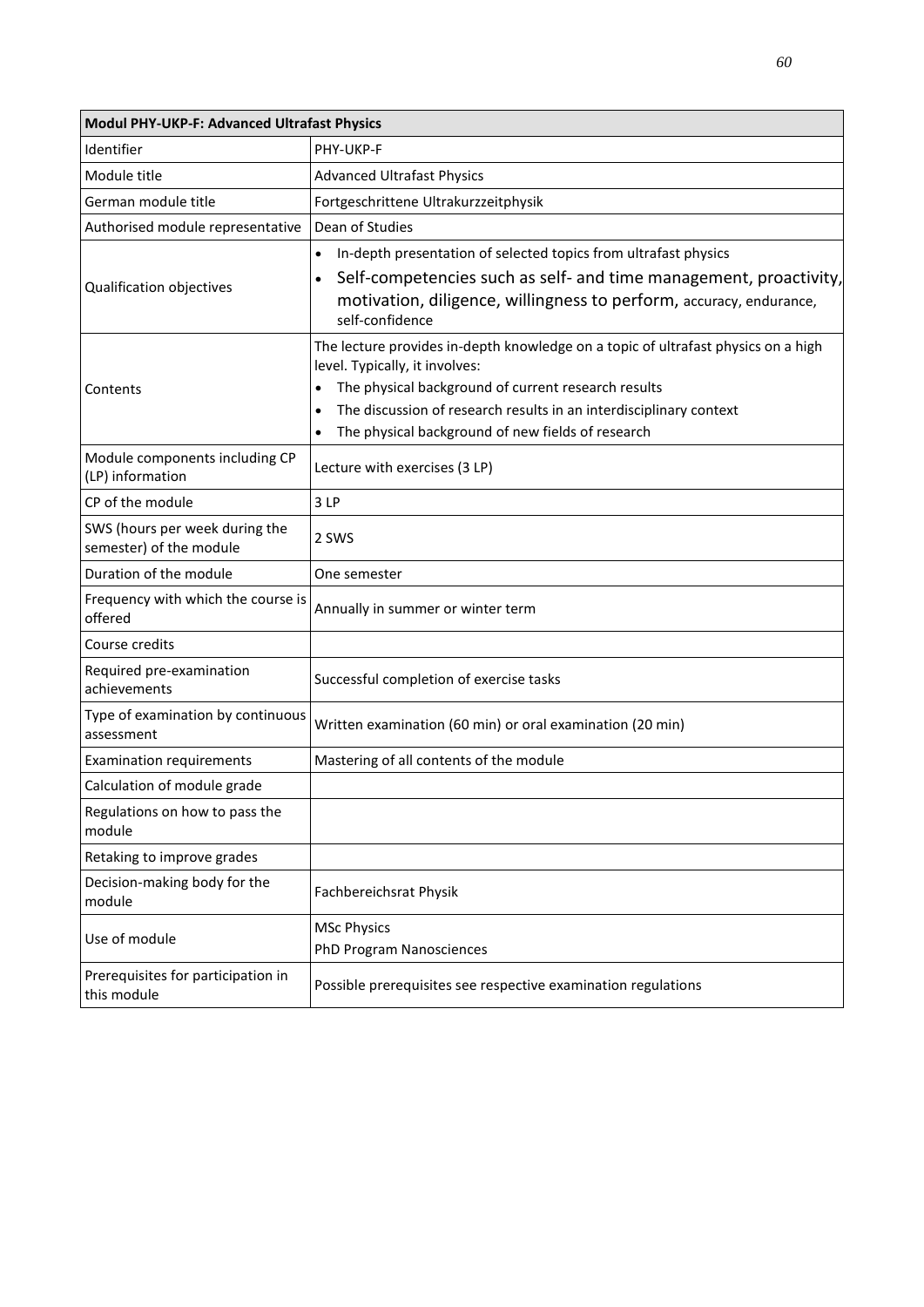| Modul PHY-UKP-F: Advanced Ultrafast Physics               |                                                                                                                                                                                                                                                                                                                                 |  |
|-----------------------------------------------------------|---------------------------------------------------------------------------------------------------------------------------------------------------------------------------------------------------------------------------------------------------------------------------------------------------------------------------------|--|
| Identifier                                                | PHY-UKP-F                                                                                                                                                                                                                                                                                                                       |  |
| Module title                                              | <b>Advanced Ultrafast Physics</b>                                                                                                                                                                                                                                                                                               |  |
| German module title                                       | Fortgeschrittene Ultrakurzzeitphysik                                                                                                                                                                                                                                                                                            |  |
| Authorised module representative                          | Dean of Studies                                                                                                                                                                                                                                                                                                                 |  |
| Qualification objectives                                  | In-depth presentation of selected topics from ultrafast physics<br>Self-competencies such as self- and time management, proactivity,<br>$\bullet$<br>motivation, diligence, willingness to perform, accuracy, endurance,<br>self-confidence                                                                                     |  |
| Contents                                                  | The lecture provides in-depth knowledge on a topic of ultrafast physics on a high<br>level. Typically, it involves:<br>The physical background of current research results<br>The discussion of research results in an interdisciplinary context<br>$\bullet$<br>The physical background of new fields of research<br>$\bullet$ |  |
| Module components including CP<br>(LP) information        | Lecture with exercises (3 LP)                                                                                                                                                                                                                                                                                                   |  |
| CP of the module                                          | 3LP                                                                                                                                                                                                                                                                                                                             |  |
| SWS (hours per week during the<br>semester) of the module | 2 SWS                                                                                                                                                                                                                                                                                                                           |  |
| Duration of the module                                    | One semester                                                                                                                                                                                                                                                                                                                    |  |
| Frequency with which the course is<br>offered             | Annually in summer or winter term                                                                                                                                                                                                                                                                                               |  |
| Course credits                                            |                                                                                                                                                                                                                                                                                                                                 |  |
| Required pre-examination<br>achievements                  | Successful completion of exercise tasks                                                                                                                                                                                                                                                                                         |  |
| Type of examination by continuous<br>assessment           | Written examination (60 min) or oral examination (20 min)                                                                                                                                                                                                                                                                       |  |
| <b>Examination requirements</b>                           | Mastering of all contents of the module                                                                                                                                                                                                                                                                                         |  |
| Calculation of module grade                               |                                                                                                                                                                                                                                                                                                                                 |  |
| Regulations on how to pass the<br>module                  |                                                                                                                                                                                                                                                                                                                                 |  |
| Retaking to improve grades                                |                                                                                                                                                                                                                                                                                                                                 |  |
| Decision-making body for the<br>module                    | Fachbereichsrat Physik                                                                                                                                                                                                                                                                                                          |  |
| Use of module                                             | <b>MSc Physics</b>                                                                                                                                                                                                                                                                                                              |  |
|                                                           | <b>PhD Program Nanosciences</b>                                                                                                                                                                                                                                                                                                 |  |
| Prerequisites for participation in<br>this module         | Possible prerequisites see respective examination regulations                                                                                                                                                                                                                                                                   |  |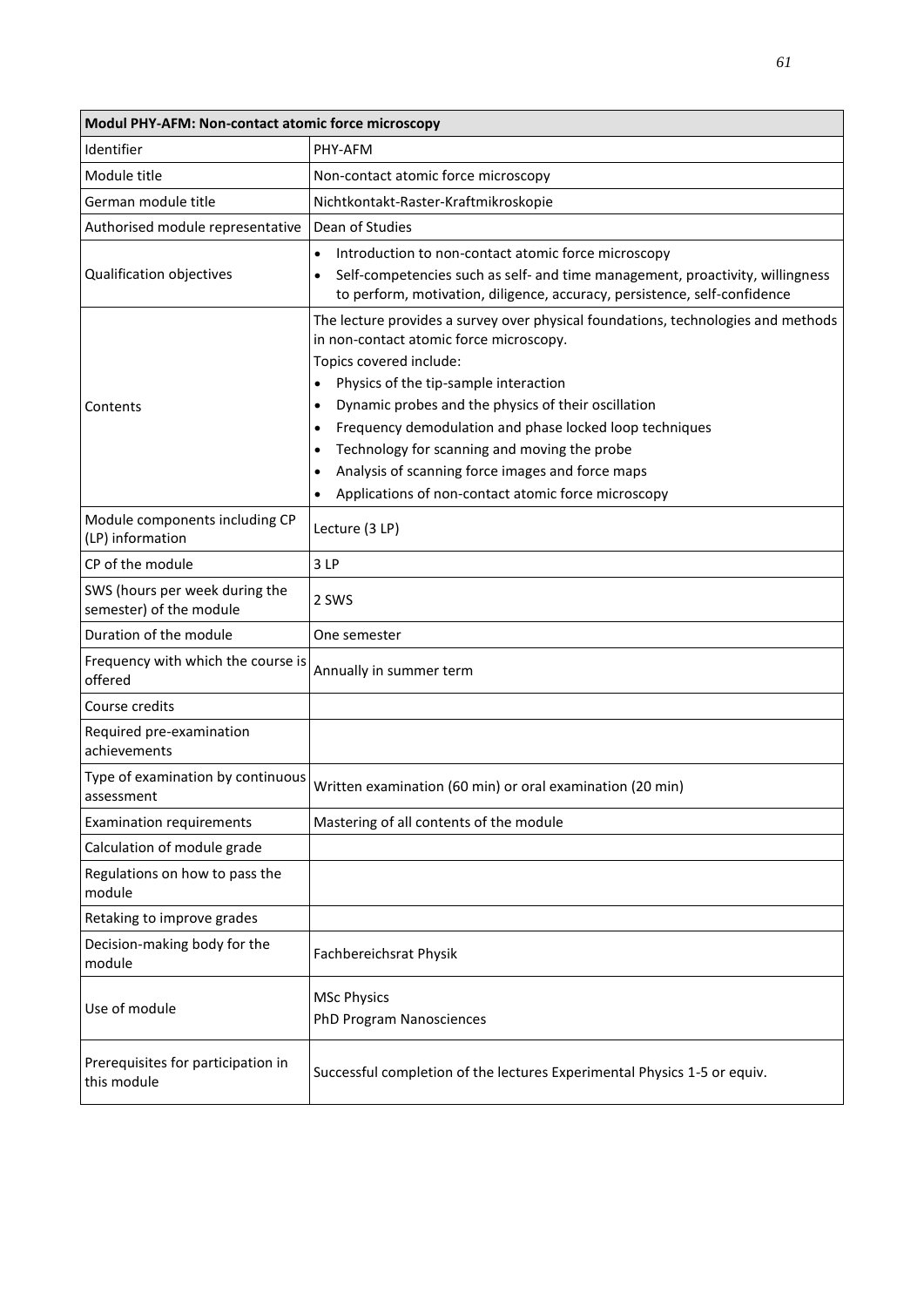| Modul PHY-AFM: Non-contact atomic force microscopy        |                                                                                                                                                                                                                                                                                                                                                                                                                                                                                                                                                             |  |
|-----------------------------------------------------------|-------------------------------------------------------------------------------------------------------------------------------------------------------------------------------------------------------------------------------------------------------------------------------------------------------------------------------------------------------------------------------------------------------------------------------------------------------------------------------------------------------------------------------------------------------------|--|
| Identifier                                                | PHY-AFM                                                                                                                                                                                                                                                                                                                                                                                                                                                                                                                                                     |  |
| Module title                                              | Non-contact atomic force microscopy                                                                                                                                                                                                                                                                                                                                                                                                                                                                                                                         |  |
| German module title                                       | Nichtkontakt-Raster-Kraftmikroskopie                                                                                                                                                                                                                                                                                                                                                                                                                                                                                                                        |  |
| Authorised module representative                          | Dean of Studies                                                                                                                                                                                                                                                                                                                                                                                                                                                                                                                                             |  |
| Qualification objectives                                  | Introduction to non-contact atomic force microscopy<br>$\bullet$<br>Self-competencies such as self- and time management, proactivity, willingness<br>to perform, motivation, diligence, accuracy, persistence, self-confidence                                                                                                                                                                                                                                                                                                                              |  |
| Contents                                                  | The lecture provides a survey over physical foundations, technologies and methods<br>in non-contact atomic force microscopy.<br>Topics covered include:<br>Physics of the tip-sample interaction<br>$\bullet$<br>Dynamic probes and the physics of their oscillation<br>$\bullet$<br>Frequency demodulation and phase locked loop techniques<br>$\bullet$<br>Technology for scanning and moving the probe<br>$\bullet$<br>Analysis of scanning force images and force maps<br>$\bullet$<br>Applications of non-contact atomic force microscopy<br>$\bullet$ |  |
| Module components including CP<br>(LP) information        | Lecture (3 LP)                                                                                                                                                                                                                                                                                                                                                                                                                                                                                                                                              |  |
| CP of the module                                          | 3 LP                                                                                                                                                                                                                                                                                                                                                                                                                                                                                                                                                        |  |
| SWS (hours per week during the<br>semester) of the module | 2 SWS                                                                                                                                                                                                                                                                                                                                                                                                                                                                                                                                                       |  |
| Duration of the module                                    | One semester                                                                                                                                                                                                                                                                                                                                                                                                                                                                                                                                                |  |
| Frequency with which the course is<br>offered             | Annually in summer term                                                                                                                                                                                                                                                                                                                                                                                                                                                                                                                                     |  |
| Course credits                                            |                                                                                                                                                                                                                                                                                                                                                                                                                                                                                                                                                             |  |
| Required pre-examination<br>achievements                  |                                                                                                                                                                                                                                                                                                                                                                                                                                                                                                                                                             |  |
| Type of examination by continuous<br>assessment           | Written examination (60 min) or oral examination (20 min)                                                                                                                                                                                                                                                                                                                                                                                                                                                                                                   |  |
| <b>Examination requirements</b>                           | Mastering of all contents of the module                                                                                                                                                                                                                                                                                                                                                                                                                                                                                                                     |  |
| Calculation of module grade                               |                                                                                                                                                                                                                                                                                                                                                                                                                                                                                                                                                             |  |
| Regulations on how to pass the<br>module                  |                                                                                                                                                                                                                                                                                                                                                                                                                                                                                                                                                             |  |
| Retaking to improve grades                                |                                                                                                                                                                                                                                                                                                                                                                                                                                                                                                                                                             |  |
| Decision-making body for the<br>module                    | Fachbereichsrat Physik                                                                                                                                                                                                                                                                                                                                                                                                                                                                                                                                      |  |
| Use of module                                             | <b>MSc Physics</b><br>PhD Program Nanosciences                                                                                                                                                                                                                                                                                                                                                                                                                                                                                                              |  |
| Prerequisites for participation in<br>this module         | Successful completion of the lectures Experimental Physics 1-5 or equiv.                                                                                                                                                                                                                                                                                                                                                                                                                                                                                    |  |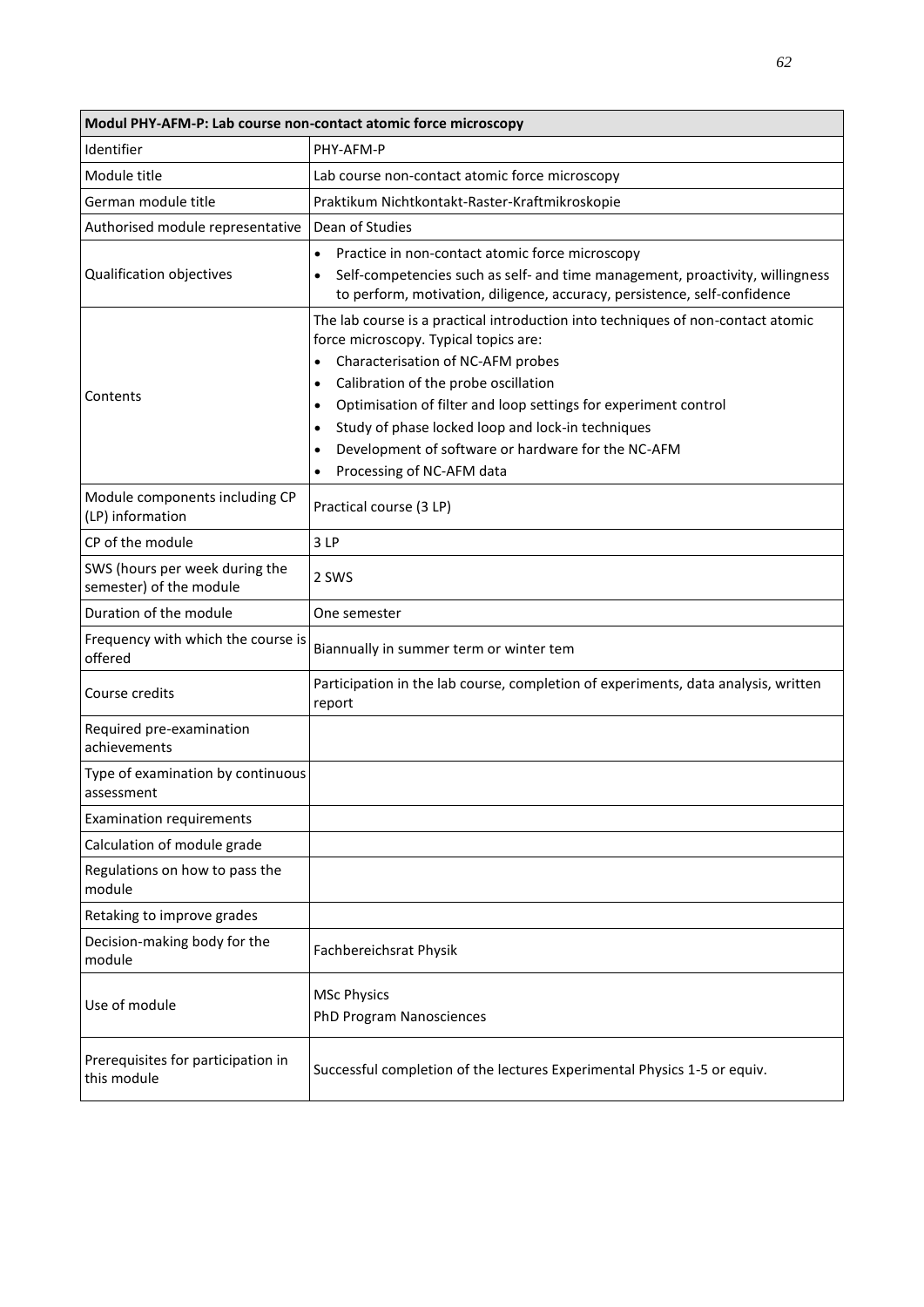| Modul PHY-AFM-P: Lab course non-contact atomic force microscopy |                                                                                                                                                                                                                                                                                                                                                                                                                                                                                                 |  |
|-----------------------------------------------------------------|-------------------------------------------------------------------------------------------------------------------------------------------------------------------------------------------------------------------------------------------------------------------------------------------------------------------------------------------------------------------------------------------------------------------------------------------------------------------------------------------------|--|
| Identifier                                                      | PHY-AFM-P                                                                                                                                                                                                                                                                                                                                                                                                                                                                                       |  |
| Module title                                                    | Lab course non-contact atomic force microscopy                                                                                                                                                                                                                                                                                                                                                                                                                                                  |  |
| German module title                                             | Praktikum Nichtkontakt-Raster-Kraftmikroskopie                                                                                                                                                                                                                                                                                                                                                                                                                                                  |  |
| Authorised module representative                                | Dean of Studies                                                                                                                                                                                                                                                                                                                                                                                                                                                                                 |  |
| Qualification objectives                                        | Practice in non-contact atomic force microscopy<br>$\bullet$<br>Self-competencies such as self- and time management, proactivity, willingness<br>$\bullet$<br>to perform, motivation, diligence, accuracy, persistence, self-confidence                                                                                                                                                                                                                                                         |  |
| Contents                                                        | The lab course is a practical introduction into techniques of non-contact atomic<br>force microscopy. Typical topics are:<br>Characterisation of NC-AFM probes<br>$\bullet$<br>Calibration of the probe oscillation<br>$\bullet$<br>Optimisation of filter and loop settings for experiment control<br>$\bullet$<br>Study of phase locked loop and lock-in techniques<br>$\bullet$<br>Development of software or hardware for the NC-AFM<br>$\bullet$<br>Processing of NC-AFM data<br>$\bullet$ |  |
| Module components including CP<br>(LP) information              | Practical course (3 LP)                                                                                                                                                                                                                                                                                                                                                                                                                                                                         |  |
| CP of the module                                                | 3LP                                                                                                                                                                                                                                                                                                                                                                                                                                                                                             |  |
| SWS (hours per week during the<br>semester) of the module       | 2 SWS                                                                                                                                                                                                                                                                                                                                                                                                                                                                                           |  |
| Duration of the module                                          | One semester                                                                                                                                                                                                                                                                                                                                                                                                                                                                                    |  |
| Frequency with which the course is<br>offered                   | Biannually in summer term or winter tem                                                                                                                                                                                                                                                                                                                                                                                                                                                         |  |
| Course credits                                                  | Participation in the lab course, completion of experiments, data analysis, written<br>report                                                                                                                                                                                                                                                                                                                                                                                                    |  |
| Required pre-examination<br>achievements                        |                                                                                                                                                                                                                                                                                                                                                                                                                                                                                                 |  |
| Type of examination by continuous<br>assessment                 |                                                                                                                                                                                                                                                                                                                                                                                                                                                                                                 |  |
| <b>Examination requirements</b>                                 |                                                                                                                                                                                                                                                                                                                                                                                                                                                                                                 |  |
| Calculation of module grade                                     |                                                                                                                                                                                                                                                                                                                                                                                                                                                                                                 |  |
| Regulations on how to pass the<br>module                        |                                                                                                                                                                                                                                                                                                                                                                                                                                                                                                 |  |
| Retaking to improve grades                                      |                                                                                                                                                                                                                                                                                                                                                                                                                                                                                                 |  |
| Decision-making body for the<br>module                          | Fachbereichsrat Physik                                                                                                                                                                                                                                                                                                                                                                                                                                                                          |  |
| Use of module                                                   | <b>MSc Physics</b><br>PhD Program Nanosciences                                                                                                                                                                                                                                                                                                                                                                                                                                                  |  |
| Prerequisites for participation in<br>this module               | Successful completion of the lectures Experimental Physics 1-5 or equiv.                                                                                                                                                                                                                                                                                                                                                                                                                        |  |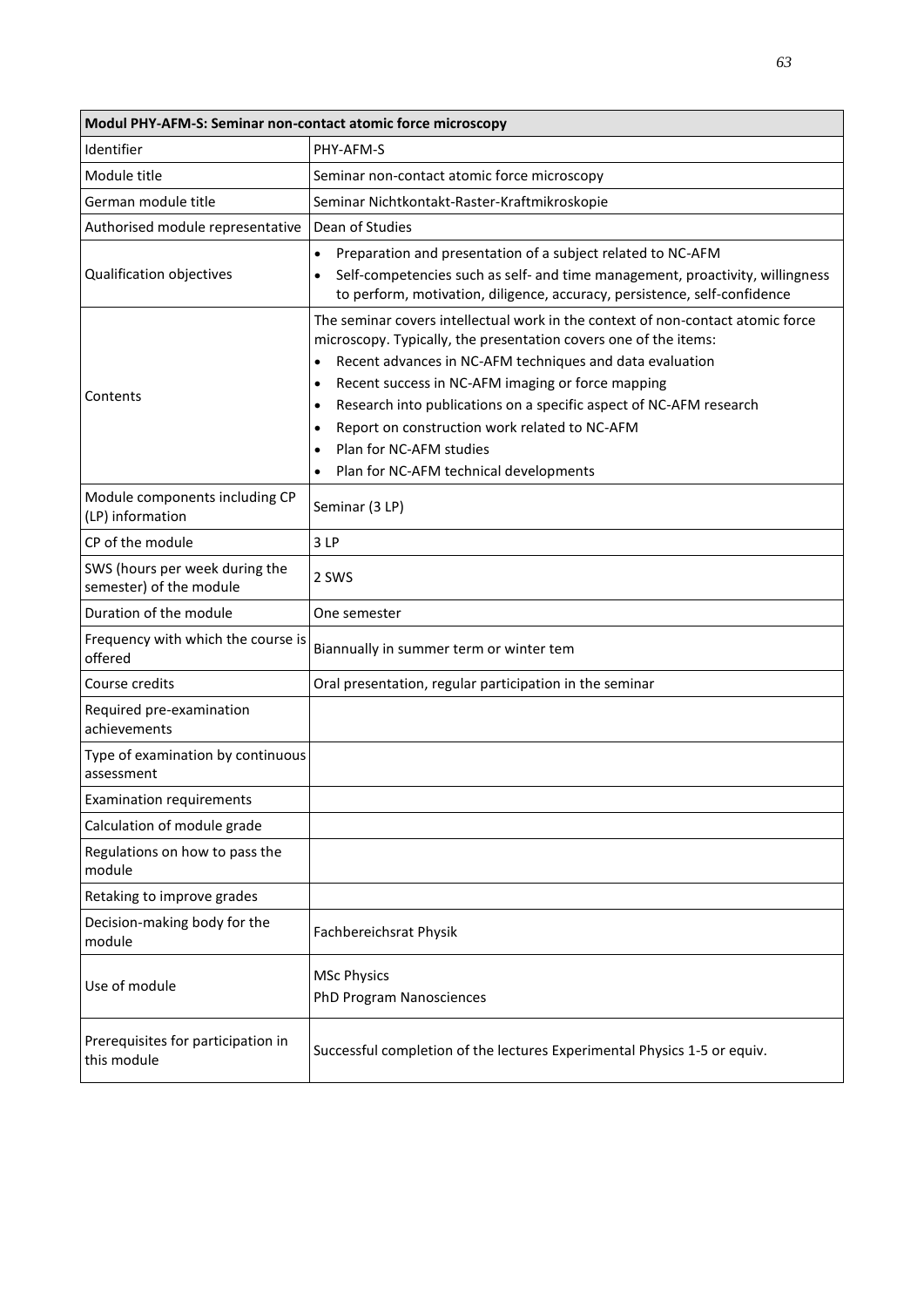| Modul PHY-AFM-S: Seminar non-contact atomic force microscopy |                                                                                                                                                                                                                                                                                                                                                                                                                                                                                                                                                |  |
|--------------------------------------------------------------|------------------------------------------------------------------------------------------------------------------------------------------------------------------------------------------------------------------------------------------------------------------------------------------------------------------------------------------------------------------------------------------------------------------------------------------------------------------------------------------------------------------------------------------------|--|
| Identifier                                                   | PHY-AFM-S                                                                                                                                                                                                                                                                                                                                                                                                                                                                                                                                      |  |
| Module title                                                 | Seminar non-contact atomic force microscopy                                                                                                                                                                                                                                                                                                                                                                                                                                                                                                    |  |
| German module title                                          | Seminar Nichtkontakt-Raster-Kraftmikroskopie                                                                                                                                                                                                                                                                                                                                                                                                                                                                                                   |  |
| Authorised module representative                             | Dean of Studies                                                                                                                                                                                                                                                                                                                                                                                                                                                                                                                                |  |
| Qualification objectives                                     | Preparation and presentation of a subject related to NC-AFM<br>$\bullet$<br>Self-competencies such as self- and time management, proactivity, willingness<br>to perform, motivation, diligence, accuracy, persistence, self-confidence                                                                                                                                                                                                                                                                                                         |  |
| Contents                                                     | The seminar covers intellectual work in the context of non-contact atomic force<br>microscopy. Typically, the presentation covers one of the items:<br>Recent advances in NC-AFM techniques and data evaluation<br>$\bullet$<br>Recent success in NC-AFM imaging or force mapping<br>$\bullet$<br>Research into publications on a specific aspect of NC-AFM research<br>$\bullet$<br>Report on construction work related to NC-AFM<br>$\bullet$<br>Plan for NC-AFM studies<br>$\bullet$<br>Plan for NC-AFM technical developments<br>$\bullet$ |  |
| Module components including CP<br>(LP) information           | Seminar (3 LP)                                                                                                                                                                                                                                                                                                                                                                                                                                                                                                                                 |  |
| CP of the module                                             | 3 LP                                                                                                                                                                                                                                                                                                                                                                                                                                                                                                                                           |  |
| SWS (hours per week during the<br>semester) of the module    | 2 SWS                                                                                                                                                                                                                                                                                                                                                                                                                                                                                                                                          |  |
| Duration of the module                                       | One semester                                                                                                                                                                                                                                                                                                                                                                                                                                                                                                                                   |  |
| Frequency with which the course is<br>offered                | Biannually in summer term or winter tem                                                                                                                                                                                                                                                                                                                                                                                                                                                                                                        |  |
| Course credits                                               | Oral presentation, regular participation in the seminar                                                                                                                                                                                                                                                                                                                                                                                                                                                                                        |  |
| Required pre-examination<br>achievements                     |                                                                                                                                                                                                                                                                                                                                                                                                                                                                                                                                                |  |
| Type of examination by continuous<br>assessment              |                                                                                                                                                                                                                                                                                                                                                                                                                                                                                                                                                |  |
| <b>Examination requirements</b>                              |                                                                                                                                                                                                                                                                                                                                                                                                                                                                                                                                                |  |
| Calculation of module grade                                  |                                                                                                                                                                                                                                                                                                                                                                                                                                                                                                                                                |  |
| Regulations on how to pass the<br>module                     |                                                                                                                                                                                                                                                                                                                                                                                                                                                                                                                                                |  |
| Retaking to improve grades                                   |                                                                                                                                                                                                                                                                                                                                                                                                                                                                                                                                                |  |
| Decision-making body for the<br>module                       | Fachbereichsrat Physik                                                                                                                                                                                                                                                                                                                                                                                                                                                                                                                         |  |
| Use of module                                                | <b>MSc Physics</b><br>PhD Program Nanosciences                                                                                                                                                                                                                                                                                                                                                                                                                                                                                                 |  |
| Prerequisites for participation in<br>this module            | Successful completion of the lectures Experimental Physics 1-5 or equiv.                                                                                                                                                                                                                                                                                                                                                                                                                                                                       |  |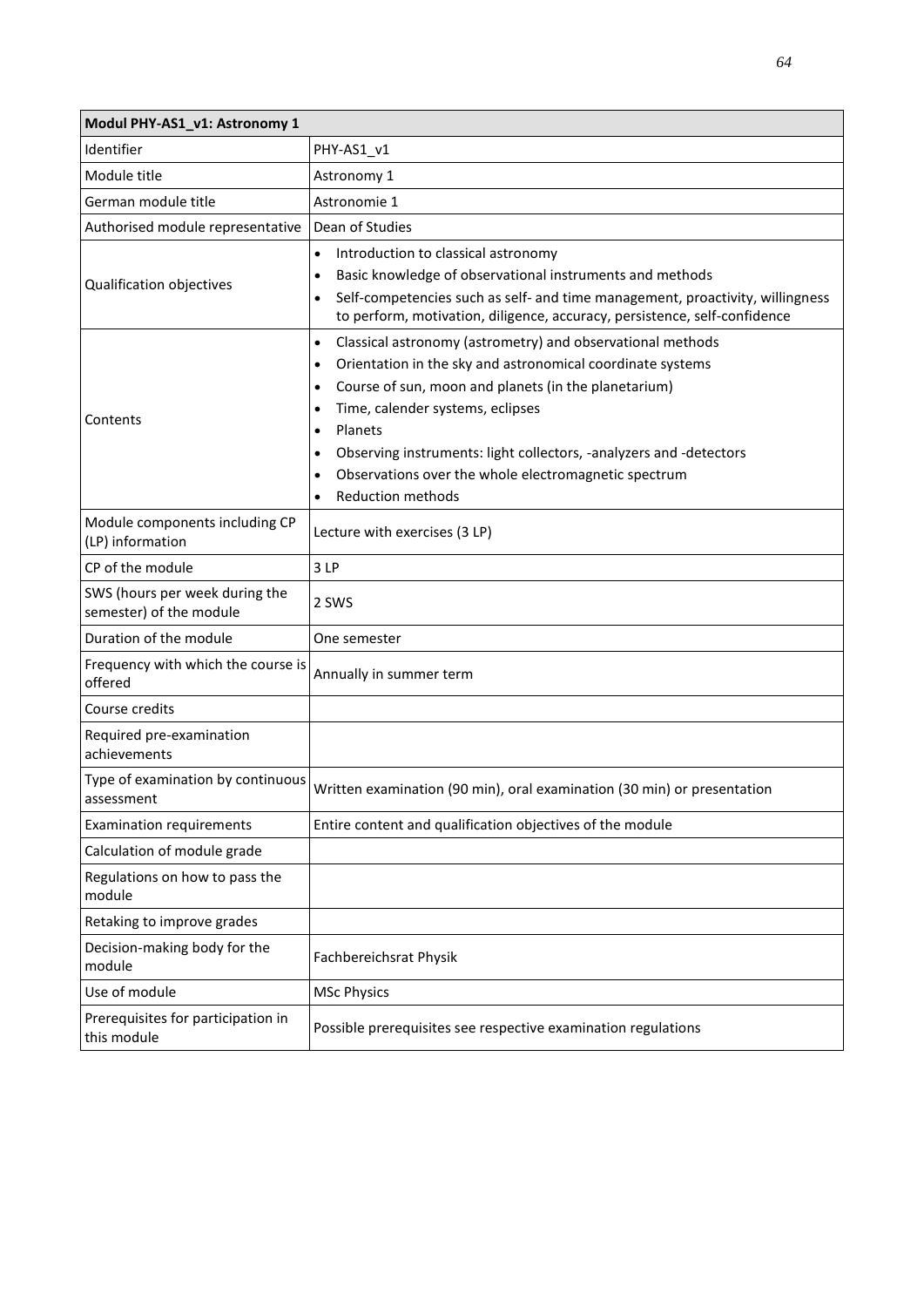| Modul PHY-AS1_v1: Astronomy 1                             |                                                                                                                                                                                                                                                                                                                                                                                                                                                                                                   |
|-----------------------------------------------------------|---------------------------------------------------------------------------------------------------------------------------------------------------------------------------------------------------------------------------------------------------------------------------------------------------------------------------------------------------------------------------------------------------------------------------------------------------------------------------------------------------|
| Identifier                                                | PHY-AS1_v1                                                                                                                                                                                                                                                                                                                                                                                                                                                                                        |
| Module title                                              | Astronomy 1                                                                                                                                                                                                                                                                                                                                                                                                                                                                                       |
| German module title                                       | Astronomie 1                                                                                                                                                                                                                                                                                                                                                                                                                                                                                      |
| Authorised module representative                          | Dean of Studies                                                                                                                                                                                                                                                                                                                                                                                                                                                                                   |
| Qualification objectives                                  | Introduction to classical astronomy<br>$\bullet$<br>Basic knowledge of observational instruments and methods<br>$\bullet$<br>Self-competencies such as self- and time management, proactivity, willingness<br>$\bullet$<br>to perform, motivation, diligence, accuracy, persistence, self-confidence                                                                                                                                                                                              |
| Contents                                                  | Classical astronomy (astrometry) and observational methods<br>$\bullet$<br>Orientation in the sky and astronomical coordinate systems<br>$\bullet$<br>Course of sun, moon and planets (in the planetarium)<br>$\bullet$<br>Time, calender systems, eclipses<br>$\bullet$<br>Planets<br>$\bullet$<br>Observing instruments: light collectors, -analyzers and -detectors<br>$\bullet$<br>Observations over the whole electromagnetic spectrum<br>$\bullet$<br><b>Reduction methods</b><br>$\bullet$ |
| Module components including CP<br>(LP) information        | Lecture with exercises (3 LP)                                                                                                                                                                                                                                                                                                                                                                                                                                                                     |
| CP of the module                                          | 3LP                                                                                                                                                                                                                                                                                                                                                                                                                                                                                               |
| SWS (hours per week during the<br>semester) of the module | 2 SWS                                                                                                                                                                                                                                                                                                                                                                                                                                                                                             |
| Duration of the module                                    | One semester                                                                                                                                                                                                                                                                                                                                                                                                                                                                                      |
| Frequency with which the course is<br>offered             | Annually in summer term                                                                                                                                                                                                                                                                                                                                                                                                                                                                           |
| Course credits                                            |                                                                                                                                                                                                                                                                                                                                                                                                                                                                                                   |
| Required pre-examination<br>achievements                  |                                                                                                                                                                                                                                                                                                                                                                                                                                                                                                   |
| Type of examination by continuous<br>assessment           | Written examination (90 min), oral examination (30 min) or presentation                                                                                                                                                                                                                                                                                                                                                                                                                           |
| <b>Examination requirements</b>                           | Entire content and qualification objectives of the module                                                                                                                                                                                                                                                                                                                                                                                                                                         |
| Calculation of module grade                               |                                                                                                                                                                                                                                                                                                                                                                                                                                                                                                   |
| Regulations on how to pass the<br>module                  |                                                                                                                                                                                                                                                                                                                                                                                                                                                                                                   |
| Retaking to improve grades                                |                                                                                                                                                                                                                                                                                                                                                                                                                                                                                                   |
| Decision-making body for the<br>module                    | Fachbereichsrat Physik                                                                                                                                                                                                                                                                                                                                                                                                                                                                            |
| Use of module                                             | <b>MSc Physics</b>                                                                                                                                                                                                                                                                                                                                                                                                                                                                                |
| Prerequisites for participation in<br>this module         | Possible prerequisites see respective examination regulations                                                                                                                                                                                                                                                                                                                                                                                                                                     |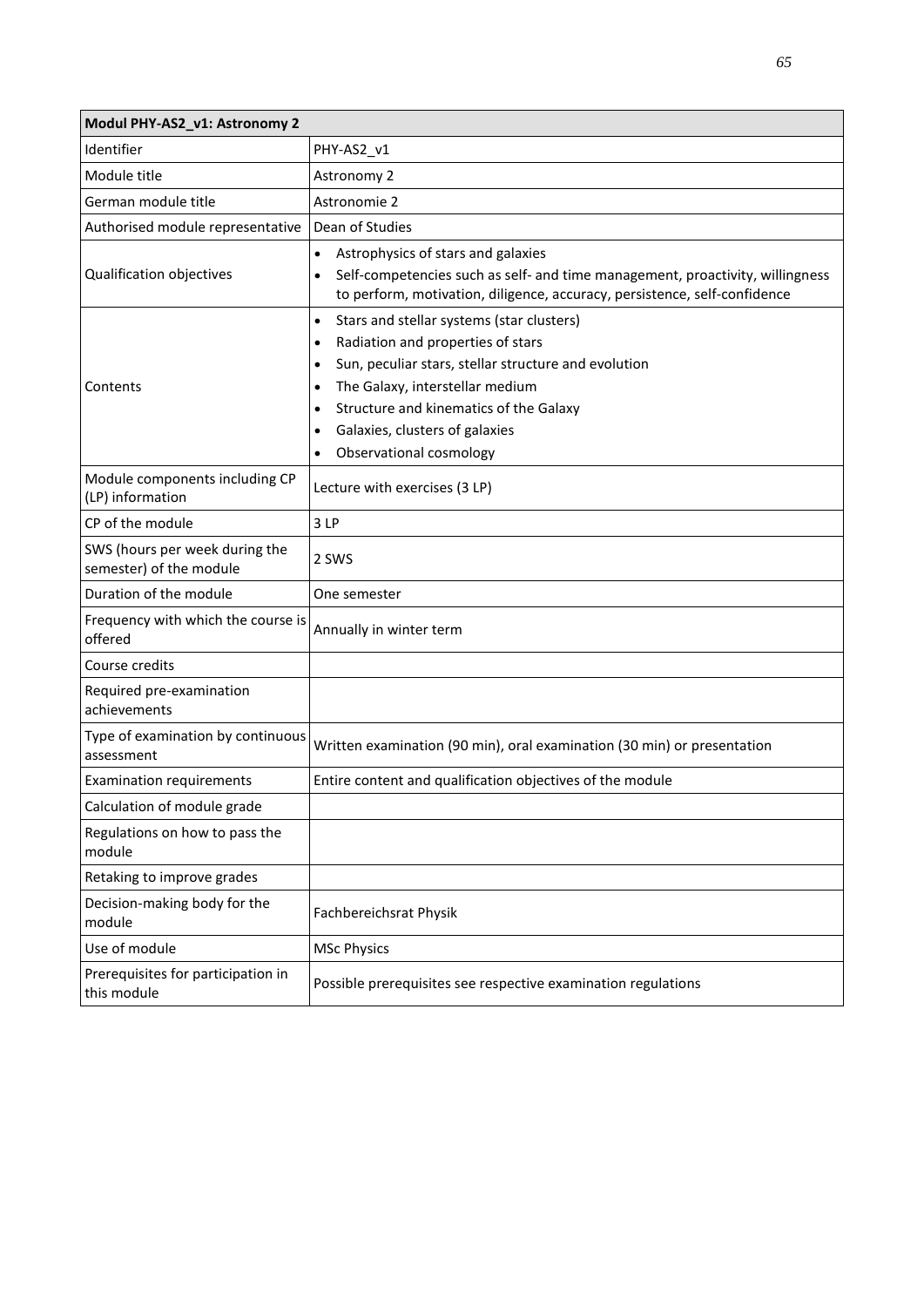| Modul PHY-AS2_v1: Astronomy 2                             |                                                                                                                                                                                                                                                                                                                                                                     |
|-----------------------------------------------------------|---------------------------------------------------------------------------------------------------------------------------------------------------------------------------------------------------------------------------------------------------------------------------------------------------------------------------------------------------------------------|
| Identifier                                                | PHY-AS2_v1                                                                                                                                                                                                                                                                                                                                                          |
| Module title                                              | Astronomy 2                                                                                                                                                                                                                                                                                                                                                         |
| German module title                                       | Astronomie 2                                                                                                                                                                                                                                                                                                                                                        |
| Authorised module representative                          | Dean of Studies                                                                                                                                                                                                                                                                                                                                                     |
| Qualification objectives                                  | Astrophysics of stars and galaxies<br>$\bullet$<br>Self-competencies such as self- and time management, proactivity, willingness<br>$\bullet$<br>to perform, motivation, diligence, accuracy, persistence, self-confidence                                                                                                                                          |
| Contents                                                  | Stars and stellar systems (star clusters)<br>$\bullet$<br>Radiation and properties of stars<br>$\bullet$<br>Sun, peculiar stars, stellar structure and evolution<br>$\bullet$<br>The Galaxy, interstellar medium<br>$\bullet$<br>Structure and kinematics of the Galaxy<br>$\bullet$<br>Galaxies, clusters of galaxies<br>٠<br>Observational cosmology<br>$\bullet$ |
| Module components including CP<br>(LP) information        | Lecture with exercises (3 LP)                                                                                                                                                                                                                                                                                                                                       |
| CP of the module                                          | 3 LP                                                                                                                                                                                                                                                                                                                                                                |
| SWS (hours per week during the<br>semester) of the module | 2 SWS                                                                                                                                                                                                                                                                                                                                                               |
| Duration of the module                                    | One semester                                                                                                                                                                                                                                                                                                                                                        |
| Frequency with which the course is<br>offered             | Annually in winter term                                                                                                                                                                                                                                                                                                                                             |
| Course credits                                            |                                                                                                                                                                                                                                                                                                                                                                     |
| Required pre-examination<br>achievements                  |                                                                                                                                                                                                                                                                                                                                                                     |
| Type of examination by continuous<br>assessment           | Written examination (90 min), oral examination (30 min) or presentation                                                                                                                                                                                                                                                                                             |
| <b>Examination requirements</b>                           | Entire content and qualification objectives of the module                                                                                                                                                                                                                                                                                                           |
| Calculation of module grade                               |                                                                                                                                                                                                                                                                                                                                                                     |
| Regulations on how to pass the<br>module                  |                                                                                                                                                                                                                                                                                                                                                                     |
| Retaking to improve grades                                |                                                                                                                                                                                                                                                                                                                                                                     |
| Decision-making body for the<br>module                    | Fachbereichsrat Physik                                                                                                                                                                                                                                                                                                                                              |
| Use of module                                             | <b>MSc Physics</b>                                                                                                                                                                                                                                                                                                                                                  |
| Prerequisites for participation in<br>this module         | Possible prerequisites see respective examination regulations                                                                                                                                                                                                                                                                                                       |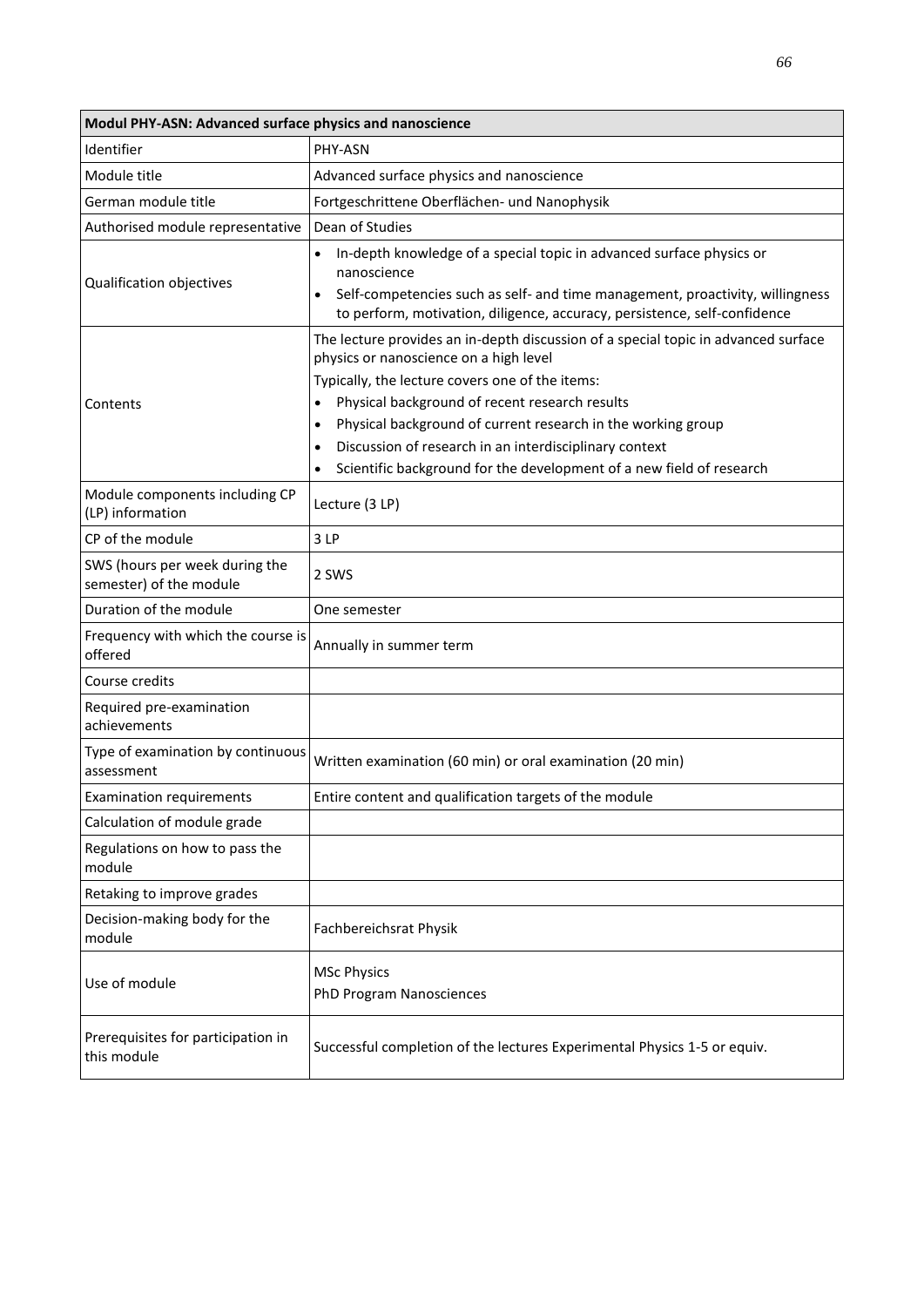| Modul PHY-ASN: Advanced surface physics and nanoscience   |                                                                                                                                                                                                                                                                                                                                                                                                                                                                            |  |
|-----------------------------------------------------------|----------------------------------------------------------------------------------------------------------------------------------------------------------------------------------------------------------------------------------------------------------------------------------------------------------------------------------------------------------------------------------------------------------------------------------------------------------------------------|--|
| Identifier                                                | PHY-ASN                                                                                                                                                                                                                                                                                                                                                                                                                                                                    |  |
| Module title                                              | Advanced surface physics and nanoscience                                                                                                                                                                                                                                                                                                                                                                                                                                   |  |
| German module title                                       | Fortgeschrittene Oberflächen- und Nanophysik                                                                                                                                                                                                                                                                                                                                                                                                                               |  |
| Authorised module representative                          | Dean of Studies                                                                                                                                                                                                                                                                                                                                                                                                                                                            |  |
| Qualification objectives                                  | In-depth knowledge of a special topic in advanced surface physics or<br>nanoscience<br>Self-competencies such as self- and time management, proactivity, willingness<br>to perform, motivation, diligence, accuracy, persistence, self-confidence                                                                                                                                                                                                                          |  |
| Contents                                                  | The lecture provides an in-depth discussion of a special topic in advanced surface<br>physics or nanoscience on a high level<br>Typically, the lecture covers one of the items:<br>Physical background of recent research results<br>Physical background of current research in the working group<br>$\bullet$<br>Discussion of research in an interdisciplinary context<br>$\bullet$<br>Scientific background for the development of a new field of research<br>$\bullet$ |  |
| Module components including CP<br>(LP) information        | Lecture (3 LP)                                                                                                                                                                                                                                                                                                                                                                                                                                                             |  |
| CP of the module                                          | 3LP                                                                                                                                                                                                                                                                                                                                                                                                                                                                        |  |
| SWS (hours per week during the<br>semester) of the module | 2 SWS                                                                                                                                                                                                                                                                                                                                                                                                                                                                      |  |
| Duration of the module                                    | One semester                                                                                                                                                                                                                                                                                                                                                                                                                                                               |  |
| Frequency with which the course is<br>offered             | Annually in summer term                                                                                                                                                                                                                                                                                                                                                                                                                                                    |  |
| Course credits                                            |                                                                                                                                                                                                                                                                                                                                                                                                                                                                            |  |
| Required pre-examination<br>achievements                  |                                                                                                                                                                                                                                                                                                                                                                                                                                                                            |  |
| Type of examination by continuous<br>assessment           | Written examination (60 min) or oral examination (20 min)                                                                                                                                                                                                                                                                                                                                                                                                                  |  |
| <b>Examination requirements</b>                           | Entire content and qualification targets of the module                                                                                                                                                                                                                                                                                                                                                                                                                     |  |
| Calculation of module grade                               |                                                                                                                                                                                                                                                                                                                                                                                                                                                                            |  |
| Regulations on how to pass the<br>module                  |                                                                                                                                                                                                                                                                                                                                                                                                                                                                            |  |
| Retaking to improve grades                                |                                                                                                                                                                                                                                                                                                                                                                                                                                                                            |  |
| Decision-making body for the<br>module                    | Fachbereichsrat Physik                                                                                                                                                                                                                                                                                                                                                                                                                                                     |  |
| Use of module                                             | <b>MSc Physics</b><br><b>PhD Program Nanosciences</b>                                                                                                                                                                                                                                                                                                                                                                                                                      |  |
| Prerequisites for participation in<br>this module         | Successful completion of the lectures Experimental Physics 1-5 or equiv.                                                                                                                                                                                                                                                                                                                                                                                                   |  |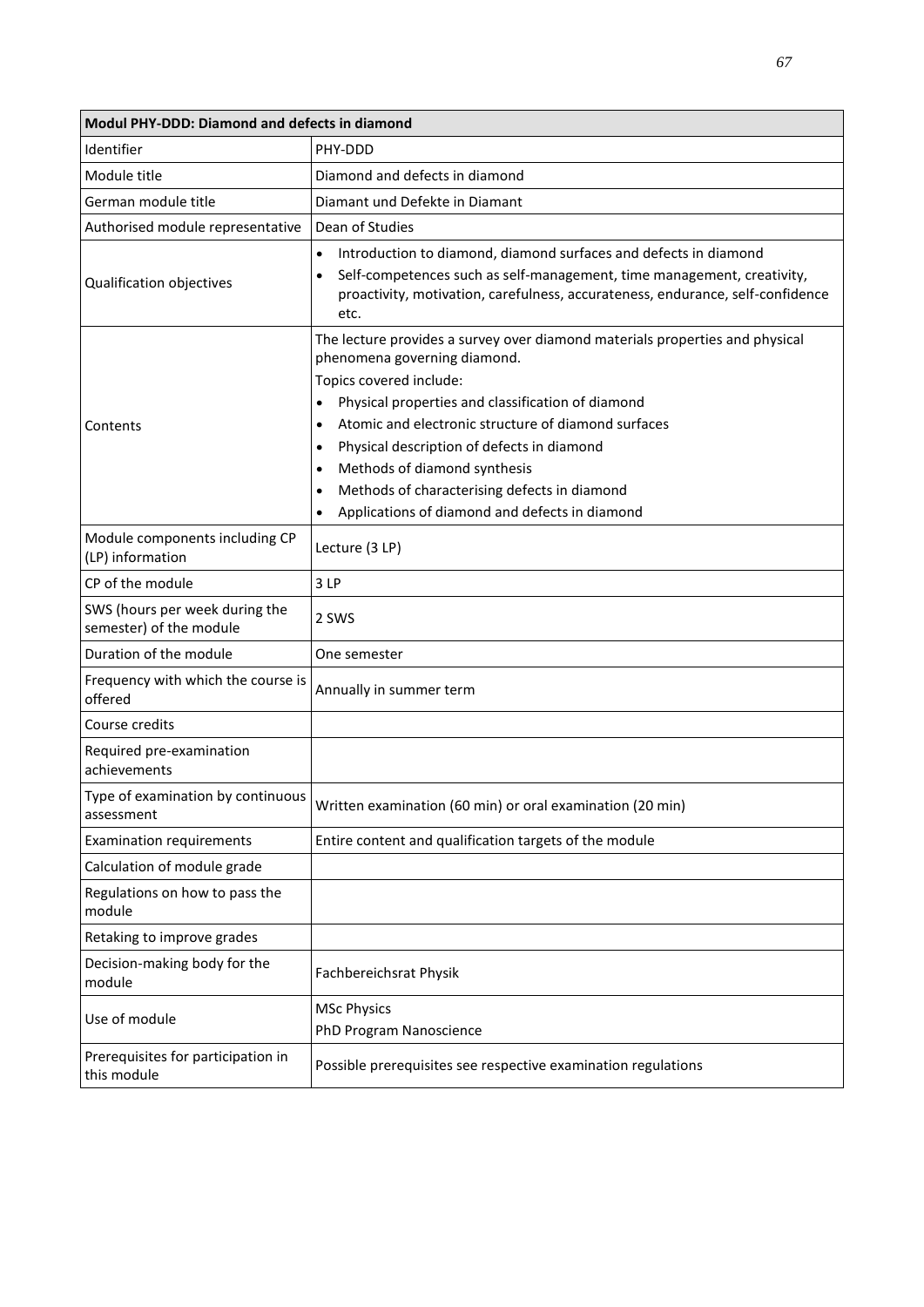| <b>Modul PHY-DDD: Diamond and defects in diamond</b>      |                                                                                                                                                                                                                                                                                                                                                                                                                                                                                                      |  |
|-----------------------------------------------------------|------------------------------------------------------------------------------------------------------------------------------------------------------------------------------------------------------------------------------------------------------------------------------------------------------------------------------------------------------------------------------------------------------------------------------------------------------------------------------------------------------|--|
| Identifier                                                | PHY-DDD                                                                                                                                                                                                                                                                                                                                                                                                                                                                                              |  |
| Module title                                              | Diamond and defects in diamond                                                                                                                                                                                                                                                                                                                                                                                                                                                                       |  |
| German module title                                       | Diamant und Defekte in Diamant                                                                                                                                                                                                                                                                                                                                                                                                                                                                       |  |
| Authorised module representative                          | Dean of Studies                                                                                                                                                                                                                                                                                                                                                                                                                                                                                      |  |
| Qualification objectives                                  | Introduction to diamond, diamond surfaces and defects in diamond<br>$\bullet$<br>Self-competences such as self-management, time management, creativity,<br>$\bullet$<br>proactivity, motivation, carefulness, accurateness, endurance, self-confidence<br>etc.                                                                                                                                                                                                                                       |  |
| Contents                                                  | The lecture provides a survey over diamond materials properties and physical<br>phenomena governing diamond.<br>Topics covered include:<br>Physical properties and classification of diamond<br>Atomic and electronic structure of diamond surfaces<br>$\bullet$<br>Physical description of defects in diamond<br>$\bullet$<br>Methods of diamond synthesis<br>$\bullet$<br>Methods of characterising defects in diamond<br>$\bullet$<br>Applications of diamond and defects in diamond<br>$\bullet$ |  |
| Module components including CP<br>(LP) information        | Lecture (3 LP)                                                                                                                                                                                                                                                                                                                                                                                                                                                                                       |  |
| CP of the module                                          | 3LP                                                                                                                                                                                                                                                                                                                                                                                                                                                                                                  |  |
| SWS (hours per week during the<br>semester) of the module | 2 SWS                                                                                                                                                                                                                                                                                                                                                                                                                                                                                                |  |
| Duration of the module                                    | One semester                                                                                                                                                                                                                                                                                                                                                                                                                                                                                         |  |
| Frequency with which the course is<br>offered             | Annually in summer term                                                                                                                                                                                                                                                                                                                                                                                                                                                                              |  |
| Course credits                                            |                                                                                                                                                                                                                                                                                                                                                                                                                                                                                                      |  |
| Required pre-examination<br>achievements                  |                                                                                                                                                                                                                                                                                                                                                                                                                                                                                                      |  |
| Type of examination by continuous<br>assessment           | Written examination (60 min) or oral examination (20 min)                                                                                                                                                                                                                                                                                                                                                                                                                                            |  |
| <b>Examination requirements</b>                           | Entire content and qualification targets of the module                                                                                                                                                                                                                                                                                                                                                                                                                                               |  |
| Calculation of module grade                               |                                                                                                                                                                                                                                                                                                                                                                                                                                                                                                      |  |
| Regulations on how to pass the<br>module                  |                                                                                                                                                                                                                                                                                                                                                                                                                                                                                                      |  |
| Retaking to improve grades                                |                                                                                                                                                                                                                                                                                                                                                                                                                                                                                                      |  |
| Decision-making body for the<br>module                    | Fachbereichsrat Physik                                                                                                                                                                                                                                                                                                                                                                                                                                                                               |  |
| Use of module                                             | <b>MSc Physics</b><br>PhD Program Nanoscience                                                                                                                                                                                                                                                                                                                                                                                                                                                        |  |
| Prerequisites for participation in<br>this module         | Possible prerequisites see respective examination regulations                                                                                                                                                                                                                                                                                                                                                                                                                                        |  |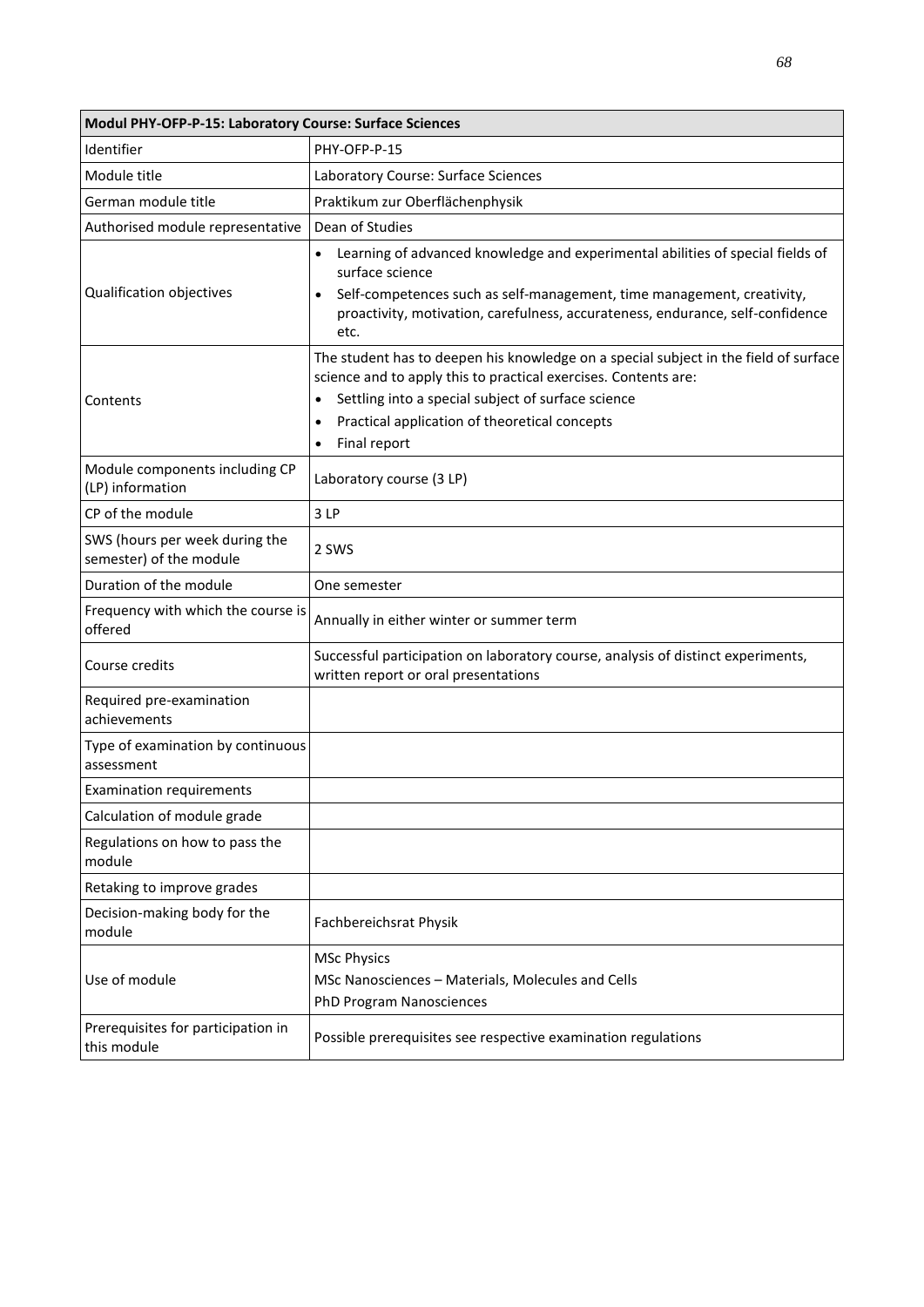| Modul PHY-OFP-P-15: Laboratory Course: Surface Sciences   |                                                                                                                                                                                                                                                                                                                       |  |
|-----------------------------------------------------------|-----------------------------------------------------------------------------------------------------------------------------------------------------------------------------------------------------------------------------------------------------------------------------------------------------------------------|--|
| Identifier                                                | PHY-OFP-P-15                                                                                                                                                                                                                                                                                                          |  |
| Module title                                              | Laboratory Course: Surface Sciences                                                                                                                                                                                                                                                                                   |  |
| German module title                                       | Praktikum zur Oberflächenphysik                                                                                                                                                                                                                                                                                       |  |
| Authorised module representative                          | Dean of Studies                                                                                                                                                                                                                                                                                                       |  |
| Qualification objectives                                  | Learning of advanced knowledge and experimental abilities of special fields of<br>surface science<br>Self-competences such as self-management, time management, creativity,<br>$\bullet$<br>proactivity, motivation, carefulness, accurateness, endurance, self-confidence<br>etc.                                    |  |
| Contents                                                  | The student has to deepen his knowledge on a special subject in the field of surface<br>science and to apply this to practical exercises. Contents are:<br>Settling into a special subject of surface science<br>$\bullet$<br>Practical application of theoretical concepts<br>$\bullet$<br>Final report<br>$\bullet$ |  |
| Module components including CP<br>(LP) information        | Laboratory course (3 LP)                                                                                                                                                                                                                                                                                              |  |
| CP of the module                                          | 3LP                                                                                                                                                                                                                                                                                                                   |  |
| SWS (hours per week during the<br>semester) of the module | 2 SWS                                                                                                                                                                                                                                                                                                                 |  |
| Duration of the module                                    | One semester                                                                                                                                                                                                                                                                                                          |  |
| Frequency with which the course is<br>offered             | Annually in either winter or summer term                                                                                                                                                                                                                                                                              |  |
| Course credits                                            | Successful participation on laboratory course, analysis of distinct experiments,<br>written report or oral presentations                                                                                                                                                                                              |  |
| Required pre-examination<br>achievements                  |                                                                                                                                                                                                                                                                                                                       |  |
| Type of examination by continuous<br>assessment           |                                                                                                                                                                                                                                                                                                                       |  |
| <b>Examination requirements</b>                           |                                                                                                                                                                                                                                                                                                                       |  |
| Calculation of module grade                               |                                                                                                                                                                                                                                                                                                                       |  |
| Regulations on how to pass the<br>module                  |                                                                                                                                                                                                                                                                                                                       |  |
| Retaking to improve grades                                |                                                                                                                                                                                                                                                                                                                       |  |
| Decision-making body for the<br>module                    | Fachbereichsrat Physik                                                                                                                                                                                                                                                                                                |  |
| Use of module                                             | <b>MSc Physics</b><br>MSc Nanosciences - Materials, Molecules and Cells<br>PhD Program Nanosciences                                                                                                                                                                                                                   |  |
| Prerequisites for participation in<br>this module         | Possible prerequisites see respective examination regulations                                                                                                                                                                                                                                                         |  |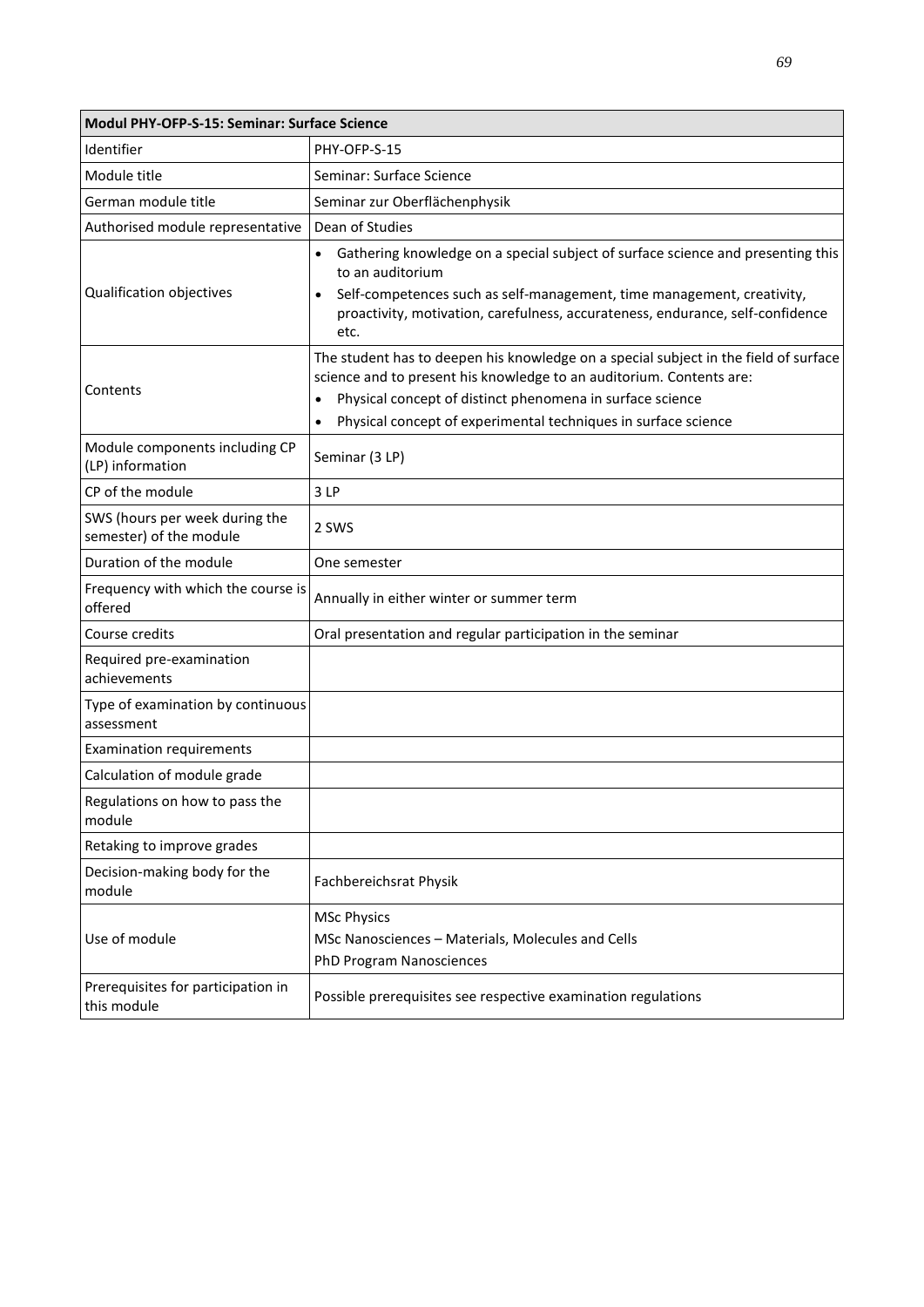| Modul PHY-OFP-S-15: Seminar: Surface Science              |                                                                                                                                                                                                                                                                                                          |  |
|-----------------------------------------------------------|----------------------------------------------------------------------------------------------------------------------------------------------------------------------------------------------------------------------------------------------------------------------------------------------------------|--|
| Identifier                                                | PHY-OFP-S-15                                                                                                                                                                                                                                                                                             |  |
| Module title                                              | Seminar: Surface Science                                                                                                                                                                                                                                                                                 |  |
| German module title                                       | Seminar zur Oberflächenphysik                                                                                                                                                                                                                                                                            |  |
| Authorised module representative                          | Dean of Studies                                                                                                                                                                                                                                                                                          |  |
| Qualification objectives                                  | Gathering knowledge on a special subject of surface science and presenting this<br>to an auditorium<br>Self-competences such as self-management, time management, creativity,<br>$\bullet$<br>proactivity, motivation, carefulness, accurateness, endurance, self-confidence<br>etc.                     |  |
| Contents                                                  | The student has to deepen his knowledge on a special subject in the field of surface<br>science and to present his knowledge to an auditorium. Contents are:<br>Physical concept of distinct phenomena in surface science<br>$\bullet$<br>Physical concept of experimental techniques in surface science |  |
| Module components including CP<br>(LP) information        | Seminar (3 LP)                                                                                                                                                                                                                                                                                           |  |
| CP of the module                                          | 3LP                                                                                                                                                                                                                                                                                                      |  |
| SWS (hours per week during the<br>semester) of the module | 2 SWS                                                                                                                                                                                                                                                                                                    |  |
| Duration of the module                                    | One semester                                                                                                                                                                                                                                                                                             |  |
| Frequency with which the course is<br>offered             | Annually in either winter or summer term                                                                                                                                                                                                                                                                 |  |
| Course credits                                            | Oral presentation and regular participation in the seminar                                                                                                                                                                                                                                               |  |
| Required pre-examination<br>achievements                  |                                                                                                                                                                                                                                                                                                          |  |
| Type of examination by continuous<br>assessment           |                                                                                                                                                                                                                                                                                                          |  |
| <b>Examination requirements</b>                           |                                                                                                                                                                                                                                                                                                          |  |
| Calculation of module grade                               |                                                                                                                                                                                                                                                                                                          |  |
| Regulations on how to pass the<br>module                  |                                                                                                                                                                                                                                                                                                          |  |
| Retaking to improve grades                                |                                                                                                                                                                                                                                                                                                          |  |
| Decision-making body for the<br>module                    | Fachbereichsrat Physik                                                                                                                                                                                                                                                                                   |  |
|                                                           | <b>MSc Physics</b>                                                                                                                                                                                                                                                                                       |  |
| Use of module                                             | MSc Nanosciences - Materials, Molecules and Cells                                                                                                                                                                                                                                                        |  |
|                                                           | PhD Program Nanosciences                                                                                                                                                                                                                                                                                 |  |
| Prerequisites for participation in<br>this module         | Possible prerequisites see respective examination regulations                                                                                                                                                                                                                                            |  |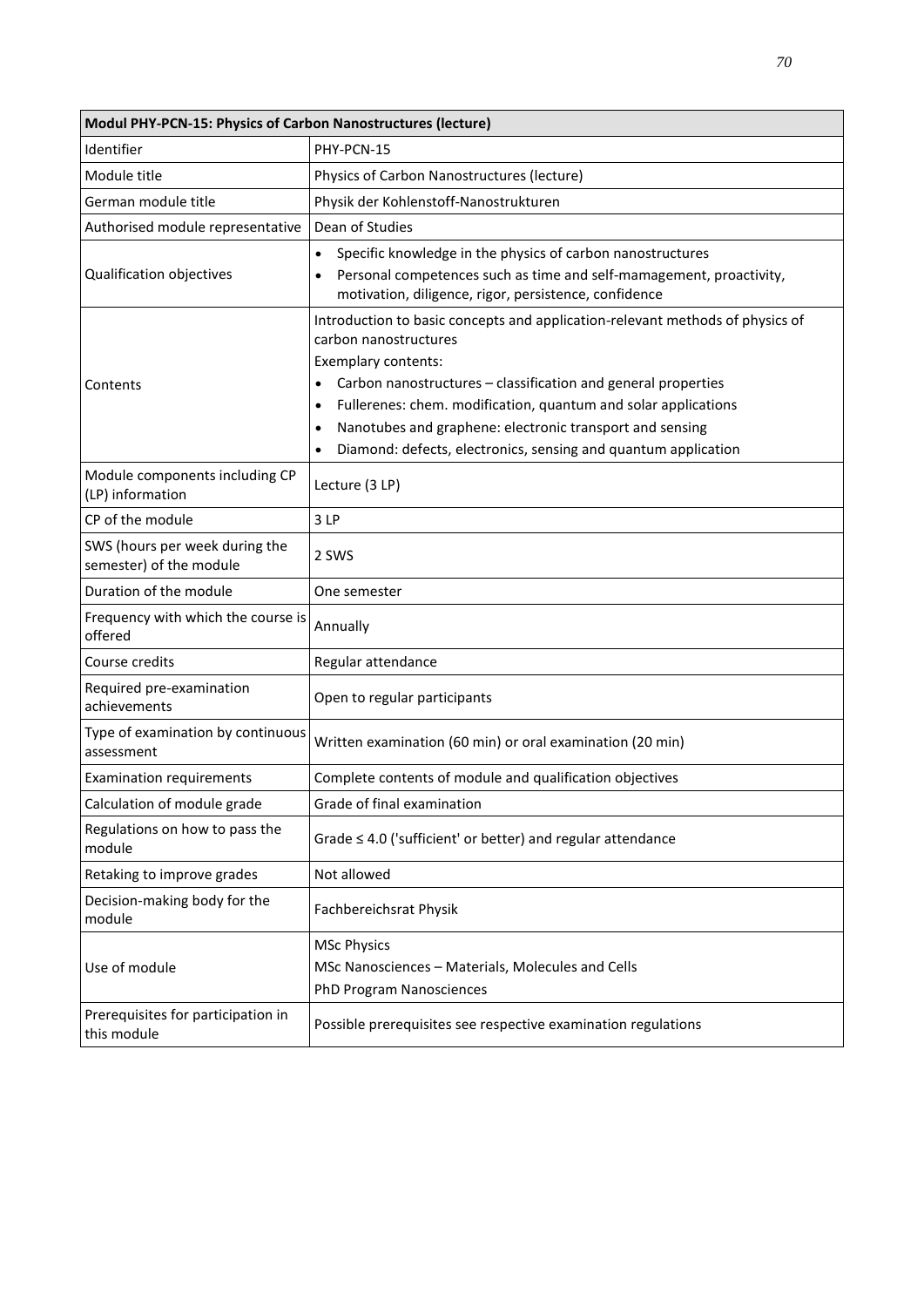| Modul PHY-PCN-15: Physics of Carbon Nanostructures (lecture) |                                                                                                                                           |
|--------------------------------------------------------------|-------------------------------------------------------------------------------------------------------------------------------------------|
| Identifier                                                   | PHY-PCN-15                                                                                                                                |
| Module title                                                 | Physics of Carbon Nanostructures (lecture)                                                                                                |
| German module title                                          | Physik der Kohlenstoff-Nanostrukturen                                                                                                     |
| Authorised module representative                             | Dean of Studies                                                                                                                           |
|                                                              | Specific knowledge in the physics of carbon nanostructures<br>$\bullet$                                                                   |
| Qualification objectives                                     | Personal competences such as time and self-mamagement, proactivity,<br>$\bullet$<br>motivation, diligence, rigor, persistence, confidence |
|                                                              | Introduction to basic concepts and application-relevant methods of physics of                                                             |
|                                                              | carbon nanostructures<br>Exemplary contents:                                                                                              |
| Contents                                                     | Carbon nanostructures - classification and general properties                                                                             |
|                                                              | Fullerenes: chem. modification, quantum and solar applications<br>$\bullet$                                                               |
|                                                              | Nanotubes and graphene: electronic transport and sensing<br>$\bullet$                                                                     |
|                                                              | Diamond: defects, electronics, sensing and quantum application                                                                            |
| Module components including CP<br>(LP) information           | Lecture (3 LP)                                                                                                                            |
| CP of the module                                             | 3LP                                                                                                                                       |
| SWS (hours per week during the<br>semester) of the module    | 2 SWS                                                                                                                                     |
| Duration of the module                                       | One semester                                                                                                                              |
| Frequency with which the course is<br>offered                | Annually                                                                                                                                  |
| Course credits                                               | Regular attendance                                                                                                                        |
| Required pre-examination<br>achievements                     | Open to regular participants                                                                                                              |
| Type of examination by continuous<br>assessment              | Written examination (60 min) or oral examination (20 min)                                                                                 |
| <b>Examination requirements</b>                              | Complete contents of module and qualification objectives                                                                                  |
| Calculation of module grade                                  | Grade of final examination                                                                                                                |
| Regulations on how to pass the<br>module                     | Grade $\leq$ 4.0 ('sufficient' or better) and regular attendance                                                                          |
| Retaking to improve grades                                   | Not allowed                                                                                                                               |
| Decision-making body for the<br>module                       | Fachbereichsrat Physik                                                                                                                    |
|                                                              | <b>MSc Physics</b>                                                                                                                        |
| Use of module                                                | MSc Nanosciences - Materials, Molecules and Cells                                                                                         |
|                                                              | PhD Program Nanosciences                                                                                                                  |
| Prerequisites for participation in<br>this module            | Possible prerequisites see respective examination regulations                                                                             |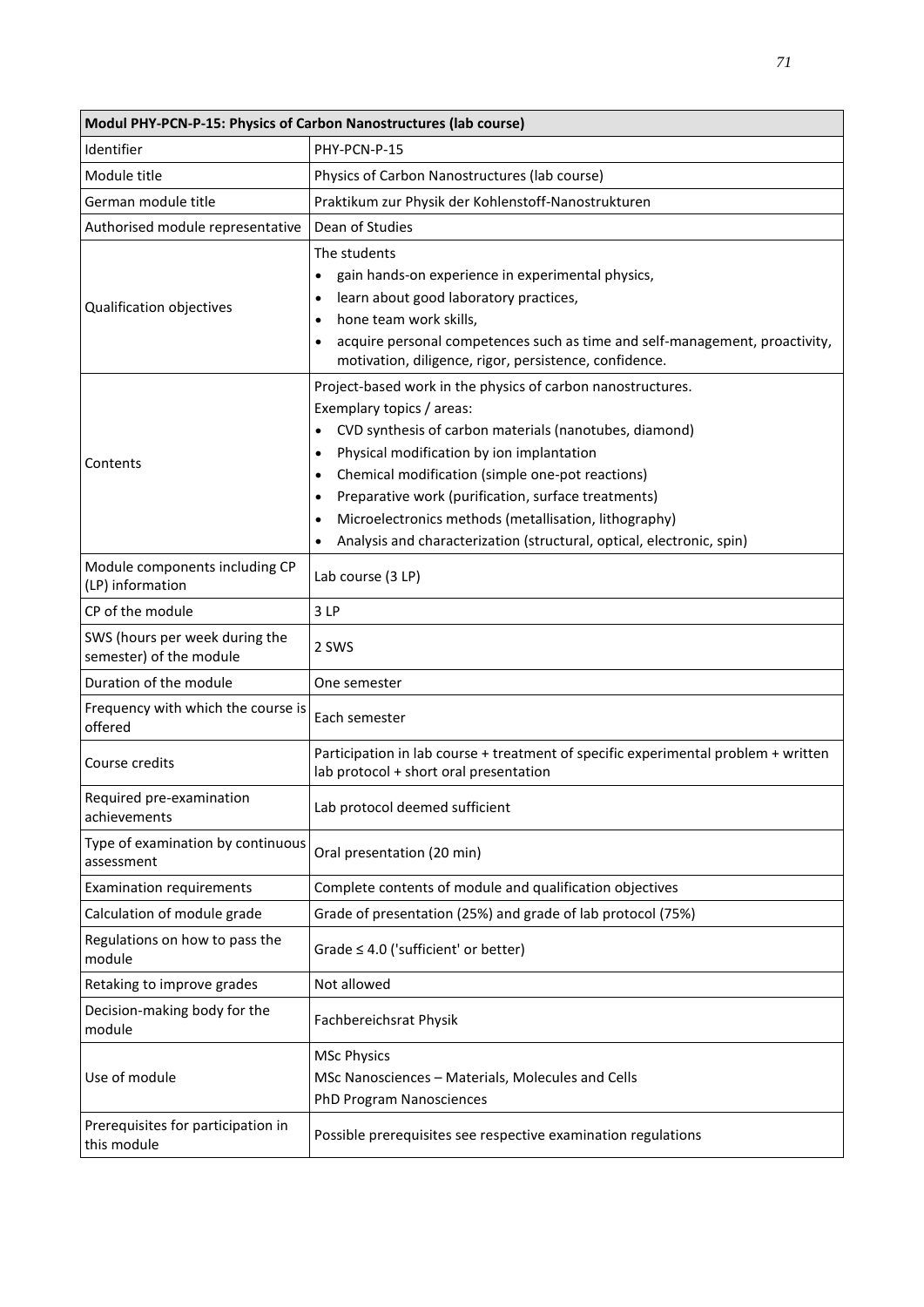| Modul PHY-PCN-P-15: Physics of Carbon Nanostructures (lab course) |                                                                                                                                                                                                                                                                                                                                                                                                                                                                                                                            |  |
|-------------------------------------------------------------------|----------------------------------------------------------------------------------------------------------------------------------------------------------------------------------------------------------------------------------------------------------------------------------------------------------------------------------------------------------------------------------------------------------------------------------------------------------------------------------------------------------------------------|--|
| Identifier                                                        | PHY-PCN-P-15                                                                                                                                                                                                                                                                                                                                                                                                                                                                                                               |  |
| Module title                                                      | Physics of Carbon Nanostructures (lab course)                                                                                                                                                                                                                                                                                                                                                                                                                                                                              |  |
| German module title                                               | Praktikum zur Physik der Kohlenstoff-Nanostrukturen                                                                                                                                                                                                                                                                                                                                                                                                                                                                        |  |
| Authorised module representative                                  | Dean of Studies                                                                                                                                                                                                                                                                                                                                                                                                                                                                                                            |  |
| Qualification objectives                                          | The students<br>gain hands-on experience in experimental physics,<br>$\bullet$<br>learn about good laboratory practices,<br>$\bullet$<br>hone team work skills,<br>$\bullet$<br>acquire personal competences such as time and self-management, proactivity,<br>$\bullet$<br>motivation, diligence, rigor, persistence, confidence.                                                                                                                                                                                         |  |
| Contents                                                          | Project-based work in the physics of carbon nanostructures.<br>Exemplary topics / areas:<br>CVD synthesis of carbon materials (nanotubes, diamond)<br>$\bullet$<br>Physical modification by ion implantation<br>$\bullet$<br>Chemical modification (simple one-pot reactions)<br>$\bullet$<br>Preparative work (purification, surface treatments)<br>$\bullet$<br>Microelectronics methods (metallisation, lithography)<br>$\bullet$<br>Analysis and characterization (structural, optical, electronic, spin)<br>$\bullet$ |  |
| Module components including CP<br>(LP) information                | Lab course (3 LP)                                                                                                                                                                                                                                                                                                                                                                                                                                                                                                          |  |
| CP of the module                                                  | 3LP                                                                                                                                                                                                                                                                                                                                                                                                                                                                                                                        |  |
| SWS (hours per week during the<br>semester) of the module         | 2 SWS                                                                                                                                                                                                                                                                                                                                                                                                                                                                                                                      |  |
| Duration of the module                                            | One semester                                                                                                                                                                                                                                                                                                                                                                                                                                                                                                               |  |
| Frequency with which the course is<br>offered                     | Each semester                                                                                                                                                                                                                                                                                                                                                                                                                                                                                                              |  |
| Course credits                                                    | Participation in lab course + treatment of specific experimental problem + written<br>lab protocol + short oral presentation                                                                                                                                                                                                                                                                                                                                                                                               |  |
| Required pre-examination<br>achievements                          | Lab protocol deemed sufficient                                                                                                                                                                                                                                                                                                                                                                                                                                                                                             |  |
| Type of examination by continuous<br>assessment                   | Oral presentation (20 min)                                                                                                                                                                                                                                                                                                                                                                                                                                                                                                 |  |
| <b>Examination requirements</b>                                   | Complete contents of module and qualification objectives                                                                                                                                                                                                                                                                                                                                                                                                                                                                   |  |
| Calculation of module grade                                       | Grade of presentation (25%) and grade of lab protocol (75%)                                                                                                                                                                                                                                                                                                                                                                                                                                                                |  |
| Regulations on how to pass the<br>module                          | Grade $\leq 4.0$ ('sufficient' or better)                                                                                                                                                                                                                                                                                                                                                                                                                                                                                  |  |
| Retaking to improve grades                                        | Not allowed                                                                                                                                                                                                                                                                                                                                                                                                                                                                                                                |  |
| Decision-making body for the<br>module                            | Fachbereichsrat Physik                                                                                                                                                                                                                                                                                                                                                                                                                                                                                                     |  |
| Use of module                                                     | <b>MSc Physics</b><br>MSc Nanosciences - Materials, Molecules and Cells<br>PhD Program Nanosciences                                                                                                                                                                                                                                                                                                                                                                                                                        |  |
| Prerequisites for participation in<br>this module                 | Possible prerequisites see respective examination regulations                                                                                                                                                                                                                                                                                                                                                                                                                                                              |  |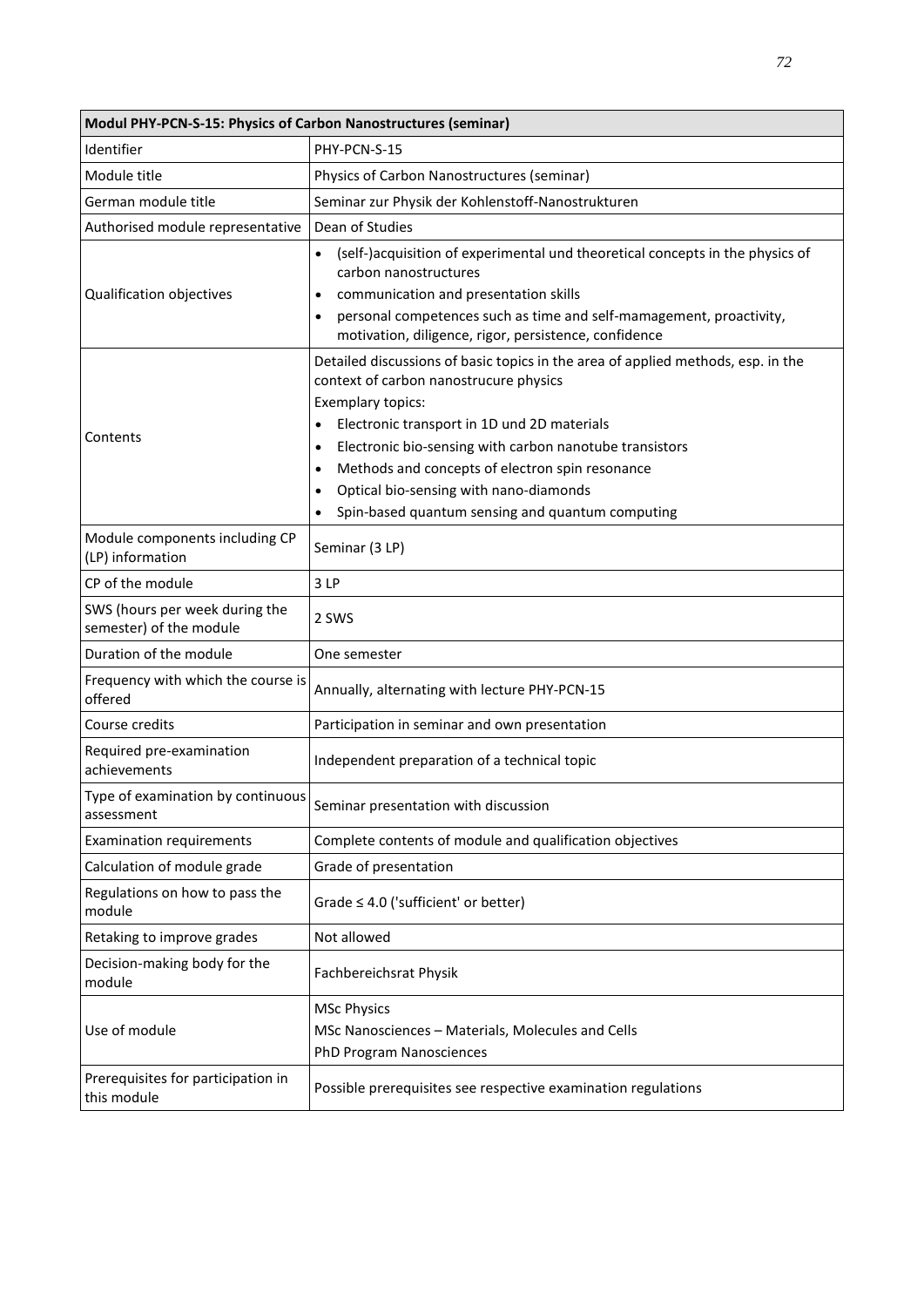| Modul PHY-PCN-S-15: Physics of Carbon Nanostructures (seminar) |                                                                                                                                                                                                                                                                                                                                                                                                                                                                |
|----------------------------------------------------------------|----------------------------------------------------------------------------------------------------------------------------------------------------------------------------------------------------------------------------------------------------------------------------------------------------------------------------------------------------------------------------------------------------------------------------------------------------------------|
| Identifier                                                     | PHY-PCN-S-15                                                                                                                                                                                                                                                                                                                                                                                                                                                   |
| Module title                                                   | Physics of Carbon Nanostructures (seminar)                                                                                                                                                                                                                                                                                                                                                                                                                     |
| German module title                                            | Seminar zur Physik der Kohlenstoff-Nanostrukturen                                                                                                                                                                                                                                                                                                                                                                                                              |
| Authorised module representative                               | Dean of Studies                                                                                                                                                                                                                                                                                                                                                                                                                                                |
| Qualification objectives                                       | (self-)acquisition of experimental und theoretical concepts in the physics of<br>carbon nanostructures<br>communication and presentation skills<br>$\bullet$<br>personal competences such as time and self-mamagement, proactivity,<br>$\bullet$<br>motivation, diligence, rigor, persistence, confidence                                                                                                                                                      |
| Contents                                                       | Detailed discussions of basic topics in the area of applied methods, esp. in the<br>context of carbon nanostrucure physics<br>Exemplary topics:<br>Electronic transport in 1D und 2D materials<br>$\bullet$<br>Electronic bio-sensing with carbon nanotube transistors<br>$\bullet$<br>Methods and concepts of electron spin resonance<br>$\bullet$<br>Optical bio-sensing with nano-diamonds<br>$\bullet$<br>Spin-based quantum sensing and quantum computing |
| Module components including CP<br>(LP) information             | Seminar (3 LP)                                                                                                                                                                                                                                                                                                                                                                                                                                                 |
| CP of the module                                               | 3LP                                                                                                                                                                                                                                                                                                                                                                                                                                                            |
| SWS (hours per week during the<br>semester) of the module      | 2 SWS                                                                                                                                                                                                                                                                                                                                                                                                                                                          |
| Duration of the module                                         | One semester                                                                                                                                                                                                                                                                                                                                                                                                                                                   |
| Frequency with which the course is<br>offered                  | Annually, alternating with lecture PHY-PCN-15                                                                                                                                                                                                                                                                                                                                                                                                                  |
| Course credits                                                 | Participation in seminar and own presentation                                                                                                                                                                                                                                                                                                                                                                                                                  |
| Required pre-examination<br>achievements                       | Independent preparation of a technical topic                                                                                                                                                                                                                                                                                                                                                                                                                   |
| Type of examination by continuous<br>assessment                | Seminar presentation with discussion                                                                                                                                                                                                                                                                                                                                                                                                                           |
| <b>Examination requirements</b>                                | Complete contents of module and qualification objectives                                                                                                                                                                                                                                                                                                                                                                                                       |
| Calculation of module grade                                    | Grade of presentation                                                                                                                                                                                                                                                                                                                                                                                                                                          |
| Regulations on how to pass the<br>module                       | Grade $\leq 4.0$ ('sufficient' or better)                                                                                                                                                                                                                                                                                                                                                                                                                      |
| Retaking to improve grades                                     | Not allowed                                                                                                                                                                                                                                                                                                                                                                                                                                                    |
| Decision-making body for the<br>module                         | Fachbereichsrat Physik                                                                                                                                                                                                                                                                                                                                                                                                                                         |
| Use of module                                                  | <b>MSc Physics</b><br>MSc Nanosciences - Materials, Molecules and Cells<br>PhD Program Nanosciences                                                                                                                                                                                                                                                                                                                                                            |
| Prerequisites for participation in<br>this module              | Possible prerequisites see respective examination regulations                                                                                                                                                                                                                                                                                                                                                                                                  |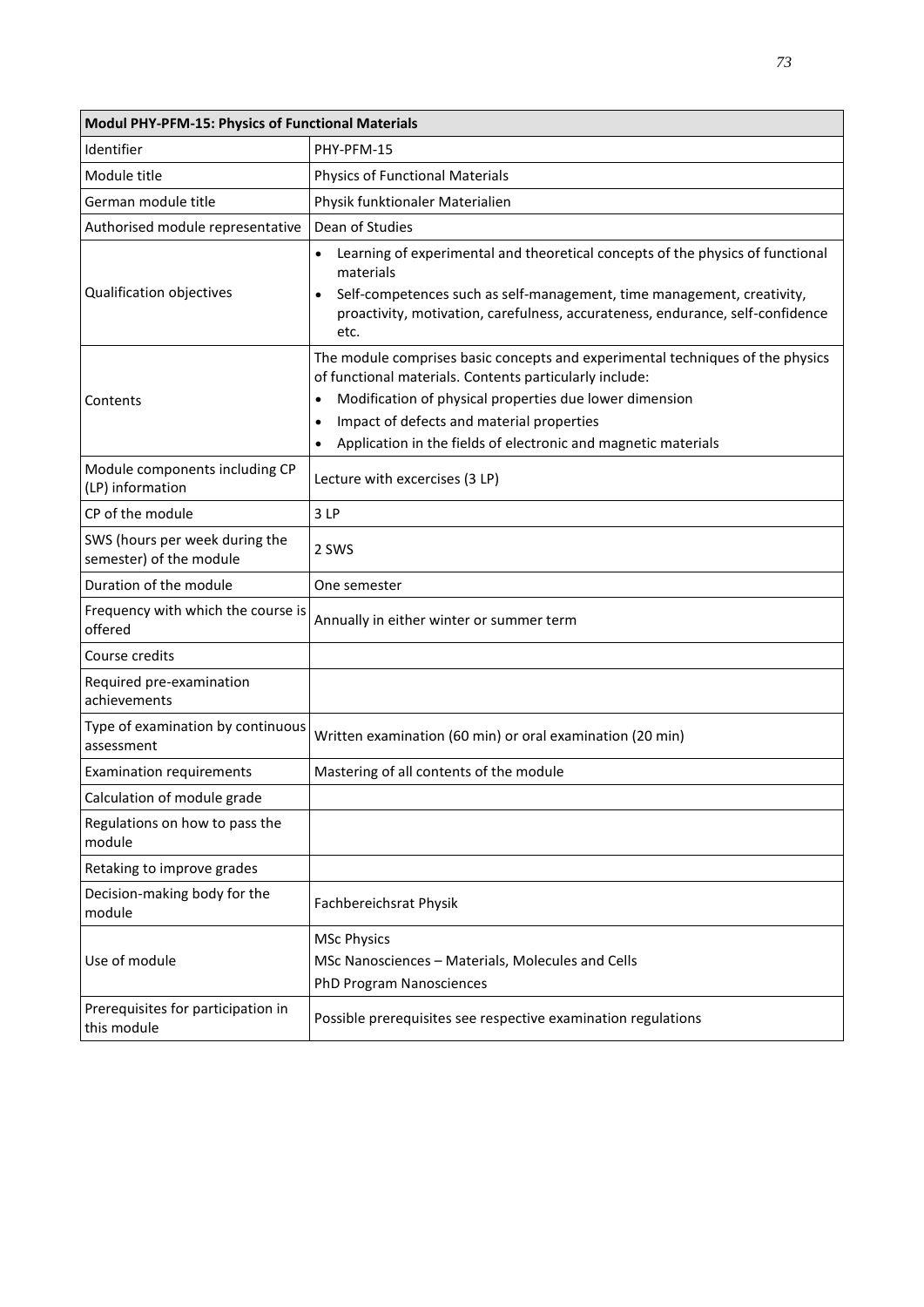| Modul PHY-PFM-15: Physics of Functional Materials         |                                                                                                                                                                                                                                                                                                                                                            |
|-----------------------------------------------------------|------------------------------------------------------------------------------------------------------------------------------------------------------------------------------------------------------------------------------------------------------------------------------------------------------------------------------------------------------------|
| Identifier                                                | PHY-PFM-15                                                                                                                                                                                                                                                                                                                                                 |
| Module title                                              | <b>Physics of Functional Materials</b>                                                                                                                                                                                                                                                                                                                     |
| German module title                                       | Physik funktionaler Materialien                                                                                                                                                                                                                                                                                                                            |
| Authorised module representative                          | Dean of Studies                                                                                                                                                                                                                                                                                                                                            |
| Qualification objectives                                  | Learning of experimental and theoretical concepts of the physics of functional<br>materials<br>Self-competences such as self-management, time management, creativity,<br>$\bullet$<br>proactivity, motivation, carefulness, accurateness, endurance, self-confidence<br>etc.                                                                               |
| Contents                                                  | The module comprises basic concepts and experimental techniques of the physics<br>of functional materials. Contents particularly include:<br>Modification of physical properties due lower dimension<br>$\bullet$<br>Impact of defects and material properties<br>$\bullet$<br>Application in the fields of electronic and magnetic materials<br>$\bullet$ |
| Module components including CP<br>(LP) information        | Lecture with excercises (3 LP)                                                                                                                                                                                                                                                                                                                             |
| CP of the module                                          | 3LP                                                                                                                                                                                                                                                                                                                                                        |
| SWS (hours per week during the<br>semester) of the module | 2 SWS                                                                                                                                                                                                                                                                                                                                                      |
| Duration of the module                                    | One semester                                                                                                                                                                                                                                                                                                                                               |
| Frequency with which the course is<br>offered             | Annually in either winter or summer term                                                                                                                                                                                                                                                                                                                   |
| Course credits                                            |                                                                                                                                                                                                                                                                                                                                                            |
| Required pre-examination<br>achievements                  |                                                                                                                                                                                                                                                                                                                                                            |
| Type of examination by continuous<br>assessment           | Written examination (60 min) or oral examination (20 min)                                                                                                                                                                                                                                                                                                  |
| <b>Examination requirements</b>                           | Mastering of all contents of the module                                                                                                                                                                                                                                                                                                                    |
| Calculation of module grade                               |                                                                                                                                                                                                                                                                                                                                                            |
| Regulations on how to pass the<br>module                  |                                                                                                                                                                                                                                                                                                                                                            |
| Retaking to improve grades                                |                                                                                                                                                                                                                                                                                                                                                            |
| Decision-making body for the<br>module                    | Fachbereichsrat Physik                                                                                                                                                                                                                                                                                                                                     |
| Use of module                                             | <b>MSc Physics</b><br>MSc Nanosciences - Materials, Molecules and Cells<br>PhD Program Nanosciences                                                                                                                                                                                                                                                        |
| Prerequisites for participation in<br>this module         | Possible prerequisites see respective examination regulations                                                                                                                                                                                                                                                                                              |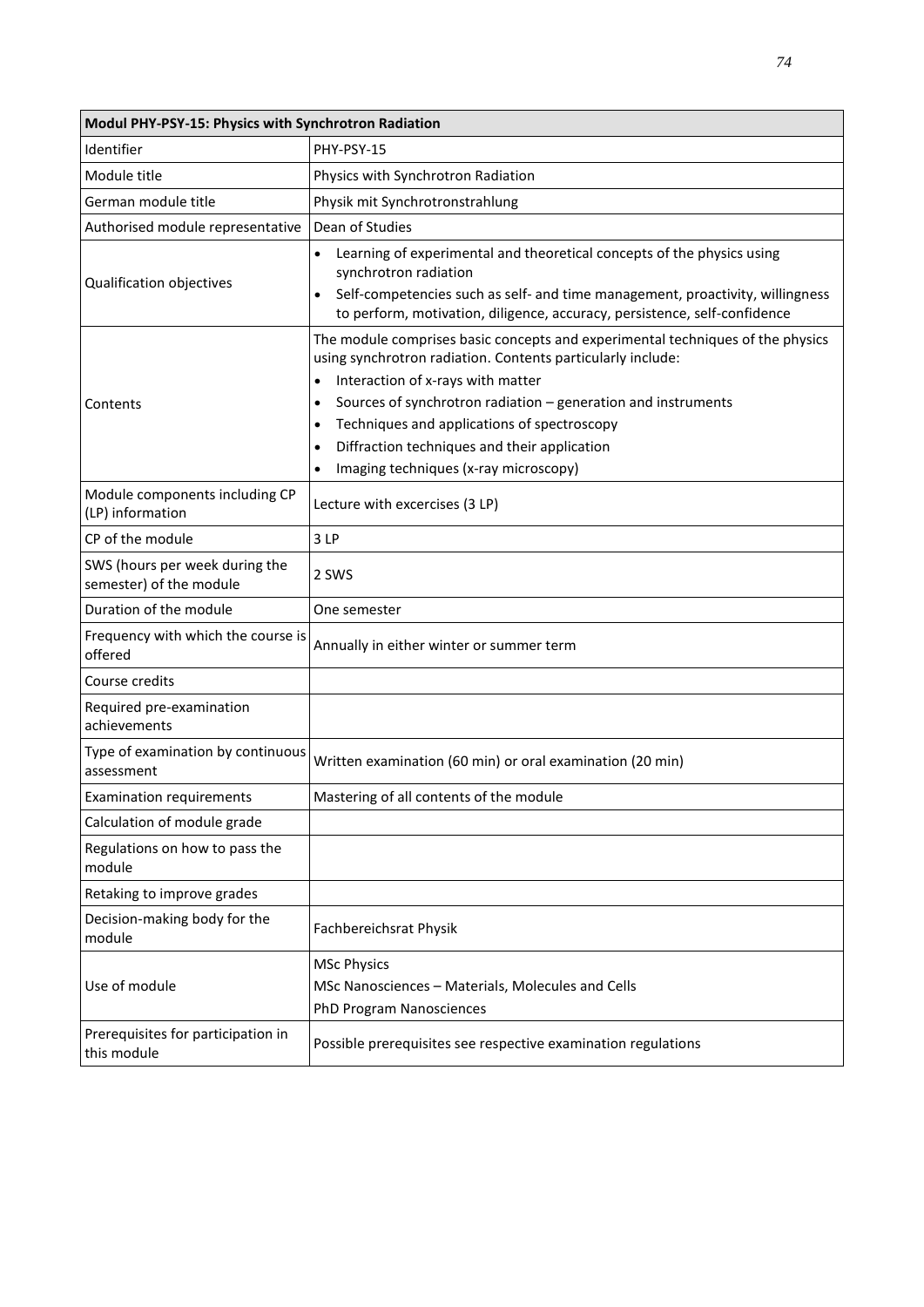| Modul PHY-PSY-15: Physics with Synchrotron Radiation      |                                                                                                                                                                                                                                                                                                                                                                                                                                                      |
|-----------------------------------------------------------|------------------------------------------------------------------------------------------------------------------------------------------------------------------------------------------------------------------------------------------------------------------------------------------------------------------------------------------------------------------------------------------------------------------------------------------------------|
| Identifier                                                | PHY-PSY-15                                                                                                                                                                                                                                                                                                                                                                                                                                           |
| Module title                                              | Physics with Synchrotron Radiation                                                                                                                                                                                                                                                                                                                                                                                                                   |
| German module title                                       | Physik mit Synchrotronstrahlung                                                                                                                                                                                                                                                                                                                                                                                                                      |
| Authorised module representative                          | Dean of Studies                                                                                                                                                                                                                                                                                                                                                                                                                                      |
| Qualification objectives                                  | Learning of experimental and theoretical concepts of the physics using<br>synchrotron radiation<br>Self-competencies such as self- and time management, proactivity, willingness<br>to perform, motivation, diligence, accuracy, persistence, self-confidence                                                                                                                                                                                        |
| Contents                                                  | The module comprises basic concepts and experimental techniques of the physics<br>using synchrotron radiation. Contents particularly include:<br>Interaction of x-rays with matter<br>$\bullet$<br>Sources of synchrotron radiation - generation and instruments<br>٠<br>Techniques and applications of spectroscopy<br>$\bullet$<br>Diffraction techniques and their application<br>$\bullet$<br>Imaging techniques (x-ray microscopy)<br>$\bullet$ |
| Module components including CP<br>(LP) information        | Lecture with excercises (3 LP)                                                                                                                                                                                                                                                                                                                                                                                                                       |
| CP of the module                                          | 3LP                                                                                                                                                                                                                                                                                                                                                                                                                                                  |
| SWS (hours per week during the<br>semester) of the module | 2 SWS                                                                                                                                                                                                                                                                                                                                                                                                                                                |
| Duration of the module                                    | One semester                                                                                                                                                                                                                                                                                                                                                                                                                                         |
| Frequency with which the course is<br>offered             | Annually in either winter or summer term                                                                                                                                                                                                                                                                                                                                                                                                             |
| Course credits                                            |                                                                                                                                                                                                                                                                                                                                                                                                                                                      |
| Required pre-examination<br>achievements                  |                                                                                                                                                                                                                                                                                                                                                                                                                                                      |
| Type of examination by continuous<br>assessment           | Written examination (60 min) or oral examination (20 min)                                                                                                                                                                                                                                                                                                                                                                                            |
| <b>Examination requirements</b>                           | Mastering of all contents of the module                                                                                                                                                                                                                                                                                                                                                                                                              |
| Calculation of module grade                               |                                                                                                                                                                                                                                                                                                                                                                                                                                                      |
| Regulations on how to pass the<br>module                  |                                                                                                                                                                                                                                                                                                                                                                                                                                                      |
| Retaking to improve grades                                |                                                                                                                                                                                                                                                                                                                                                                                                                                                      |
| Decision-making body for the<br>module                    | Fachbereichsrat Physik                                                                                                                                                                                                                                                                                                                                                                                                                               |
| Use of module                                             | <b>MSc Physics</b><br>MSc Nanosciences - Materials, Molecules and Cells<br><b>PhD Program Nanosciences</b>                                                                                                                                                                                                                                                                                                                                           |
| Prerequisites for participation in<br>this module         | Possible prerequisites see respective examination regulations                                                                                                                                                                                                                                                                                                                                                                                        |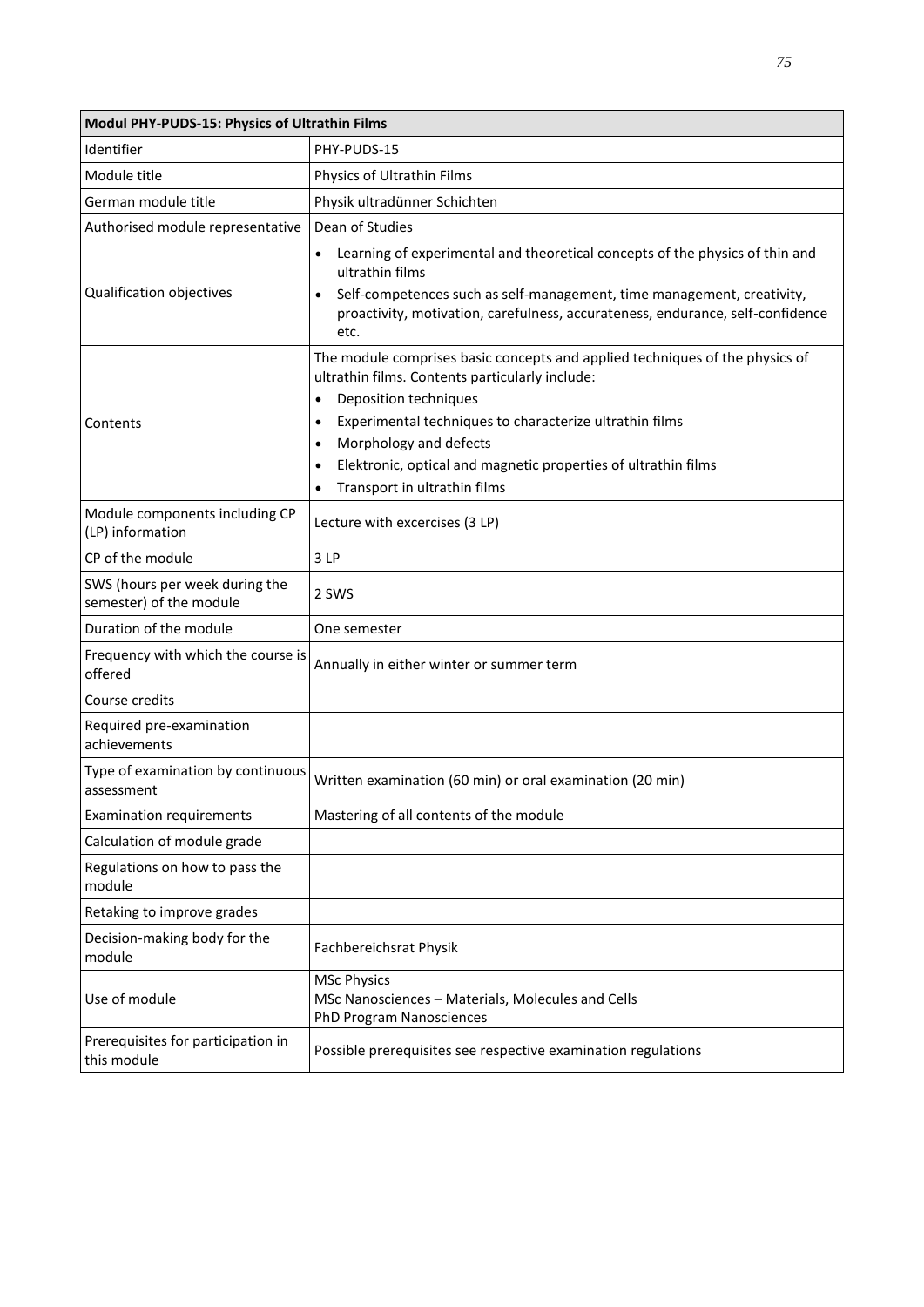| Modul PHY-PUDS-15: Physics of Ultrathin Films             |                                                                                                                                                                                                                                                                                                                                                                                        |
|-----------------------------------------------------------|----------------------------------------------------------------------------------------------------------------------------------------------------------------------------------------------------------------------------------------------------------------------------------------------------------------------------------------------------------------------------------------|
| Identifier                                                | PHY-PUDS-15                                                                                                                                                                                                                                                                                                                                                                            |
| Module title                                              | Physics of Ultrathin Films                                                                                                                                                                                                                                                                                                                                                             |
| German module title                                       | Physik ultradünner Schichten                                                                                                                                                                                                                                                                                                                                                           |
| Authorised module representative                          | Dean of Studies                                                                                                                                                                                                                                                                                                                                                                        |
| Qualification objectives                                  | Learning of experimental and theoretical concepts of the physics of thin and<br>ultrathin films<br>Self-competences such as self-management, time management, creativity,<br>proactivity, motivation, carefulness, accurateness, endurance, self-confidence<br>etc.                                                                                                                    |
| Contents                                                  | The module comprises basic concepts and applied techniques of the physics of<br>ultrathin films. Contents particularly include:<br>Deposition techniques<br>$\bullet$<br>Experimental techniques to characterize ultrathin films<br>Morphology and defects<br>$\bullet$<br>Elektronic, optical and magnetic properties of ultrathin films<br>$\bullet$<br>Transport in ultrathin films |
| Module components including CP<br>(LP) information        | Lecture with excercises (3 LP)                                                                                                                                                                                                                                                                                                                                                         |
| CP of the module                                          | 3LP                                                                                                                                                                                                                                                                                                                                                                                    |
| SWS (hours per week during the<br>semester) of the module | 2 SWS                                                                                                                                                                                                                                                                                                                                                                                  |
| Duration of the module                                    | One semester                                                                                                                                                                                                                                                                                                                                                                           |
| Frequency with which the course is<br>offered             | Annually in either winter or summer term                                                                                                                                                                                                                                                                                                                                               |
| Course credits                                            |                                                                                                                                                                                                                                                                                                                                                                                        |
| Required pre-examination<br>achievements                  |                                                                                                                                                                                                                                                                                                                                                                                        |
| Type of examination by continuous<br>assessment           | Written examination (60 min) or oral examination (20 min)                                                                                                                                                                                                                                                                                                                              |
| <b>Examination requirements</b>                           | Mastering of all contents of the module                                                                                                                                                                                                                                                                                                                                                |
| Calculation of module grade                               |                                                                                                                                                                                                                                                                                                                                                                                        |
| Regulations on how to pass the<br>module                  |                                                                                                                                                                                                                                                                                                                                                                                        |
| Retaking to improve grades                                |                                                                                                                                                                                                                                                                                                                                                                                        |
| Decision-making body for the<br>module                    | Fachbereichsrat Physik                                                                                                                                                                                                                                                                                                                                                                 |
| Use of module                                             | <b>MSc Physics</b><br>MSc Nanosciences - Materials, Molecules and Cells<br><b>PhD Program Nanosciences</b>                                                                                                                                                                                                                                                                             |
| Prerequisites for participation in<br>this module         | Possible prerequisites see respective examination regulations                                                                                                                                                                                                                                                                                                                          |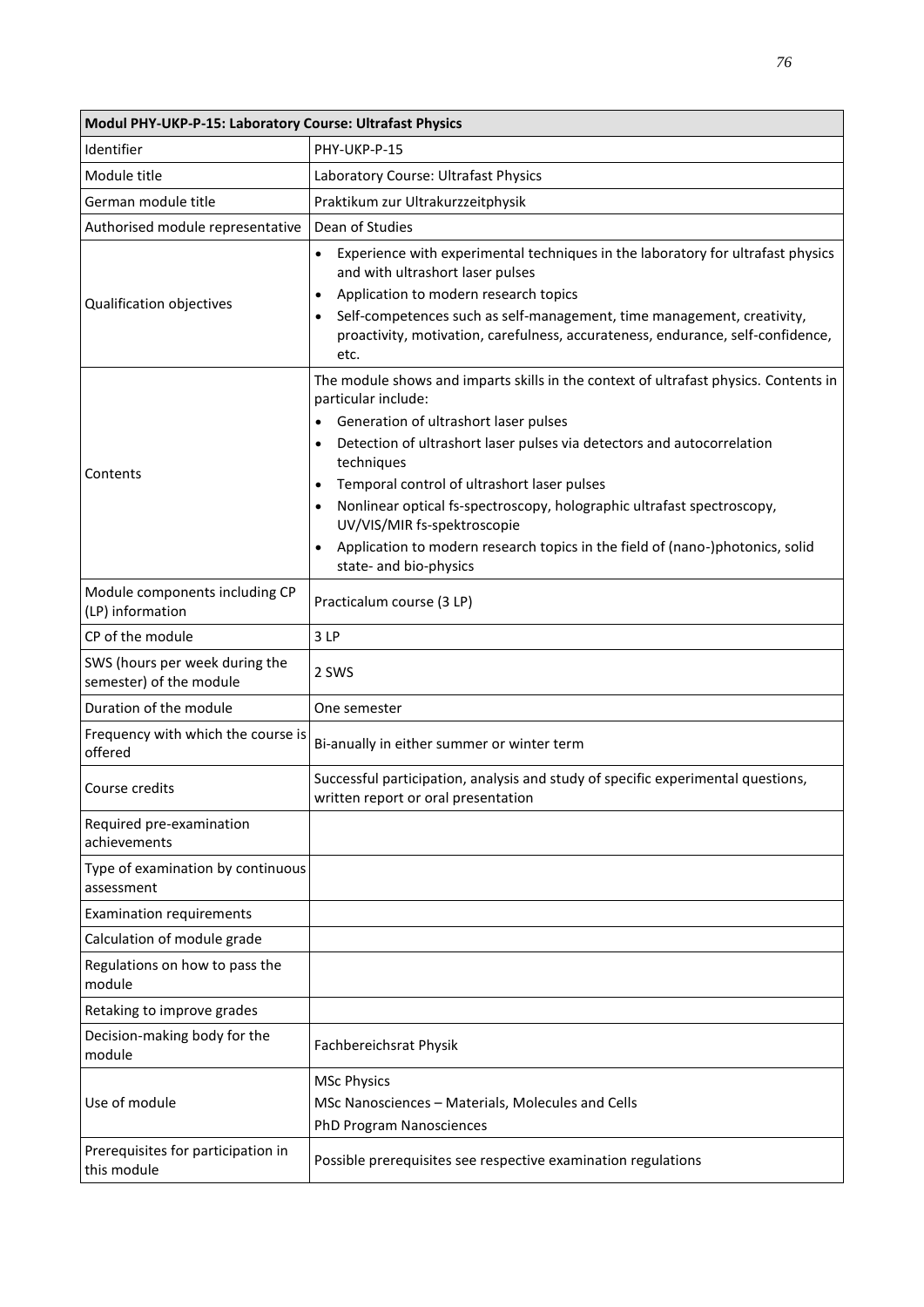| Modul PHY-UKP-P-15: Laboratory Course: Ultrafast Physics  |                                                                                                                                                                                                                                                                  |  |
|-----------------------------------------------------------|------------------------------------------------------------------------------------------------------------------------------------------------------------------------------------------------------------------------------------------------------------------|--|
| Identifier                                                | PHY-UKP-P-15                                                                                                                                                                                                                                                     |  |
| Module title                                              | Laboratory Course: Ultrafast Physics                                                                                                                                                                                                                             |  |
| German module title                                       | Praktikum zur Ultrakurzzeitphysik                                                                                                                                                                                                                                |  |
| Authorised module representative                          | Dean of Studies                                                                                                                                                                                                                                                  |  |
| Qualification objectives                                  | Experience with experimental techniques in the laboratory for ultrafast physics<br>$\bullet$<br>and with ultrashort laser pulses<br>Application to modern research topics<br>$\bullet$<br>Self-competences such as self-management, time management, creativity, |  |
|                                                           | proactivity, motivation, carefulness, accurateness, endurance, self-confidence,<br>etc.                                                                                                                                                                          |  |
|                                                           | The module shows and imparts skills in the context of ultrafast physics. Contents in<br>particular include:<br>Generation of ultrashort laser pulses<br>$\bullet$                                                                                                |  |
| Contents                                                  | Detection of ultrashort laser pulses via detectors and autocorrelation<br>$\bullet$<br>techniques                                                                                                                                                                |  |
|                                                           | Temporal control of ultrashort laser pulses<br>$\bullet$<br>Nonlinear optical fs-spectroscopy, holographic ultrafast spectroscopy,<br>$\bullet$<br>UV/VIS/MIR fs-spektroscopie                                                                                   |  |
|                                                           | Application to modern research topics in the field of (nano-)photonics, solid<br>state- and bio-physics                                                                                                                                                          |  |
| Module components including CP<br>(LP) information        | Practicalum course (3 LP)                                                                                                                                                                                                                                        |  |
| CP of the module                                          | 3LP                                                                                                                                                                                                                                                              |  |
| SWS (hours per week during the<br>semester) of the module | 2 SWS                                                                                                                                                                                                                                                            |  |
| Duration of the module                                    | One semester                                                                                                                                                                                                                                                     |  |
| Frequency with which the course is<br>offered             | Bi-anually in either summer or winter term                                                                                                                                                                                                                       |  |
| Course credits                                            | Successful participation, analysis and study of specific experimental questions,<br>written report or oral presentation                                                                                                                                          |  |
| Required pre-examination<br>achievements                  |                                                                                                                                                                                                                                                                  |  |
| Type of examination by continuous<br>assessment           |                                                                                                                                                                                                                                                                  |  |
| <b>Examination requirements</b>                           |                                                                                                                                                                                                                                                                  |  |
| Calculation of module grade                               |                                                                                                                                                                                                                                                                  |  |
| Regulations on how to pass the<br>module                  |                                                                                                                                                                                                                                                                  |  |
| Retaking to improve grades                                |                                                                                                                                                                                                                                                                  |  |
| Decision-making body for the<br>module                    | Fachbereichsrat Physik                                                                                                                                                                                                                                           |  |
| Use of module                                             | <b>MSc Physics</b><br>MSc Nanosciences - Materials, Molecules and Cells<br>PhD Program Nanosciences                                                                                                                                                              |  |
| Prerequisites for participation in<br>this module         | Possible prerequisites see respective examination regulations                                                                                                                                                                                                    |  |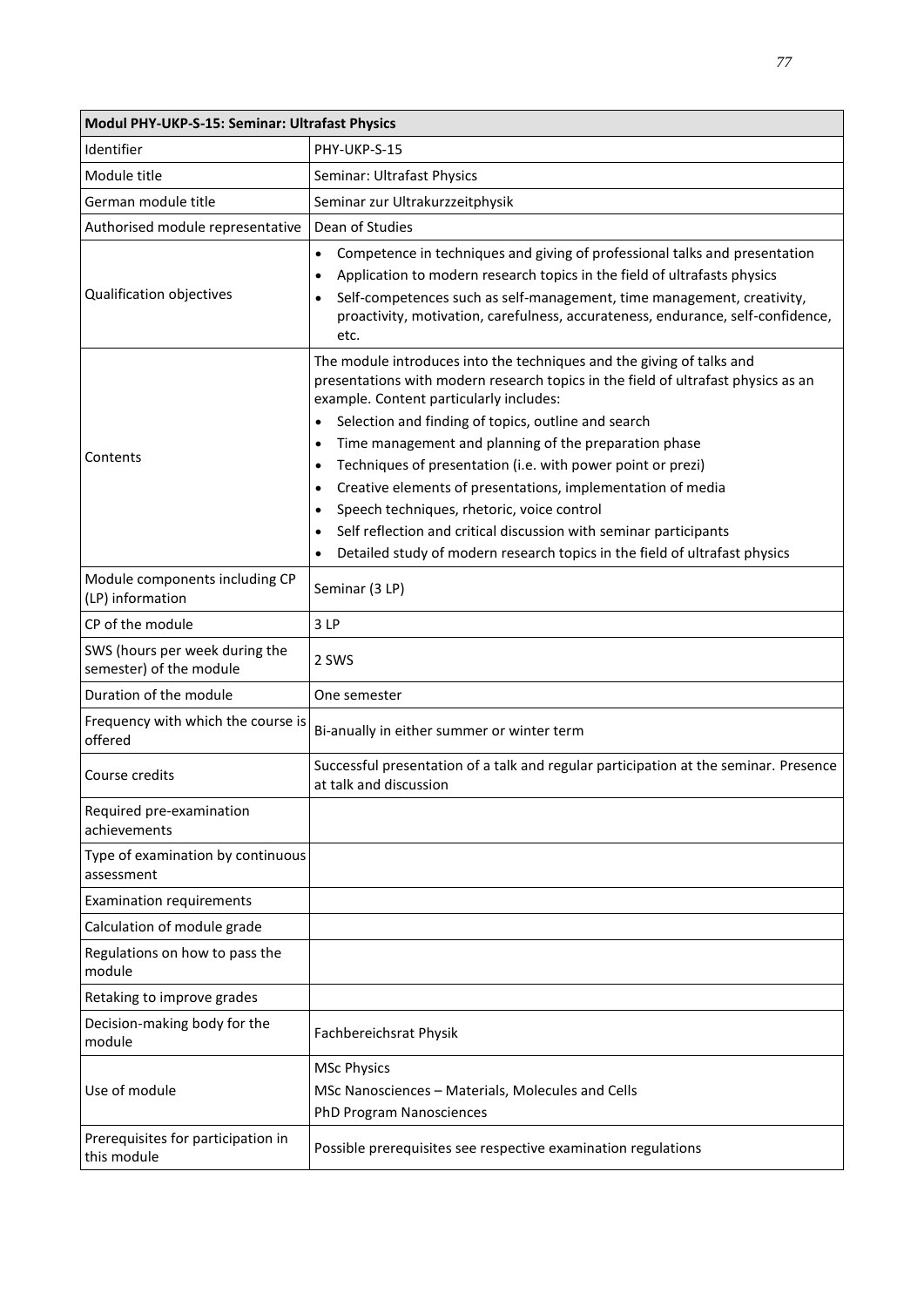| Modul PHY-UKP-S-15: Seminar: Ultrafast Physics            |                                                                                                                                                                                                                                                                                                                                                                                                                                                                                                                                                                                                                                                                                                                                    |
|-----------------------------------------------------------|------------------------------------------------------------------------------------------------------------------------------------------------------------------------------------------------------------------------------------------------------------------------------------------------------------------------------------------------------------------------------------------------------------------------------------------------------------------------------------------------------------------------------------------------------------------------------------------------------------------------------------------------------------------------------------------------------------------------------------|
| Identifier                                                | PHY-UKP-S-15                                                                                                                                                                                                                                                                                                                                                                                                                                                                                                                                                                                                                                                                                                                       |
| Module title                                              | Seminar: Ultrafast Physics                                                                                                                                                                                                                                                                                                                                                                                                                                                                                                                                                                                                                                                                                                         |
| German module title                                       | Seminar zur Ultrakurzzeitphysik                                                                                                                                                                                                                                                                                                                                                                                                                                                                                                                                                                                                                                                                                                    |
| Authorised module representative                          | Dean of Studies                                                                                                                                                                                                                                                                                                                                                                                                                                                                                                                                                                                                                                                                                                                    |
| Qualification objectives                                  | Competence in techniques and giving of professional talks and presentation<br>$\bullet$<br>Application to modern research topics in the field of ultrafasts physics<br>$\bullet$<br>Self-competences such as self-management, time management, creativity,<br>$\bullet$<br>proactivity, motivation, carefulness, accurateness, endurance, self-confidence,<br>etc.                                                                                                                                                                                                                                                                                                                                                                 |
| Contents                                                  | The module introduces into the techniques and the giving of talks and<br>presentations with modern research topics in the field of ultrafast physics as an<br>example. Content particularly includes:<br>Selection and finding of topics, outline and search<br>$\bullet$<br>Time management and planning of the preparation phase<br>$\bullet$<br>Techniques of presentation (i.e. with power point or prezi)<br>$\bullet$<br>Creative elements of presentations, implementation of media<br>$\bullet$<br>Speech techniques, rhetoric, voice control<br>$\bullet$<br>Self reflection and critical discussion with seminar participants<br>$\bullet$<br>Detailed study of modern research topics in the field of ultrafast physics |
| Module components including CP<br>(LP) information        | Seminar (3 LP)                                                                                                                                                                                                                                                                                                                                                                                                                                                                                                                                                                                                                                                                                                                     |
| CP of the module                                          | 3LP                                                                                                                                                                                                                                                                                                                                                                                                                                                                                                                                                                                                                                                                                                                                |
| SWS (hours per week during the<br>semester) of the module | 2 SWS                                                                                                                                                                                                                                                                                                                                                                                                                                                                                                                                                                                                                                                                                                                              |
| Duration of the module                                    | One semester                                                                                                                                                                                                                                                                                                                                                                                                                                                                                                                                                                                                                                                                                                                       |
| Frequency with which the course is<br>offered             | Bi-anually in either summer or winter term                                                                                                                                                                                                                                                                                                                                                                                                                                                                                                                                                                                                                                                                                         |
| Course credits                                            | Successful presentation of a talk and regular participation at the seminar. Presence<br>at talk and discussion                                                                                                                                                                                                                                                                                                                                                                                                                                                                                                                                                                                                                     |
| Required pre-examination<br>achievements                  |                                                                                                                                                                                                                                                                                                                                                                                                                                                                                                                                                                                                                                                                                                                                    |
| Type of examination by continuous<br>assessment           |                                                                                                                                                                                                                                                                                                                                                                                                                                                                                                                                                                                                                                                                                                                                    |
| <b>Examination requirements</b>                           |                                                                                                                                                                                                                                                                                                                                                                                                                                                                                                                                                                                                                                                                                                                                    |
| Calculation of module grade                               |                                                                                                                                                                                                                                                                                                                                                                                                                                                                                                                                                                                                                                                                                                                                    |
| Regulations on how to pass the<br>module                  |                                                                                                                                                                                                                                                                                                                                                                                                                                                                                                                                                                                                                                                                                                                                    |
| Retaking to improve grades                                |                                                                                                                                                                                                                                                                                                                                                                                                                                                                                                                                                                                                                                                                                                                                    |
| Decision-making body for the<br>module                    | Fachbereichsrat Physik                                                                                                                                                                                                                                                                                                                                                                                                                                                                                                                                                                                                                                                                                                             |
| Use of module                                             | <b>MSc Physics</b><br>MSc Nanosciences - Materials, Molecules and Cells<br>PhD Program Nanosciences                                                                                                                                                                                                                                                                                                                                                                                                                                                                                                                                                                                                                                |
| Prerequisites for participation in<br>this module         | Possible prerequisites see respective examination regulations                                                                                                                                                                                                                                                                                                                                                                                                                                                                                                                                                                                                                                                                      |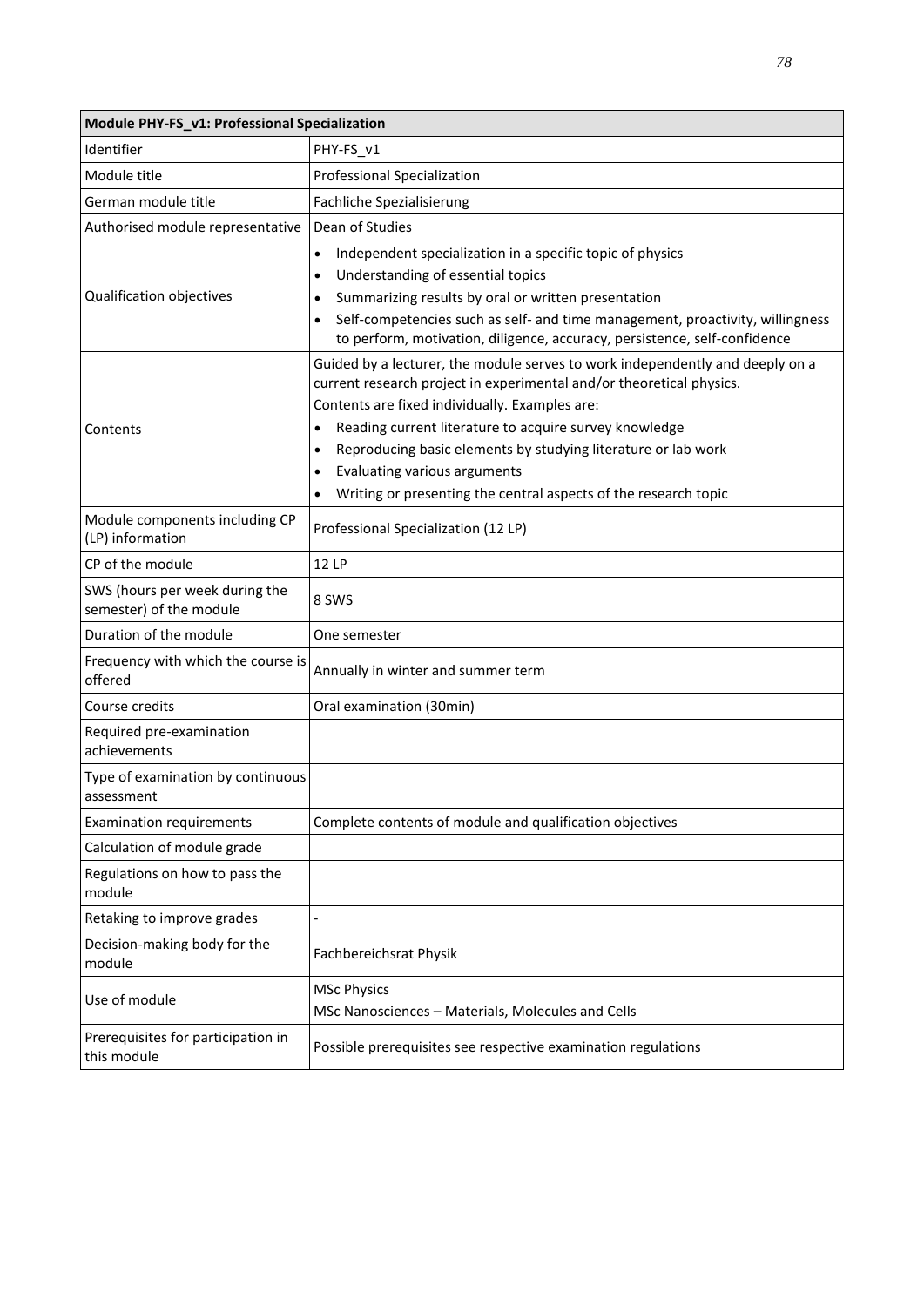| Module PHY-FS_v1: Professional Specialization             |                                                                                                                                                                                                                                                                                                                                                                                                                                                                                           |
|-----------------------------------------------------------|-------------------------------------------------------------------------------------------------------------------------------------------------------------------------------------------------------------------------------------------------------------------------------------------------------------------------------------------------------------------------------------------------------------------------------------------------------------------------------------------|
| Identifier                                                | PHY-FS_v1                                                                                                                                                                                                                                                                                                                                                                                                                                                                                 |
| Module title                                              | Professional Specialization                                                                                                                                                                                                                                                                                                                                                                                                                                                               |
| German module title                                       | Fachliche Spezialisierung                                                                                                                                                                                                                                                                                                                                                                                                                                                                 |
| Authorised module representative                          | Dean of Studies                                                                                                                                                                                                                                                                                                                                                                                                                                                                           |
| Qualification objectives                                  | Independent specialization in a specific topic of physics<br>$\bullet$<br>Understanding of essential topics<br>$\bullet$<br>Summarizing results by oral or written presentation<br>$\bullet$<br>Self-competencies such as self- and time management, proactivity, willingness<br>to perform, motivation, diligence, accuracy, persistence, self-confidence                                                                                                                                |
| Contents                                                  | Guided by a lecturer, the module serves to work independently and deeply on a<br>current research project in experimental and/or theoretical physics.<br>Contents are fixed individually. Examples are:<br>Reading current literature to acquire survey knowledge<br>$\bullet$<br>Reproducing basic elements by studying literature or lab work<br>$\bullet$<br>Evaluating various arguments<br>$\bullet$<br>Writing or presenting the central aspects of the research topic<br>$\bullet$ |
| Module components including CP<br>(LP) information        | Professional Specialization (12 LP)                                                                                                                                                                                                                                                                                                                                                                                                                                                       |
| CP of the module                                          | 12 LP                                                                                                                                                                                                                                                                                                                                                                                                                                                                                     |
| SWS (hours per week during the<br>semester) of the module | 8 SWS                                                                                                                                                                                                                                                                                                                                                                                                                                                                                     |
| Duration of the module                                    | One semester                                                                                                                                                                                                                                                                                                                                                                                                                                                                              |
| Frequency with which the course is<br>offered             | Annually in winter and summer term                                                                                                                                                                                                                                                                                                                                                                                                                                                        |
| Course credits                                            | Oral examination (30min)                                                                                                                                                                                                                                                                                                                                                                                                                                                                  |
| Required pre-examination<br>achievements                  |                                                                                                                                                                                                                                                                                                                                                                                                                                                                                           |
| Type of examination by continuous<br>assessment           |                                                                                                                                                                                                                                                                                                                                                                                                                                                                                           |
| <b>Examination requirements</b>                           | Complete contents of module and qualification objectives                                                                                                                                                                                                                                                                                                                                                                                                                                  |
| Calculation of module grade                               |                                                                                                                                                                                                                                                                                                                                                                                                                                                                                           |
| Regulations on how to pass the<br>module                  |                                                                                                                                                                                                                                                                                                                                                                                                                                                                                           |
| Retaking to improve grades                                |                                                                                                                                                                                                                                                                                                                                                                                                                                                                                           |
| Decision-making body for the<br>module                    | Fachbereichsrat Physik                                                                                                                                                                                                                                                                                                                                                                                                                                                                    |
| Use of module                                             | <b>MSc Physics</b><br>MSc Nanosciences - Materials, Molecules and Cells                                                                                                                                                                                                                                                                                                                                                                                                                   |
| Prerequisites for participation in<br>this module         | Possible prerequisites see respective examination regulations                                                                                                                                                                                                                                                                                                                                                                                                                             |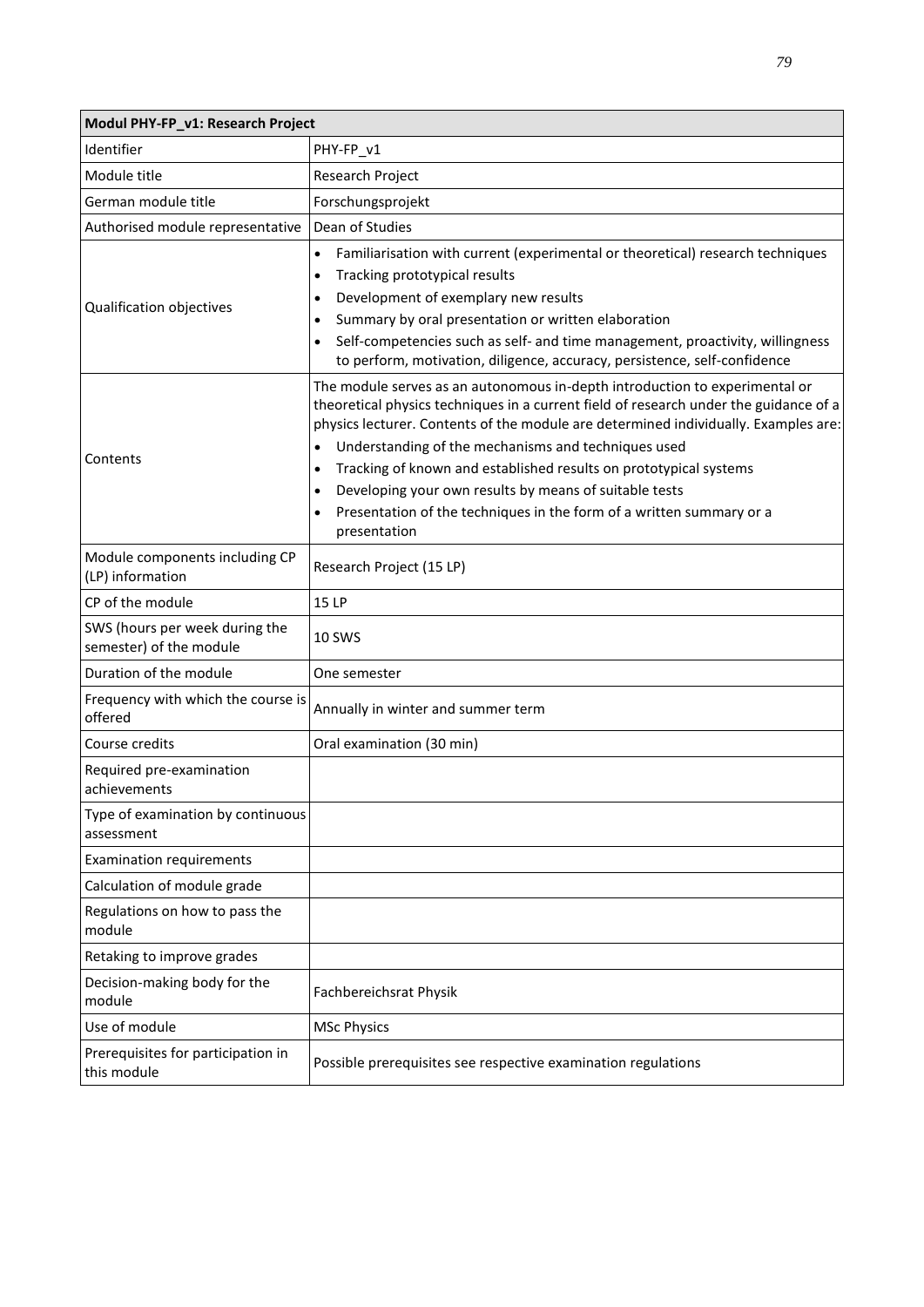| Modul PHY-FP_v1: Research Project                         |                                                                                                                                                                                                                                                                                                                                                                                                                                                                                                                                                                     |
|-----------------------------------------------------------|---------------------------------------------------------------------------------------------------------------------------------------------------------------------------------------------------------------------------------------------------------------------------------------------------------------------------------------------------------------------------------------------------------------------------------------------------------------------------------------------------------------------------------------------------------------------|
| Identifier                                                | PHY-FP_v1                                                                                                                                                                                                                                                                                                                                                                                                                                                                                                                                                           |
| Module title                                              | Research Project                                                                                                                                                                                                                                                                                                                                                                                                                                                                                                                                                    |
| German module title                                       | Forschungsprojekt                                                                                                                                                                                                                                                                                                                                                                                                                                                                                                                                                   |
| Authorised module representative                          | Dean of Studies                                                                                                                                                                                                                                                                                                                                                                                                                                                                                                                                                     |
| Qualification objectives                                  | Familiarisation with current (experimental or theoretical) research techniques<br>$\bullet$<br>Tracking prototypical results<br>$\bullet$<br>Development of exemplary new results<br>$\bullet$<br>Summary by oral presentation or written elaboration<br>$\bullet$<br>Self-competencies such as self- and time management, proactivity, willingness<br>$\bullet$<br>to perform, motivation, diligence, accuracy, persistence, self-confidence                                                                                                                       |
| Contents                                                  | The module serves as an autonomous in-depth introduction to experimental or<br>theoretical physics techniques in a current field of research under the guidance of a<br>physics lecturer. Contents of the module are determined individually. Examples are:<br>Understanding of the mechanisms and techniques used<br>Tracking of known and established results on prototypical systems<br>$\bullet$<br>Developing your own results by means of suitable tests<br>$\bullet$<br>Presentation of the techniques in the form of a written summary or a<br>presentation |
| Module components including CP<br>(LP) information        | Research Project (15 LP)                                                                                                                                                                                                                                                                                                                                                                                                                                                                                                                                            |
| CP of the module                                          | 15 LP                                                                                                                                                                                                                                                                                                                                                                                                                                                                                                                                                               |
| SWS (hours per week during the<br>semester) of the module | <b>10 SWS</b>                                                                                                                                                                                                                                                                                                                                                                                                                                                                                                                                                       |
| Duration of the module                                    | One semester                                                                                                                                                                                                                                                                                                                                                                                                                                                                                                                                                        |
| Frequency with which the course is<br>offered             | Annually in winter and summer term                                                                                                                                                                                                                                                                                                                                                                                                                                                                                                                                  |
| Course credits                                            | Oral examination (30 min)                                                                                                                                                                                                                                                                                                                                                                                                                                                                                                                                           |
| Required pre-examination<br>achievements                  |                                                                                                                                                                                                                                                                                                                                                                                                                                                                                                                                                                     |
| Type of examination by continuous<br>assessment           |                                                                                                                                                                                                                                                                                                                                                                                                                                                                                                                                                                     |
| <b>Examination requirements</b>                           |                                                                                                                                                                                                                                                                                                                                                                                                                                                                                                                                                                     |
| Calculation of module grade                               |                                                                                                                                                                                                                                                                                                                                                                                                                                                                                                                                                                     |
| Regulations on how to pass the<br>module                  |                                                                                                                                                                                                                                                                                                                                                                                                                                                                                                                                                                     |
| Retaking to improve grades                                |                                                                                                                                                                                                                                                                                                                                                                                                                                                                                                                                                                     |
| Decision-making body for the<br>module                    | Fachbereichsrat Physik                                                                                                                                                                                                                                                                                                                                                                                                                                                                                                                                              |
| Use of module                                             | <b>MSc Physics</b>                                                                                                                                                                                                                                                                                                                                                                                                                                                                                                                                                  |
| Prerequisites for participation in<br>this module         | Possible prerequisites see respective examination regulations                                                                                                                                                                                                                                                                                                                                                                                                                                                                                                       |